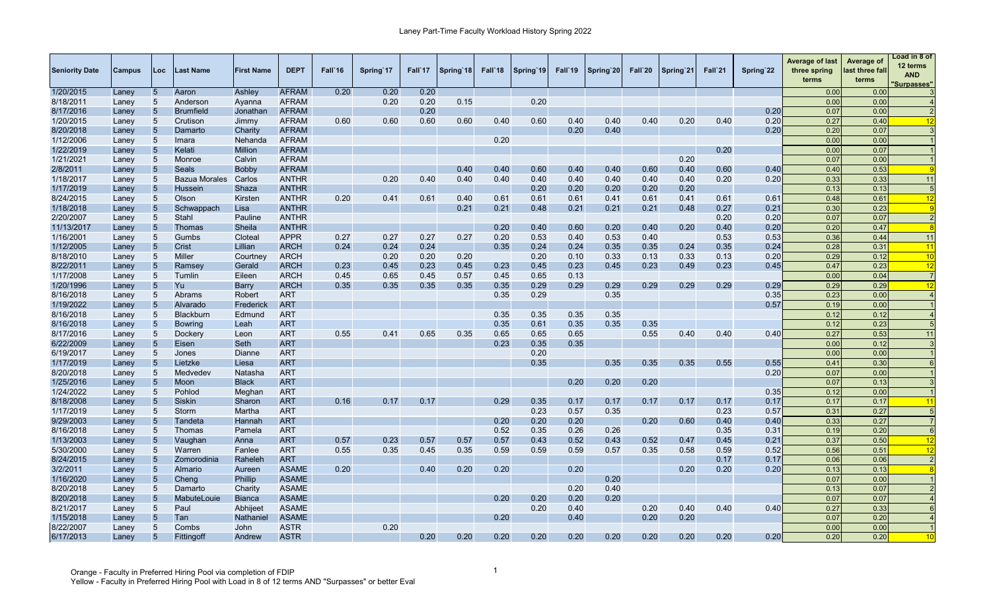| <b>Seniority Date</b> | Campus | Loc             | <b>Last Name</b> | <b>First Name</b> | <b>DEPT</b>  | Fall'16 | Spring 17 | Fall'17 | Spring 18 | Fall'18 | Spring 19 | Fall'19 | Spring 20 | Fall`20 | Spring 21 | Fall`21 | Spring 22 | <b>Average of last</b><br>three spring<br>terms | Average of<br>last three fall<br>terms | oad in 8 of<br>12 terms<br><b>AND</b><br>'Surpasses" |
|-----------------------|--------|-----------------|------------------|-------------------|--------------|---------|-----------|---------|-----------|---------|-----------|---------|-----------|---------|-----------|---------|-----------|-------------------------------------------------|----------------------------------------|------------------------------------------------------|
| 1/20/2015             | Laney  | $5\overline{)}$ | Aaron            | Ashley            | <b>AFRAM</b> | 0.20    | 0.20      | 0.20    |           |         |           |         |           |         |           |         |           | 0.00                                            | 0.00                                   |                                                      |
| 8/18/2011             | Laney  | 5               | Anderson         | Ayanna            | <b>AFRAM</b> |         | 0.20      | 0.20    | 0.15      |         | 0.20      |         |           |         |           |         |           | 0.00                                            | 0.00                                   |                                                      |
| 8/17/2016             | Laney  | $\sqrt{5}$      | <b>Brumfield</b> | Jonathan          | <b>AFRAM</b> |         |           | 0.20    |           |         |           |         |           |         |           |         | 0.20      | 0.07                                            | 0.00                                   |                                                      |
| 1/20/2015             | Laney  | 5               | Crutison         | Jimmy             | <b>AFRAM</b> | 0.60    | 0.60      | 0.60    | 0.60      | 0.40    | 0.60      | 0.40    | 0.40      | 0.40    | 0.20      | 0.40    | 0.20      | 0.27                                            | 0.40                                   | 12                                                   |
| 8/20/2018             | Laney  | $5\overline{)}$ | Damarto          | Charity           | <b>AFRAM</b> |         |           |         |           |         |           | 0.20    | 0.40      |         |           |         | 0.20      | 0.20                                            | 0.07                                   |                                                      |
| 1/12/2006             | Laney  | 5               | Imara            | Nehanda           | <b>AFRAM</b> |         |           |         |           | 0.20    |           |         |           |         |           |         |           | 0.00                                            | 0.00                                   |                                                      |
| 1/22/2019             | Laney  | $\sqrt{5}$      | Kelati           | <b>Million</b>    | <b>AFRAM</b> |         |           |         |           |         |           |         |           |         |           | 0.20    |           | 0.00                                            | 0.07                                   |                                                      |
| 1/21/2021             | Laney  | 5               | Monroe           | Calvin            | <b>AFRAM</b> |         |           |         |           |         |           |         |           |         | 0.20      |         |           | 0.07                                            | 0.00                                   |                                                      |
| 2/8/2011              | Laney  | $\sqrt{5}$      | Seals            | Bobby             | <b>AFRAM</b> |         |           |         | 0.40      | 0.40    | 0.60      | 0.40    | 0.40      | 0.60    | 0.40      | 0.60    | 0.40      | 0.40                                            | 0.53                                   |                                                      |
| 1/18/2017             | Laney  | 5               | Bazua Morales    | Carlos            | <b>ANTHR</b> |         | 0.20      | 0.40    | 0.40      | 0.40    | 0.40      | 0.40    | 0.40      | 0.40    | 0.40      | 0.20    | 0.20      | 0.33                                            | 0.33                                   | 11                                                   |
| 1/17/2019             | Laney  | 5               | Hussein          | Shaza             | <b>ANTHR</b> |         |           |         |           |         | 0.20      | 0.20    | 0.20      | 0.20    | 0.20      |         |           | 0.13                                            | 0.13                                   | 5                                                    |
| 8/24/2015             | Laney  | 5               | Olson            | Kirsten           | <b>ANTHR</b> | 0.20    | 0.41      | 0.61    | 0.40      | 0.61    | 0.61      | 0.61    | 0.41      | 0.61    | 0.41      | 0.61    | 0.61      | 0.48                                            | 0.61                                   | 12                                                   |
| 1/18/2018             | Laney  | $5\overline{)}$ | Schwappach       | Lisa              | <b>ANTHR</b> |         |           |         | 0.21      | 0.21    | 0.48      | 0.21    | 0.21      | 0.21    | 0.48      | 0.27    | 0.21      | 0.30                                            | 0.23                                   | <b>Q</b>                                             |
| 2/20/2007             | Laney  | 5               | Stahl            | Pauline           | <b>ANTHR</b> |         |           |         |           |         |           |         |           |         |           | 0.20    | 0.20      | 0.07                                            | 0.07                                   |                                                      |
| 11/13/2017            | Laney  | $\sqrt{5}$      | Thomas           | Sheila            | <b>ANTHR</b> |         |           |         |           | 0.20    | 0.40      | 0.60    | 0.20      | 0.40    | 0.20      | 0.40    | 0.20      | 0.20                                            | 0.47                                   |                                                      |
| 1/16/2001             | Laney  | 5               | Gumbs            | Cloteal           | <b>APPR</b>  | 0.27    | 0.27      | 0.27    | 0.27      | 0.20    | 0.53      | 0.40    | 0.53      | 0.40    |           | 0.53    | 0.53      | 0.36                                            | 0.44                                   | 11                                                   |
| 1/12/2005             | Laney  | $\sqrt{5}$      | Crist            | Lillian           | <b>ARCH</b>  | 0.24    | 0.24      | 0.24    |           | 0.35    | 0.24      | 0.24    | 0.35      | 0.35    | 0.24      | 0.35    | 0.24      | 0.28                                            | 0.31                                   | 11                                                   |
| 8/18/2010             | Laney  | 5               | Miller           | Courtney          | <b>ARCH</b>  |         | 0.20      | 0.20    | 0.20      |         | 0.20      | 0.10    | 0.33      | 0.13    | 0.33      | 0.13    | 0.20      | 0.29                                            | 0.12                                   | 10                                                   |
| 8/22/2011             | Laney  | $\sqrt{5}$      | Ramsey           | Gerald            | <b>ARCH</b>  | 0.23    | 0.45      | 0.23    | 0.45      | 0.23    | 0.45      | 0.23    | 0.45      | 0.23    | 0.49      | 0.23    | 0.45      | 0.47                                            | 0.23                                   | 12                                                   |
| 1/17/2008             | Laney  | 5               | Tumlin           | Eileen            | <b>ARCH</b>  | 0.45    | 0.65      | 0.45    | 0.57      | 0.45    | 0.65      | 0.13    |           |         |           |         |           | 0.00                                            | 0.04                                   | $\overline{7}$                                       |
| 1/20/1996             | Laney  | $\sqrt{5}$      | Yu               | Barry             | <b>ARCH</b>  | 0.35    | 0.35      | 0.35    | 0.35      | 0.35    | 0.29      | 0.29    | 0.29      | 0.29    | 0.29      | 0.29    | 0.29      | 0.29                                            | 0.29                                   | 12                                                   |
| 8/16/2018             | Laney  | 5               | Abrams           | Robert            | <b>ART</b>   |         |           |         |           | 0.35    | 0.29      |         | 0.35      |         |           |         | 0.35      | 0.23                                            | 0.00                                   |                                                      |
| 1/19/2022             | Laney  | $5\overline{)}$ | Alvarado         | Frederick         | <b>ART</b>   |         |           |         |           |         |           |         |           |         |           |         | 0.57      | 0.19                                            | 0.00                                   |                                                      |
| 8/16/2018             | Laney  | 5               | <b>Blackburn</b> | Edmund            | <b>ART</b>   |         |           |         |           | 0.35    | 0.35      | 0.35    | 0.35      |         |           |         |           | 0.12                                            | 0.12                                   |                                                      |
| 8/16/2018             | Laney  | 5               | <b>Bowring</b>   | Leah              | <b>ART</b>   |         |           |         |           | 0.35    | 0.61      | 0.35    | 0.35      | 0.35    |           |         |           | 0.12                                            | 0.23                                   |                                                      |
| 8/17/2016             | Laney  | 5               | Dockery          | Leon              | <b>ART</b>   | 0.55    | 0.41      | 0.65    | 0.35      | 0.65    | 0.65      | 0.65    |           | 0.55    | 0.40      | 0.40    | 0.40      | 0.27                                            | 0.53                                   | 11                                                   |
| 6/22/2009             | Laney  | 5               | Eisen            | Seth              | <b>ART</b>   |         |           |         |           | 0.23    | 0.35      | 0.35    |           |         |           |         |           | 0.00                                            | 0.12                                   |                                                      |
| 6/19/2017             | Laney  | $5\phantom{.0}$ | Jones            | Dianne            | <b>ART</b>   |         |           |         |           |         | 0.20      |         |           |         |           |         |           | 0.00                                            | 0.00                                   |                                                      |
| 1/17/2019             | Laney  | $\sqrt{5}$      | Lietzke          | Liesa             | <b>ART</b>   |         |           |         |           |         | 0.35      |         | 0.35      | 0.35    | 0.35      | 0.55    | 0.55      | 0.41                                            | 0.30                                   |                                                      |
| 8/20/2018             | Laney  | $5\phantom{.0}$ | Medvedev         | Natasha           | <b>ART</b>   |         |           |         |           |         |           |         |           |         |           |         | 0.20      | 0.07                                            | 0.00                                   |                                                      |
| 1/25/2016             | Laney  | 5               | Moon             | <b>Black</b>      | <b>ART</b>   |         |           |         |           |         |           | 0.20    | 0.20      | 0.20    |           |         |           | 0.07                                            | 0.13                                   |                                                      |
| 1/24/2022             | Laney  | 5               | Pohlod           | Meghan            | <b>ART</b>   |         |           |         |           |         |           |         |           |         |           |         | 0.35      | 0.12                                            | 0.00                                   |                                                      |
| 8/18/2008             | Laney  | 5               | <b>Siskin</b>    | Sharon            | <b>ART</b>   | 0.16    | 0.17      | 0.17    |           | 0.29    | 0.35      | 0.17    | 0.17      | 0.17    | 0.17      | 0.17    | 0.17      | 0.17                                            | 0.17                                   | 11                                                   |
| 1/17/2019             | Laney  | 5               | Storm            | Martha            | <b>ART</b>   |         |           |         |           |         | 0.23      | 0.57    | 0.35      |         |           | 0.23    | 0.57      | 0.31                                            | 0.27                                   |                                                      |
| 9/29/2003             | Laney  | 5               | Tandeta          | Hannah            | <b>ART</b>   |         |           |         |           | 0.20    | 0.20      | 0.20    |           | 0.20    | 0.60      | 0.40    | 0.40      | 0.33                                            | 0.27                                   |                                                      |
| 8/16/2018             | Laney  | 5               | Thomas           | Pamela            | <b>ART</b>   |         |           |         |           | 0.52    | 0.35      | 0.26    | 0.26      |         |           | 0.35    | 0.31      | 0.19                                            | 0.20                                   | 6                                                    |
| 1/13/2003             | Laney  | 5               | Vaughan          | Anna              | <b>ART</b>   | 0.57    | 0.23      | 0.57    | 0.57      | 0.57    | 0.43      | 0.52    | 0.43      | 0.52    | 0.47      | 0.45    | 0.21      | 0.37                                            | 0.50                                   | 12                                                   |
| 5/30/2000             | Laney  | $5\overline{)}$ | Warren           | Fanlee            | <b>ART</b>   | 0.55    | 0.35      | 0.45    | 0.35      | 0.59    | 0.59      | 0.59    | 0.57      | 0.35    | 0.58      | 0.59    | 0.52      | 0.56                                            | 0.51                                   | 12                                                   |
| 8/24/2015             | Laney  | 5               | Zomorodinia      | Raheleh           | <b>ART</b>   |         |           |         |           |         |           |         |           |         |           | 0.17    | 0.17      | 0.06                                            | 0.06                                   | $\overline{2}$                                       |
| 3/2/2011              | Laney  | $5\overline{)}$ | Almario          | Aureen            | <b>ASAME</b> | 0.20    |           | 0.40    | 0.20      | 0.20    |           | 0.20    |           |         | 0.20      | 0.20    | 0.20      | 0.13                                            | 0.13                                   |                                                      |
| 1/16/2020             | Laney  | 5               | Cheng            | Phillip           | <b>ASAME</b> |         |           |         |           |         |           |         | 0.20      |         |           |         |           | 0.07                                            | 0.00                                   |                                                      |
| 8/20/2018             | Laney  | $\sqrt{5}$      | Damarto          | Charity           | <b>ASAME</b> |         |           |         |           |         |           | 0.20    | 0.40      |         |           |         |           | 0.13                                            | 0.07                                   |                                                      |
| 8/20/2018             | Laney  | 5               | MabuteLouie      | <b>Bianca</b>     | <b>ASAME</b> |         |           |         |           | 0.20    | 0.20      | 0.20    | 0.20      |         |           |         |           | 0.07                                            | 0.07                                   |                                                      |
| 8/21/2017             | Laney  | 5               | Paul             | Abhijeet          | <b>ASAME</b> |         |           |         |           |         | 0.20      | 0.40    |           | 0.20    | 0.40      | 0.40    | 0.40      | 0.27                                            | 0.33                                   | 6                                                    |
| 1/15/2018             | Laney  | 5               | Tan              | Nathaniel         | <b>ASAME</b> |         |           |         |           | 0.20    |           | 0.40    |           | 0.20    | 0.20      |         |           | 0.07                                            | 0.20                                   |                                                      |
| 8/22/2007             | Laney  | 5               | Combs            | John              | <b>ASTR</b>  |         | 0.20      |         |           |         |           |         |           |         |           |         |           | 0.00                                            | 0.00                                   |                                                      |
| 6/17/2013             | Laney  | 5               | Fittingoff       | Andrew            | <b>ASTR</b>  |         |           | 0.20    | 0.20      | 0.20    | 0.20      | 0.20    | 0.20      | 0.20    | 0.20      | 0.20    | 0.20      | 0.20                                            | 0.20                                   | 10                                                   |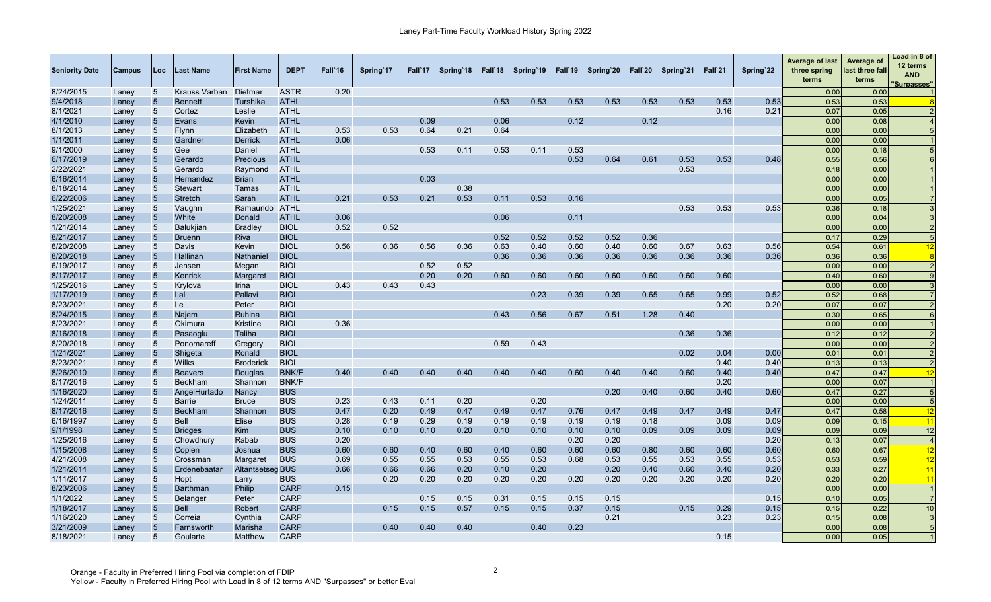| <b>Seniority Date</b> | <b>Campus</b> | Loc             | Last Name       | <b>First Name</b>       | <b>DEPT</b>  | Fall 16 | Spring 17 | Fall 17 | Spring 18 | Fall 18 | Spring 19 | Fall 19 | Spring 20 | Fall`20 | Spring 21 | Fall`21 | Spring 22 | <b>Average of last</b><br>three spring<br>terms | Average of<br>last three fall<br>terms | Load in 8 of<br>12 terms<br><b>AND</b><br>'Surpasses" |
|-----------------------|---------------|-----------------|-----------------|-------------------------|--------------|---------|-----------|---------|-----------|---------|-----------|---------|-----------|---------|-----------|---------|-----------|-------------------------------------------------|----------------------------------------|-------------------------------------------------------|
| 8/24/2015             | Laney         | 5               | Krauss Varban   | Dietmar                 | <b>ASTR</b>  | 0.20    |           |         |           |         |           |         |           |         |           |         |           | 0.00                                            | 0.00                                   |                                                       |
| 9/4/2018              | Laney         | $5\overline{)}$ | <b>Bennett</b>  | Turshika                | <b>ATHL</b>  |         |           |         |           | 0.53    | 0.53      | 0.53    | 0.53      | 0.53    | 0.53      | 0.53    | 0.53      | 0.53                                            | 0.53                                   |                                                       |
| 8/1/2021              | Laney         | 5               | Cortez          | Leslie                  | <b>ATHL</b>  |         |           |         |           |         |           |         |           |         |           | 0.16    | 0.21      | 0.07                                            | 0.05                                   |                                                       |
| 4/1/2010              | Laney         | 5 <sup>5</sup>  | Evans           | Kevin                   | <b>ATHL</b>  |         |           | 0.09    |           | 0.06    |           | 0.12    |           | 0.12    |           |         |           | 0.00                                            | 0.08                                   |                                                       |
| 8/1/2013              | Laney         | $5\phantom{.0}$ | <b>Flynn</b>    | Elizabeth               | <b>ATHL</b>  | 0.53    | 0.53      | 0.64    | 0.21      | 0.64    |           |         |           |         |           |         |           | 0.00                                            | 0.00                                   |                                                       |
| 1/1/2011              | Laney         | 5               | Gardner         | <b>Derrick</b>          | <b>ATHL</b>  | 0.06    |           |         |           |         |           |         |           |         |           |         |           | 0.00                                            | 0.00                                   |                                                       |
| 9/1/2000              | Laney         | $5\phantom{.0}$ | Gee             | Daniel                  | <b>ATHL</b>  |         |           | 0.53    | 0.11      | 0.53    | 0.11      | 0.53    |           |         |           |         |           | 0.00                                            | 0.18                                   |                                                       |
| 6/17/2019             | Laney         | 5               | Gerardo         | Precious                | <b>ATHL</b>  |         |           |         |           |         |           | 0.53    | 0.64      | 0.61    | 0.53      | 0.53    | 0.48      | 0.55                                            | 0.56                                   |                                                       |
| 2/22/2021             | Laney         | $5\phantom{.0}$ | Gerardo         | Raymond                 | <b>ATHL</b>  |         |           |         |           |         |           |         |           |         | 0.53      |         |           | 0.18                                            | 0.00                                   |                                                       |
| 6/16/2014             | Laney         | 5               | Hernandez       | <b>Brian</b>            | <b>ATHL</b>  |         |           | 0.03    |           |         |           |         |           |         |           |         |           | 0.00                                            | 0.00                                   |                                                       |
| 8/18/2014             | Laney         | $5\overline{)}$ | <b>Stewart</b>  | Tamas                   | <b>ATHL</b>  |         |           |         | 0.38      |         |           |         |           |         |           |         |           | 0.00                                            | 0.00                                   |                                                       |
| 6/22/2006             | Laney         | 5               | <b>Stretch</b>  | Sarah                   | <b>ATHL</b>  | 0.21    | 0.53      | 0.21    | 0.53      | 0.11    | 0.53      | 0.16    |           |         |           |         |           | 0.00                                            | 0.05                                   |                                                       |
| 1/25/2021             | Laney         | 5               | Vaughn          | Ramaundo                | ATHL         |         |           |         |           |         |           |         |           |         | 0.53      | 0.53    | 0.53      | 0.36                                            | 0.18                                   |                                                       |
| 8/20/2008             | Laney         | $5\overline{)}$ | White           | Donald                  | <b>ATHL</b>  | 0.06    |           |         |           | 0.06    |           | 0.11    |           |         |           |         |           | 0.00                                            | 0.04                                   |                                                       |
| 1/21/2014             | Laney         | $5\phantom{.0}$ | Balukjian       | <b>Bradley</b>          | <b>BIOL</b>  | 0.52    | 0.52      |         |           |         |           |         |           |         |           |         |           | 0.00                                            | 0.00                                   |                                                       |
| 8/21/2017             | Laney         | 5               | <b>Bruenn</b>   | <b>Riva</b>             | <b>BIOL</b>  |         |           |         |           | 0.52    | 0.52      | 0.52    | 0.52      | 0.36    |           |         |           | 0.17                                            | 0.29                                   |                                                       |
| 8/20/2008             | Laney         | $5\phantom{.0}$ | Davis           | Kevin                   | <b>BIOL</b>  | 0.56    | 0.36      | 0.56    | 0.36      | 0.63    | 0.40      | 0.60    | 0.40      | 0.60    | 0.67      | 0.63    | 0.56      | 0.54                                            | 0.61                                   | 12                                                    |
| 8/20/2018             | Laney         | 5 <sup>5</sup>  | Hallinan        | <b>Nathanie</b>         | <b>BIOL</b>  |         |           |         |           | 0.36    | 0.36      | 0.36    | 0.36      | 0.36    | 0.36      | 0.36    | 0.36      | 0.36                                            | 0.36                                   |                                                       |
| 6/19/2017             | Laney         | $5\phantom{.0}$ | Jensen          | Megan                   | <b>BIOL</b>  |         |           | 0.52    | 0.52      |         |           |         |           |         |           |         |           | 0.00                                            | 0.00                                   |                                                       |
| 8/17/2017             | Laney         | $5\overline{)}$ | Kenrick         | Margaret                | <b>BIOL</b>  |         |           | 0.20    | 0.20      | 0.60    | 0.60      | 0.60    | 0.60      | 0.60    | 0.60      | 0.60    |           | 0.40                                            | 0.60                                   |                                                       |
| 1/25/2016             | Laney         | $5\overline{)}$ | Krylova         | <b>Irina</b>            | <b>BIOL</b>  | 0.43    | 0.43      | 0.43    |           |         |           |         |           |         |           |         |           | 0.00                                            | 0.00                                   |                                                       |
| 1/17/2019             | Laney         | $5\overline{)}$ | Lal             | Pallavi                 | <b>BIOL</b>  |         |           |         |           |         | 0.23      | 0.39    | 0.39      | 0.65    | 0.65      | 0.99    | 0.52      | 0.52                                            | 0.68                                   |                                                       |
| 8/23/2021             | Laney         | 5               | Le              | Peter                   | <b>BIOL</b>  |         |           |         |           |         |           |         |           |         |           | 0.20    | 0.20      | 0.07                                            | 0.07                                   |                                                       |
| 8/24/2015             | Laney         | $5\overline{)}$ | Najem           | Ruhina                  | <b>BIOL</b>  |         |           |         |           | 0.43    | 0.56      | 0.67    | 0.51      | 1.28    | 0.40      |         |           | 0.30                                            | 0.65                                   | 6                                                     |
| 8/23/2021             | Laney         | 5               | Okimura         | Kristine                | <b>BIOL</b>  | 0.36    |           |         |           |         |           |         |           |         |           |         |           | 0.00                                            | 0.00                                   |                                                       |
| 8/16/2018             | Laney         | $5\phantom{.0}$ | Pasaoglu        | Taliha                  | <b>BIOL</b>  |         |           |         |           |         |           |         |           |         | 0.36      | 0.36    |           | 0.12                                            | 0.12                                   |                                                       |
| 8/20/2018             | Laney         | $5\phantom{.0}$ | Ponomareff      | Gregory                 | <b>BIOL</b>  |         |           |         |           | 0.59    | 0.43      |         |           |         |           |         |           | 0.00                                            | 0.00                                   |                                                       |
| 1/21/2021             | Laney         | $5\phantom{.0}$ | Shigeta         | Ronald                  | <b>BIOL</b>  |         |           |         |           |         |           |         |           |         | 0.02      | 0.04    | 0.00      | 0.01                                            | 0.01                                   |                                                       |
| 8/23/2021             | Laney         | $5\overline{)}$ | <b>Wilks</b>    | <b>Broderick</b>        | <b>BIOL</b>  |         |           |         |           |         |           |         |           |         |           | 0.40    | 0.40      | 0.13                                            | 0.13                                   |                                                       |
| 8/26/2010             | Laney         | $5\overline{)}$ | <b>Beavers</b>  | Douglas                 | <b>BNK/F</b> | 0.40    | 0.40      | 0.40    | 0.40      | 0.40    | 0.40      | 0.60    | 0.40      | 0.40    | 0.60      | 0.40    | 0.40      | 0.47                                            | 0.47                                   | 12                                                    |
| 8/17/2016             | Laney         | 5               | Beckham         | Shannon                 | <b>BNK/F</b> |         |           |         |           |         |           |         |           |         |           | 0.20    |           | 0.00                                            | 0.07                                   |                                                       |
| 1/16/2020             | Laney         | $5\overline{)}$ | AngelHurtado    | Nancy                   | <b>BUS</b>   |         |           |         |           |         |           |         | 0.20      | 0.40    | 0.60      | 0.40    | 0.60      | 0.47                                            | 0.27                                   | .5                                                    |
| 1/24/2011             | Laney         | 5               | <b>Barrie</b>   | <b>Bruce</b>            | <b>BUS</b>   | 0.23    | 0.43      | 0.11    | 0.20      |         | 0.20      |         |           |         |           |         |           | 0.00                                            | 0.00                                   | $\epsilon$                                            |
| 8/17/2016             | Laney         | $5\overline{)}$ | <b>Beckham</b>  | Shannon                 | <b>BUS</b>   | 0.47    | 0.20      | 0.49    | 0.47      | 0.49    | 0.47      | 0.76    | 0.47      | 0.49    | 0.47      | 0.49    | 0.47      | 0.47                                            | 0.58                                   | 12                                                    |
| 6/16/1997             | Laney         | 5               | <b>Bell</b>     | <b>Elise</b>            | <b>BUS</b>   | 0.28    | 0.19      | 0.29    | 0.19      | 0.19    | 0.19      | 0.19    | 0.19      | 0.18    |           | 0.09    | 0.09      | 0.09                                            | 0.15                                   | 11                                                    |
| 9/1/1998              | Laney         | $5\phantom{.0}$ | <b>Bridges</b>  | Kim                     | <b>BUS</b>   | 0.10    | 0.10      | 0.10    | 0.20      | 0.10    | 0.10      | 0.10    | 0.10      | 0.09    | 0.09      | 0.09    | 0.09      | 0.09                                            | 0.09                                   | 12                                                    |
| 1/25/2016             | Laney         | 5               | Chowdhury       | Rabab                   | <b>BUS</b>   | 0.20    |           |         |           |         |           | 0.20    | 0.20      |         |           |         | 0.20      | 0.13                                            | 0.07                                   | $\overline{4}$                                        |
| 1/15/2008             | Laney         | $\overline{5}$  | Coplen          | Joshua                  | <b>BUS</b>   | 0.60    | 0.60      | 0.40    | 0.60      | 0.40    | 0.60      | 0.60    | 0.60      | 0.80    | 0.60      | 0.60    | 0.60      | 0.60                                            | 0.67                                   | 12                                                    |
| 4/21/2008             | Laney         | 5               | Crossman        | Margaret                | <b>BUS</b>   | 0.69    | 0.55      | 0.55    | 0.53      | 0.55    | 0.53      | 0.68    | 0.53      | 0.55    | 0.53      | 0.55    | 0.53      | 0.53                                            | 0.59                                   | 12                                                    |
| 1/21/2014             | Laney         | $\overline{5}$  | Erdenebaatar    | <b>Altantsetseg BUS</b> |              | 0.66    | 0.66      | 0.66    | 0.20      | 0.10    | 0.20      |         | 0.20      | 0.40    | 0.60      | 0.40    | 0.20      | 0.33                                            | 0.27                                   | 11                                                    |
| 1/11/2017             | Laney         | 5               | Hopt            | Larry                   | <b>BUS</b>   |         | 0.20      | 0.20    | 0.20      | 0.20    | 0.20      | 0.20    | 0.20      | 0.20    | 0.20      | 0.20    | 0.20      | 0.20                                            | 0.20                                   | 11                                                    |
| 8/23/2006             | Laney         | $5\overline{)}$ | <b>Barthman</b> | <b>Philip</b>           | <b>CARP</b>  | 0.15    |           |         |           |         |           |         |           |         |           |         |           | 0.00                                            | 0.00                                   | $\overline{1}$                                        |
| 1/1/2022              | Laney         | 5               | <b>Belanger</b> | Peter                   | <b>CARP</b>  |         |           | 0.15    | 0.15      | 0.31    | 0.15      | 0.15    | 0.15      |         |           |         | 0.15      | 0.10                                            | 0.05                                   |                                                       |
| 1/18/2017             | Laney         | $5\overline{)}$ | <b>Bell</b>     | Robert                  | <b>CARP</b>  |         | 0.15      | 0.15    | 0.57      | 0.15    | 0.15      | 0.37    | 0.15      |         | 0.15      | 0.29    | 0.15      | 0.15                                            | 0.22                                   | 10                                                    |
| 1/16/2020             | Laney         | 5               | Correia         | Cynthia                 | <b>CARP</b>  |         |           |         |           |         |           |         | 0.21      |         |           | 0.23    | 0.23      | 0.15                                            | 0.08                                   |                                                       |
| 3/21/2009             | Laney         | 5               | Farnsworth      | Marisha                 | <b>CARP</b>  |         | 0.40      | 0.40    | 0.40      |         | 0.40      | 0.23    |           |         |           |         |           | 0.00                                            | 0.08                                   | $5\overline{5}$                                       |
| 8/18/2021             | Laney         | 5               | Goularte        | Matthew                 | <b>CARP</b>  |         |           |         |           |         |           |         |           |         |           | 0.15    |           | 0.00                                            | 0.05                                   |                                                       |
|                       |               |                 |                 |                         |              |         |           |         |           |         |           |         |           |         |           |         |           |                                                 |                                        |                                                       |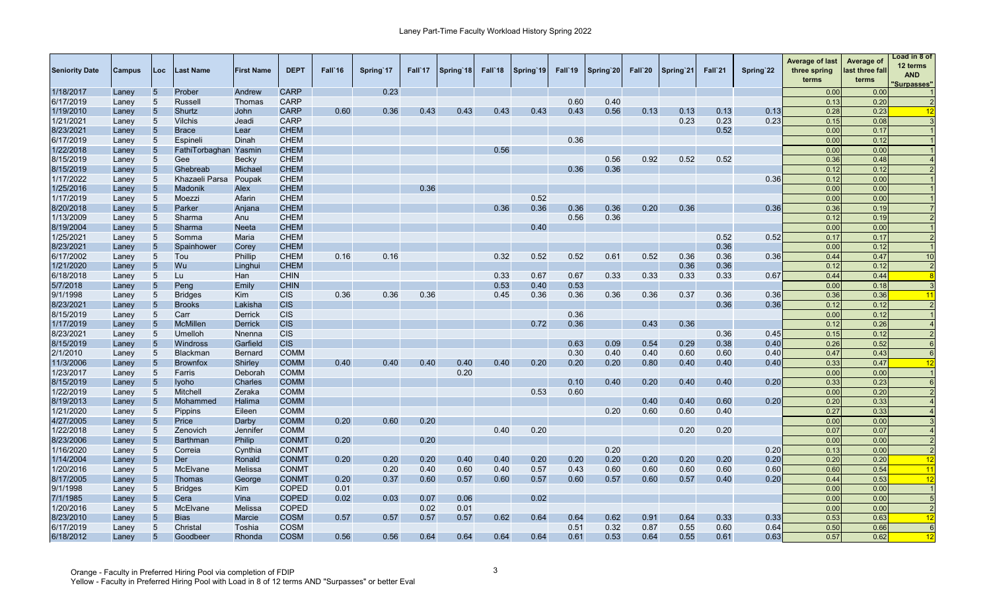| <b>CARP</b><br>0.23<br>0.00<br>1/18/2017<br>$5\overline{)}$<br>Prober<br>Andrew<br>0.00<br>Laney<br><b>CARP</b><br>6/17/2019<br>5<br><b>Russell</b><br>0.60<br>0.40<br>0.13<br>0.20<br>Laney<br>Thomas<br>1/19/2010<br>5 <sup>5</sup><br><b>CARP</b><br>0.36<br>0.43<br>0.43<br>0.56<br>0.13<br>0.13<br>0.28<br>0.23<br>Shurtz<br>John<br>0.60<br>0.43<br>0.43<br>0.43<br>0.13<br>0.13<br>Laney<br>0.23<br>0.23<br>1/21/2021<br><b>CARP</b><br>0.23<br>0.08<br>5<br><b>Vilchis</b><br>Jeadi<br>0.15<br>Laney<br>0.52<br>8/23/2021<br>$5\overline{)}$<br><b>CHEM</b><br>Lear<br>0.00<br>0.17<br><b>Brace</b><br>Laney<br>6/17/2019<br><b>CHEM</b><br>0.36<br>$5\overline{)}$<br>Dinah<br>0.00<br>Espineli<br>0.12<br>Laney<br>1/22/2018<br>5<br><b>CHEM</b><br>0.56<br>0.00<br>0.00<br>FathiTorbaghan<br>Yasmin<br>Laney<br>0.52<br>8/15/2019<br><b>CHEM</b><br>0.56<br>0.92<br>0.52<br>5<br>Gee<br>0.36<br>0.48<br>Becky<br>Laney<br>8/15/2019<br>0.36<br>$5\overline{)}$<br>Ghebreab<br><b>CHEM</b><br>0.36<br>0.12<br>0.12<br>Michael<br>Laney<br>1/17/2022<br><b>CHEM</b><br>0.36<br>Khazaeli Parsa<br>Poupak<br>0.12<br>0.00<br>5<br>Laney<br>1/25/2016<br>$5\overline{)}$<br><b>CHEM</b><br>0.36<br>0.00<br>0.00<br>Madonik<br>Alex<br>Laney<br>0.52<br>1/17/2019<br><b>CHEM</b><br>0.00<br>5<br>Moezzi<br>Afarin<br>0.00<br>Laney<br>0.36<br>0.36<br>0.36<br>0.20<br>0.36<br>8/20/2018<br>$5\overline{)}$<br>Parker<br><b>CHEM</b><br>0.36<br>0.36<br>0.36<br>0.19<br>Anjana<br>Laney<br>0.56<br>0.36<br>1/13/2009<br><b>CHEM</b><br>0.12<br>0.19<br>5<br>Sharma<br>Anu<br>Laney<br>8/19/2004<br>$\overline{5}$<br><b>CHEM</b><br>0.40<br>0.00<br>Sharma<br>0.00<br>Neeta<br>Laney<br>0.52<br>0.52<br>1/25/2021<br>5<br><b>CHEM</b><br>Somma<br>Maria<br>0.17<br>0.17<br>Laney<br>8/23/2021<br>$5\overline{)}$<br><b>CHEM</b><br>0.36<br>0.00<br>0.12<br>Corey<br>Laney<br>Spainhower<br>6/17/2002<br><b>CHEM</b><br>0.16<br>0.16<br>0.32<br>0.52<br>0.52<br>0.61<br>0.52<br>0.36<br>5<br>Phillip<br>0.36<br>0.36<br>Tou<br>0.44<br>0.47<br>Laney<br>1/21/2020<br>$5\overline{)}$<br>Wu<br><b>CHEM</b><br>0.36<br>0.36<br>0.12<br>0.12<br>Linghui<br>Laney<br>6/18/2018<br>$5\phantom{.0}$<br><b>CHIN</b><br>0.33<br>0.67<br>0.67<br>0.33<br>0.33<br>0.33<br>0.33<br>0.67<br>Han<br>0.44<br>0.44<br>Lu<br>Laney<br>5/7/2018<br>$5\overline{)}$<br>Peng<br><b>CHIN</b><br>0.53<br>0.40<br>0.53<br>0.00<br>0.18<br>Emily<br>Laney<br>9/1/1998<br>0.36<br>0.36<br>0.36<br>0.45<br>0.36<br>0.36<br>0.36<br>0.36<br>0.37<br>0.36<br>5<br><b>Bridges</b><br>Kim<br><b>CIS</b><br>0.36<br>0.36<br>0.36<br>$\overline{11}$<br>Laney<br>8/23/202<br><b>CIS</b><br>$5\overline{)}$<br>Lakisha<br>0.36<br>0.36<br><b>Brooks</b><br>0.12<br>0.12<br>Laney<br>0.36<br>8/15/2019<br><b>CIS</b><br>0.00<br>5<br>Carr<br><b>Derrick</b><br>0.12<br>Laney<br>1/17/2019<br><b>CIS</b><br>0.72<br>0.36<br>0.43<br>0.36<br>$5\overline{)}$<br><b>McMillen</b><br><b>Derrick</b><br>0.12<br>0.26<br>Laney<br>8/23/2021<br><b>CIS</b><br>0.36<br>$5\overline{)}$<br>Umelloh<br>0.45<br>0.15<br>0.12<br>Nnenna<br>Laney<br>8/15/2019<br><b>CIS</b><br>0.63<br>0.54<br>0.09<br>0.29<br>0.38<br>0.40<br>0.52<br>5<br>Windross<br>Garfield<br>0.26<br>Laney<br>2/1/2010<br><b>COMM</b><br>0.30<br>0.40<br>0.40<br>5<br><b>Blackman</b><br><b>Bernard</b><br>0.60<br>0.60<br>0.40<br>0.47<br>0.43<br>Laney<br>11/3/2006<br>0.20<br>5<br><b>Shirley</b><br><b>COMM</b><br>0.40<br>0.40<br>0.40<br>0.40<br>0.40<br>0.20<br>0.20<br>0.80<br>0.40<br>0.40<br>0.40<br>0.33<br>0.47<br><b>Brownfox</b><br>12<br>Laney<br>1/23/2017<br>$5\phantom{.0}$<br><b>COMM</b><br>0.20<br>0.00<br>0.00<br>Farris<br>Deborah<br>Laney<br>8/15/2019<br>0.10<br>0.20<br><b>COMM</b><br>0.40<br>0.40<br>0.40<br>0.20<br>0.33<br>0.23<br>5<br><b>Iyoho</b><br>Charles<br>Laney<br>1/22/2019<br><b>COMM</b><br>0.53<br>0.60<br>0.20<br>$5\overline{)}$<br>Mitchell<br>Zeraka<br>0.00<br>Laney<br>8/19/2013<br>0.40<br>0.40<br>Halima<br><b>COMM</b><br>0.60<br>0.20<br>0.20<br>0.33<br>5<br>Mohammed<br>Laney<br>1/21/2020<br><b>COMM</b><br>0.20<br>0.60<br>0.60<br>0.40<br>0.27<br>0.33<br>$5\overline{)}$<br><b>Pippins</b><br>Eileen<br>Laney<br>4/27/2005<br>Price<br><b>COMM</b><br>0.20<br>0.60<br>0.20<br>0.00<br>0.00<br>5<br>Darby<br>Laney<br>1/22/2018<br>0.40<br>0.20<br>0.20<br>0.07<br>$5\overline{)}$<br><b>COMM</b><br>0.20<br>0.07<br>Zenovich<br>Jennifer<br>Laney<br>8/23/2006<br>5<br>0.20<br>0.20<br><b>Barthman</b><br>Philip<br><b>CONMT</b><br>0.00<br>0.00<br>$\overline{2}$<br>Laney<br>1/16/2020<br>0.20<br>0.00<br>5<br><b>CONMT</b><br>0.20<br>0.13<br>Correia<br>Cynthia<br>Laney<br>1/14/2004<br>$5\phantom{.0}$<br>0.20<br>0.20<br><b>CONMT</b><br>0.20<br>0.20<br>0.40<br>0.40<br>0.20<br>0.20<br>0.20<br>0.20<br>0.20<br>0.20<br>12<br>Der<br>Ronald<br>0.20<br>0.20<br>Laney<br>1/20/2016<br>$5\phantom{.0}$<br><b>McElvane</b><br><b>CONMT</b><br>0.20<br>0.57<br>0.43<br>0.60<br>0.60<br>0.60<br>0.60<br>0.54<br>11<br>Melissa<br>0.40<br>0.60<br>0.40<br>0.60<br>0.60<br>Laney<br>8/17/2005<br>$5\phantom{.0}$<br>0.20<br>0.37<br>0.60<br>0.60<br>12<br><b>Thomas</b><br><b>CONMT</b><br>0.60<br>0.57<br>0.60<br>0.57<br>0.57<br>0.57<br>0.40<br>0.20<br>0.44<br>0.53<br>George<br>Laney<br>9/1/1998<br><b>COPED</b><br>0.00<br>0.00<br>$5\overline{)}$<br><b>Bridges</b><br>Kim<br>0.01<br>$\overline{1}$<br>Laney<br>0.03<br>0.02<br>7/1/1985<br>$5\overline{)}$<br>Vina<br><b>COPED</b><br>0.02<br>0.07<br>0.06<br>0.00<br>0.00<br>-5<br>Cera<br>Laney<br>1/20/2016<br>McElvane<br>Melissa<br><b>COPED</b><br>0.02<br>0.00<br>5<br>0.01<br>0.00<br>$\overline{2}$<br>Laney<br>8/23/2010<br>5<br><b>COSM</b><br>0.57<br>0.57<br>0.62<br>0.64<br>0.64<br>0.62<br>0.91<br>0.64<br><b>Bias</b><br>Marcie<br>0.57<br>0.57<br>0.33<br>0.33<br>0.53<br>0.63<br>12<br>Laney | <b>Seniority Date</b> | <b>Campus</b> | Loc | Last Name | <b>First Name</b> | <b>DEPT</b> | Fall'16 | Spring 17 | Fall 17 | Spring 18 | Fall 18 | Spring 19 | Fall'19 | Spring 20 | Fall`20 | Spring 21 | Fall`21 | Spring 22 | <b>Average of last</b><br>three spring<br>terms | Average of<br>last three fall<br>terms | Load in 8 of<br>12 terms<br><b>AND</b><br>'Surpasses" |
|--------------------------------------------------------------------------------------------------------------------------------------------------------------------------------------------------------------------------------------------------------------------------------------------------------------------------------------------------------------------------------------------------------------------------------------------------------------------------------------------------------------------------------------------------------------------------------------------------------------------------------------------------------------------------------------------------------------------------------------------------------------------------------------------------------------------------------------------------------------------------------------------------------------------------------------------------------------------------------------------------------------------------------------------------------------------------------------------------------------------------------------------------------------------------------------------------------------------------------------------------------------------------------------------------------------------------------------------------------------------------------------------------------------------------------------------------------------------------------------------------------------------------------------------------------------------------------------------------------------------------------------------------------------------------------------------------------------------------------------------------------------------------------------------------------------------------------------------------------------------------------------------------------------------------------------------------------------------------------------------------------------------------------------------------------------------------------------------------------------------------------------------------------------------------------------------------------------------------------------------------------------------------------------------------------------------------------------------------------------------------------------------------------------------------------------------------------------------------------------------------------------------------------------------------------------------------------------------------------------------------------------------------------------------------------------------------------------------------------------------------------------------------------------------------------------------------------------------------------------------------------------------------------------------------------------------------------------------------------------------------------------------------------------------------------------------------------------------------------------------------------------------------------------------------------------------------------------------------------------------------------------------------------------------------------------------------------------------------------------------------------------------------------------------------------------------------------------------------------------------------------------------------------------------------------------------------------------------------------------------------------------------------------------------------------------------------------------------------------------------------------------------------------------------------------------------------------------------------------------------------------------------------------------------------------------------------------------------------------------------------------------------------------------------------------------------------------------------------------------------------------------------------------------------------------------------------------------------------------------------------------------------------------------------------------------------------------------------------------------------------------------------------------------------------------------------------------------------------------------------------------------------------------------------------------------------------------------------------------------------------------------------------------------------------------------------------------------------------------------------------------------------------------------------------------------------------------------------------------------------------------------------------------------------------------------------------------------------------------------------------------------------------------------------------------------------------------------------------------------------------------------------------------------------------------------------------------------------------------------------------------------------------------------------------------------------------------------------------------------------------------------------------------------------------------------------------------------------------------------------------------------------------------------------------------------------------------------------------------------------------------------------------------------------------------------------------------------------------------------------------------------------------------------------------------------------------------------------------------------------|-----------------------|---------------|-----|-----------|-------------------|-------------|---------|-----------|---------|-----------|---------|-----------|---------|-----------|---------|-----------|---------|-----------|-------------------------------------------------|----------------------------------------|-------------------------------------------------------|
|                                                                                                                                                                                                                                                                                                                                                                                                                                                                                                                                                                                                                                                                                                                                                                                                                                                                                                                                                                                                                                                                                                                                                                                                                                                                                                                                                                                                                                                                                                                                                                                                                                                                                                                                                                                                                                                                                                                                                                                                                                                                                                                                                                                                                                                                                                                                                                                                                                                                                                                                                                                                                                                                                                                                                                                                                                                                                                                                                                                                                                                                                                                                                                                                                                                                                                                                                                                                                                                                                                                                                                                                                                                                                                                                                                                                                                                                                                                                                                                                                                                                                                                                                                                                                                                                                                                                                                                                                                                                                                                                                                                                                                                                                                                                                                                                                                                                                                                                                                                                                                                                                                                                                                                                                                                                                                                                                                                                                                                                                                                                                                                                                                                                                                                                                                                                                                                                    |                       |               |     |           |                   |             |         |           |         |           |         |           |         |           |         |           |         |           |                                                 |                                        |                                                       |
|                                                                                                                                                                                                                                                                                                                                                                                                                                                                                                                                                                                                                                                                                                                                                                                                                                                                                                                                                                                                                                                                                                                                                                                                                                                                                                                                                                                                                                                                                                                                                                                                                                                                                                                                                                                                                                                                                                                                                                                                                                                                                                                                                                                                                                                                                                                                                                                                                                                                                                                                                                                                                                                                                                                                                                                                                                                                                                                                                                                                                                                                                                                                                                                                                                                                                                                                                                                                                                                                                                                                                                                                                                                                                                                                                                                                                                                                                                                                                                                                                                                                                                                                                                                                                                                                                                                                                                                                                                                                                                                                                                                                                                                                                                                                                                                                                                                                                                                                                                                                                                                                                                                                                                                                                                                                                                                                                                                                                                                                                                                                                                                                                                                                                                                                                                                                                                                                    |                       |               |     |           |                   |             |         |           |         |           |         |           |         |           |         |           |         |           |                                                 |                                        |                                                       |
|                                                                                                                                                                                                                                                                                                                                                                                                                                                                                                                                                                                                                                                                                                                                                                                                                                                                                                                                                                                                                                                                                                                                                                                                                                                                                                                                                                                                                                                                                                                                                                                                                                                                                                                                                                                                                                                                                                                                                                                                                                                                                                                                                                                                                                                                                                                                                                                                                                                                                                                                                                                                                                                                                                                                                                                                                                                                                                                                                                                                                                                                                                                                                                                                                                                                                                                                                                                                                                                                                                                                                                                                                                                                                                                                                                                                                                                                                                                                                                                                                                                                                                                                                                                                                                                                                                                                                                                                                                                                                                                                                                                                                                                                                                                                                                                                                                                                                                                                                                                                                                                                                                                                                                                                                                                                                                                                                                                                                                                                                                                                                                                                                                                                                                                                                                                                                                                                    |                       |               |     |           |                   |             |         |           |         |           |         |           |         |           |         |           |         |           |                                                 |                                        | 12                                                    |
|                                                                                                                                                                                                                                                                                                                                                                                                                                                                                                                                                                                                                                                                                                                                                                                                                                                                                                                                                                                                                                                                                                                                                                                                                                                                                                                                                                                                                                                                                                                                                                                                                                                                                                                                                                                                                                                                                                                                                                                                                                                                                                                                                                                                                                                                                                                                                                                                                                                                                                                                                                                                                                                                                                                                                                                                                                                                                                                                                                                                                                                                                                                                                                                                                                                                                                                                                                                                                                                                                                                                                                                                                                                                                                                                                                                                                                                                                                                                                                                                                                                                                                                                                                                                                                                                                                                                                                                                                                                                                                                                                                                                                                                                                                                                                                                                                                                                                                                                                                                                                                                                                                                                                                                                                                                                                                                                                                                                                                                                                                                                                                                                                                                                                                                                                                                                                                                                    |                       |               |     |           |                   |             |         |           |         |           |         |           |         |           |         |           |         |           |                                                 |                                        |                                                       |
|                                                                                                                                                                                                                                                                                                                                                                                                                                                                                                                                                                                                                                                                                                                                                                                                                                                                                                                                                                                                                                                                                                                                                                                                                                                                                                                                                                                                                                                                                                                                                                                                                                                                                                                                                                                                                                                                                                                                                                                                                                                                                                                                                                                                                                                                                                                                                                                                                                                                                                                                                                                                                                                                                                                                                                                                                                                                                                                                                                                                                                                                                                                                                                                                                                                                                                                                                                                                                                                                                                                                                                                                                                                                                                                                                                                                                                                                                                                                                                                                                                                                                                                                                                                                                                                                                                                                                                                                                                                                                                                                                                                                                                                                                                                                                                                                                                                                                                                                                                                                                                                                                                                                                                                                                                                                                                                                                                                                                                                                                                                                                                                                                                                                                                                                                                                                                                                                    |                       |               |     |           |                   |             |         |           |         |           |         |           |         |           |         |           |         |           |                                                 |                                        |                                                       |
|                                                                                                                                                                                                                                                                                                                                                                                                                                                                                                                                                                                                                                                                                                                                                                                                                                                                                                                                                                                                                                                                                                                                                                                                                                                                                                                                                                                                                                                                                                                                                                                                                                                                                                                                                                                                                                                                                                                                                                                                                                                                                                                                                                                                                                                                                                                                                                                                                                                                                                                                                                                                                                                                                                                                                                                                                                                                                                                                                                                                                                                                                                                                                                                                                                                                                                                                                                                                                                                                                                                                                                                                                                                                                                                                                                                                                                                                                                                                                                                                                                                                                                                                                                                                                                                                                                                                                                                                                                                                                                                                                                                                                                                                                                                                                                                                                                                                                                                                                                                                                                                                                                                                                                                                                                                                                                                                                                                                                                                                                                                                                                                                                                                                                                                                                                                                                                                                    |                       |               |     |           |                   |             |         |           |         |           |         |           |         |           |         |           |         |           |                                                 |                                        |                                                       |
|                                                                                                                                                                                                                                                                                                                                                                                                                                                                                                                                                                                                                                                                                                                                                                                                                                                                                                                                                                                                                                                                                                                                                                                                                                                                                                                                                                                                                                                                                                                                                                                                                                                                                                                                                                                                                                                                                                                                                                                                                                                                                                                                                                                                                                                                                                                                                                                                                                                                                                                                                                                                                                                                                                                                                                                                                                                                                                                                                                                                                                                                                                                                                                                                                                                                                                                                                                                                                                                                                                                                                                                                                                                                                                                                                                                                                                                                                                                                                                                                                                                                                                                                                                                                                                                                                                                                                                                                                                                                                                                                                                                                                                                                                                                                                                                                                                                                                                                                                                                                                                                                                                                                                                                                                                                                                                                                                                                                                                                                                                                                                                                                                                                                                                                                                                                                                                                                    |                       |               |     |           |                   |             |         |           |         |           |         |           |         |           |         |           |         |           |                                                 |                                        |                                                       |
|                                                                                                                                                                                                                                                                                                                                                                                                                                                                                                                                                                                                                                                                                                                                                                                                                                                                                                                                                                                                                                                                                                                                                                                                                                                                                                                                                                                                                                                                                                                                                                                                                                                                                                                                                                                                                                                                                                                                                                                                                                                                                                                                                                                                                                                                                                                                                                                                                                                                                                                                                                                                                                                                                                                                                                                                                                                                                                                                                                                                                                                                                                                                                                                                                                                                                                                                                                                                                                                                                                                                                                                                                                                                                                                                                                                                                                                                                                                                                                                                                                                                                                                                                                                                                                                                                                                                                                                                                                                                                                                                                                                                                                                                                                                                                                                                                                                                                                                                                                                                                                                                                                                                                                                                                                                                                                                                                                                                                                                                                                                                                                                                                                                                                                                                                                                                                                                                    |                       |               |     |           |                   |             |         |           |         |           |         |           |         |           |         |           |         |           |                                                 |                                        |                                                       |
|                                                                                                                                                                                                                                                                                                                                                                                                                                                                                                                                                                                                                                                                                                                                                                                                                                                                                                                                                                                                                                                                                                                                                                                                                                                                                                                                                                                                                                                                                                                                                                                                                                                                                                                                                                                                                                                                                                                                                                                                                                                                                                                                                                                                                                                                                                                                                                                                                                                                                                                                                                                                                                                                                                                                                                                                                                                                                                                                                                                                                                                                                                                                                                                                                                                                                                                                                                                                                                                                                                                                                                                                                                                                                                                                                                                                                                                                                                                                                                                                                                                                                                                                                                                                                                                                                                                                                                                                                                                                                                                                                                                                                                                                                                                                                                                                                                                                                                                                                                                                                                                                                                                                                                                                                                                                                                                                                                                                                                                                                                                                                                                                                                                                                                                                                                                                                                                                    |                       |               |     |           |                   |             |         |           |         |           |         |           |         |           |         |           |         |           |                                                 |                                        |                                                       |
|                                                                                                                                                                                                                                                                                                                                                                                                                                                                                                                                                                                                                                                                                                                                                                                                                                                                                                                                                                                                                                                                                                                                                                                                                                                                                                                                                                                                                                                                                                                                                                                                                                                                                                                                                                                                                                                                                                                                                                                                                                                                                                                                                                                                                                                                                                                                                                                                                                                                                                                                                                                                                                                                                                                                                                                                                                                                                                                                                                                                                                                                                                                                                                                                                                                                                                                                                                                                                                                                                                                                                                                                                                                                                                                                                                                                                                                                                                                                                                                                                                                                                                                                                                                                                                                                                                                                                                                                                                                                                                                                                                                                                                                                                                                                                                                                                                                                                                                                                                                                                                                                                                                                                                                                                                                                                                                                                                                                                                                                                                                                                                                                                                                                                                                                                                                                                                                                    |                       |               |     |           |                   |             |         |           |         |           |         |           |         |           |         |           |         |           |                                                 |                                        |                                                       |
|                                                                                                                                                                                                                                                                                                                                                                                                                                                                                                                                                                                                                                                                                                                                                                                                                                                                                                                                                                                                                                                                                                                                                                                                                                                                                                                                                                                                                                                                                                                                                                                                                                                                                                                                                                                                                                                                                                                                                                                                                                                                                                                                                                                                                                                                                                                                                                                                                                                                                                                                                                                                                                                                                                                                                                                                                                                                                                                                                                                                                                                                                                                                                                                                                                                                                                                                                                                                                                                                                                                                                                                                                                                                                                                                                                                                                                                                                                                                                                                                                                                                                                                                                                                                                                                                                                                                                                                                                                                                                                                                                                                                                                                                                                                                                                                                                                                                                                                                                                                                                                                                                                                                                                                                                                                                                                                                                                                                                                                                                                                                                                                                                                                                                                                                                                                                                                                                    |                       |               |     |           |                   |             |         |           |         |           |         |           |         |           |         |           |         |           |                                                 |                                        |                                                       |
|                                                                                                                                                                                                                                                                                                                                                                                                                                                                                                                                                                                                                                                                                                                                                                                                                                                                                                                                                                                                                                                                                                                                                                                                                                                                                                                                                                                                                                                                                                                                                                                                                                                                                                                                                                                                                                                                                                                                                                                                                                                                                                                                                                                                                                                                                                                                                                                                                                                                                                                                                                                                                                                                                                                                                                                                                                                                                                                                                                                                                                                                                                                                                                                                                                                                                                                                                                                                                                                                                                                                                                                                                                                                                                                                                                                                                                                                                                                                                                                                                                                                                                                                                                                                                                                                                                                                                                                                                                                                                                                                                                                                                                                                                                                                                                                                                                                                                                                                                                                                                                                                                                                                                                                                                                                                                                                                                                                                                                                                                                                                                                                                                                                                                                                                                                                                                                                                    |                       |               |     |           |                   |             |         |           |         |           |         |           |         |           |         |           |         |           |                                                 |                                        |                                                       |
|                                                                                                                                                                                                                                                                                                                                                                                                                                                                                                                                                                                                                                                                                                                                                                                                                                                                                                                                                                                                                                                                                                                                                                                                                                                                                                                                                                                                                                                                                                                                                                                                                                                                                                                                                                                                                                                                                                                                                                                                                                                                                                                                                                                                                                                                                                                                                                                                                                                                                                                                                                                                                                                                                                                                                                                                                                                                                                                                                                                                                                                                                                                                                                                                                                                                                                                                                                                                                                                                                                                                                                                                                                                                                                                                                                                                                                                                                                                                                                                                                                                                                                                                                                                                                                                                                                                                                                                                                                                                                                                                                                                                                                                                                                                                                                                                                                                                                                                                                                                                                                                                                                                                                                                                                                                                                                                                                                                                                                                                                                                                                                                                                                                                                                                                                                                                                                                                    |                       |               |     |           |                   |             |         |           |         |           |         |           |         |           |         |           |         |           |                                                 |                                        |                                                       |
|                                                                                                                                                                                                                                                                                                                                                                                                                                                                                                                                                                                                                                                                                                                                                                                                                                                                                                                                                                                                                                                                                                                                                                                                                                                                                                                                                                                                                                                                                                                                                                                                                                                                                                                                                                                                                                                                                                                                                                                                                                                                                                                                                                                                                                                                                                                                                                                                                                                                                                                                                                                                                                                                                                                                                                                                                                                                                                                                                                                                                                                                                                                                                                                                                                                                                                                                                                                                                                                                                                                                                                                                                                                                                                                                                                                                                                                                                                                                                                                                                                                                                                                                                                                                                                                                                                                                                                                                                                                                                                                                                                                                                                                                                                                                                                                                                                                                                                                                                                                                                                                                                                                                                                                                                                                                                                                                                                                                                                                                                                                                                                                                                                                                                                                                                                                                                                                                    |                       |               |     |           |                   |             |         |           |         |           |         |           |         |           |         |           |         |           |                                                 |                                        |                                                       |
|                                                                                                                                                                                                                                                                                                                                                                                                                                                                                                                                                                                                                                                                                                                                                                                                                                                                                                                                                                                                                                                                                                                                                                                                                                                                                                                                                                                                                                                                                                                                                                                                                                                                                                                                                                                                                                                                                                                                                                                                                                                                                                                                                                                                                                                                                                                                                                                                                                                                                                                                                                                                                                                                                                                                                                                                                                                                                                                                                                                                                                                                                                                                                                                                                                                                                                                                                                                                                                                                                                                                                                                                                                                                                                                                                                                                                                                                                                                                                                                                                                                                                                                                                                                                                                                                                                                                                                                                                                                                                                                                                                                                                                                                                                                                                                                                                                                                                                                                                                                                                                                                                                                                                                                                                                                                                                                                                                                                                                                                                                                                                                                                                                                                                                                                                                                                                                                                    |                       |               |     |           |                   |             |         |           |         |           |         |           |         |           |         |           |         |           |                                                 |                                        |                                                       |
|                                                                                                                                                                                                                                                                                                                                                                                                                                                                                                                                                                                                                                                                                                                                                                                                                                                                                                                                                                                                                                                                                                                                                                                                                                                                                                                                                                                                                                                                                                                                                                                                                                                                                                                                                                                                                                                                                                                                                                                                                                                                                                                                                                                                                                                                                                                                                                                                                                                                                                                                                                                                                                                                                                                                                                                                                                                                                                                                                                                                                                                                                                                                                                                                                                                                                                                                                                                                                                                                                                                                                                                                                                                                                                                                                                                                                                                                                                                                                                                                                                                                                                                                                                                                                                                                                                                                                                                                                                                                                                                                                                                                                                                                                                                                                                                                                                                                                                                                                                                                                                                                                                                                                                                                                                                                                                                                                                                                                                                                                                                                                                                                                                                                                                                                                                                                                                                                    |                       |               |     |           |                   |             |         |           |         |           |         |           |         |           |         |           |         |           |                                                 |                                        |                                                       |
|                                                                                                                                                                                                                                                                                                                                                                                                                                                                                                                                                                                                                                                                                                                                                                                                                                                                                                                                                                                                                                                                                                                                                                                                                                                                                                                                                                                                                                                                                                                                                                                                                                                                                                                                                                                                                                                                                                                                                                                                                                                                                                                                                                                                                                                                                                                                                                                                                                                                                                                                                                                                                                                                                                                                                                                                                                                                                                                                                                                                                                                                                                                                                                                                                                                                                                                                                                                                                                                                                                                                                                                                                                                                                                                                                                                                                                                                                                                                                                                                                                                                                                                                                                                                                                                                                                                                                                                                                                                                                                                                                                                                                                                                                                                                                                                                                                                                                                                                                                                                                                                                                                                                                                                                                                                                                                                                                                                                                                                                                                                                                                                                                                                                                                                                                                                                                                                                    |                       |               |     |           |                   |             |         |           |         |           |         |           |         |           |         |           |         |           |                                                 |                                        |                                                       |
|                                                                                                                                                                                                                                                                                                                                                                                                                                                                                                                                                                                                                                                                                                                                                                                                                                                                                                                                                                                                                                                                                                                                                                                                                                                                                                                                                                                                                                                                                                                                                                                                                                                                                                                                                                                                                                                                                                                                                                                                                                                                                                                                                                                                                                                                                                                                                                                                                                                                                                                                                                                                                                                                                                                                                                                                                                                                                                                                                                                                                                                                                                                                                                                                                                                                                                                                                                                                                                                                                                                                                                                                                                                                                                                                                                                                                                                                                                                                                                                                                                                                                                                                                                                                                                                                                                                                                                                                                                                                                                                                                                                                                                                                                                                                                                                                                                                                                                                                                                                                                                                                                                                                                                                                                                                                                                                                                                                                                                                                                                                                                                                                                                                                                                                                                                                                                                                                    |                       |               |     |           |                   |             |         |           |         |           |         |           |         |           |         |           |         |           |                                                 |                                        | 10                                                    |
|                                                                                                                                                                                                                                                                                                                                                                                                                                                                                                                                                                                                                                                                                                                                                                                                                                                                                                                                                                                                                                                                                                                                                                                                                                                                                                                                                                                                                                                                                                                                                                                                                                                                                                                                                                                                                                                                                                                                                                                                                                                                                                                                                                                                                                                                                                                                                                                                                                                                                                                                                                                                                                                                                                                                                                                                                                                                                                                                                                                                                                                                                                                                                                                                                                                                                                                                                                                                                                                                                                                                                                                                                                                                                                                                                                                                                                                                                                                                                                                                                                                                                                                                                                                                                                                                                                                                                                                                                                                                                                                                                                                                                                                                                                                                                                                                                                                                                                                                                                                                                                                                                                                                                                                                                                                                                                                                                                                                                                                                                                                                                                                                                                                                                                                                                                                                                                                                    |                       |               |     |           |                   |             |         |           |         |           |         |           |         |           |         |           |         |           |                                                 |                                        |                                                       |
|                                                                                                                                                                                                                                                                                                                                                                                                                                                                                                                                                                                                                                                                                                                                                                                                                                                                                                                                                                                                                                                                                                                                                                                                                                                                                                                                                                                                                                                                                                                                                                                                                                                                                                                                                                                                                                                                                                                                                                                                                                                                                                                                                                                                                                                                                                                                                                                                                                                                                                                                                                                                                                                                                                                                                                                                                                                                                                                                                                                                                                                                                                                                                                                                                                                                                                                                                                                                                                                                                                                                                                                                                                                                                                                                                                                                                                                                                                                                                                                                                                                                                                                                                                                                                                                                                                                                                                                                                                                                                                                                                                                                                                                                                                                                                                                                                                                                                                                                                                                                                                                                                                                                                                                                                                                                                                                                                                                                                                                                                                                                                                                                                                                                                                                                                                                                                                                                    |                       |               |     |           |                   |             |         |           |         |           |         |           |         |           |         |           |         |           |                                                 |                                        |                                                       |
|                                                                                                                                                                                                                                                                                                                                                                                                                                                                                                                                                                                                                                                                                                                                                                                                                                                                                                                                                                                                                                                                                                                                                                                                                                                                                                                                                                                                                                                                                                                                                                                                                                                                                                                                                                                                                                                                                                                                                                                                                                                                                                                                                                                                                                                                                                                                                                                                                                                                                                                                                                                                                                                                                                                                                                                                                                                                                                                                                                                                                                                                                                                                                                                                                                                                                                                                                                                                                                                                                                                                                                                                                                                                                                                                                                                                                                                                                                                                                                                                                                                                                                                                                                                                                                                                                                                                                                                                                                                                                                                                                                                                                                                                                                                                                                                                                                                                                                                                                                                                                                                                                                                                                                                                                                                                                                                                                                                                                                                                                                                                                                                                                                                                                                                                                                                                                                                                    |                       |               |     |           |                   |             |         |           |         |           |         |           |         |           |         |           |         |           |                                                 |                                        |                                                       |
|                                                                                                                                                                                                                                                                                                                                                                                                                                                                                                                                                                                                                                                                                                                                                                                                                                                                                                                                                                                                                                                                                                                                                                                                                                                                                                                                                                                                                                                                                                                                                                                                                                                                                                                                                                                                                                                                                                                                                                                                                                                                                                                                                                                                                                                                                                                                                                                                                                                                                                                                                                                                                                                                                                                                                                                                                                                                                                                                                                                                                                                                                                                                                                                                                                                                                                                                                                                                                                                                                                                                                                                                                                                                                                                                                                                                                                                                                                                                                                                                                                                                                                                                                                                                                                                                                                                                                                                                                                                                                                                                                                                                                                                                                                                                                                                                                                                                                                                                                                                                                                                                                                                                                                                                                                                                                                                                                                                                                                                                                                                                                                                                                                                                                                                                                                                                                                                                    |                       |               |     |           |                   |             |         |           |         |           |         |           |         |           |         |           |         |           |                                                 |                                        |                                                       |
|                                                                                                                                                                                                                                                                                                                                                                                                                                                                                                                                                                                                                                                                                                                                                                                                                                                                                                                                                                                                                                                                                                                                                                                                                                                                                                                                                                                                                                                                                                                                                                                                                                                                                                                                                                                                                                                                                                                                                                                                                                                                                                                                                                                                                                                                                                                                                                                                                                                                                                                                                                                                                                                                                                                                                                                                                                                                                                                                                                                                                                                                                                                                                                                                                                                                                                                                                                                                                                                                                                                                                                                                                                                                                                                                                                                                                                                                                                                                                                                                                                                                                                                                                                                                                                                                                                                                                                                                                                                                                                                                                                                                                                                                                                                                                                                                                                                                                                                                                                                                                                                                                                                                                                                                                                                                                                                                                                                                                                                                                                                                                                                                                                                                                                                                                                                                                                                                    |                       |               |     |           |                   |             |         |           |         |           |         |           |         |           |         |           |         |           |                                                 |                                        |                                                       |
|                                                                                                                                                                                                                                                                                                                                                                                                                                                                                                                                                                                                                                                                                                                                                                                                                                                                                                                                                                                                                                                                                                                                                                                                                                                                                                                                                                                                                                                                                                                                                                                                                                                                                                                                                                                                                                                                                                                                                                                                                                                                                                                                                                                                                                                                                                                                                                                                                                                                                                                                                                                                                                                                                                                                                                                                                                                                                                                                                                                                                                                                                                                                                                                                                                                                                                                                                                                                                                                                                                                                                                                                                                                                                                                                                                                                                                                                                                                                                                                                                                                                                                                                                                                                                                                                                                                                                                                                                                                                                                                                                                                                                                                                                                                                                                                                                                                                                                                                                                                                                                                                                                                                                                                                                                                                                                                                                                                                                                                                                                                                                                                                                                                                                                                                                                                                                                                                    |                       |               |     |           |                   |             |         |           |         |           |         |           |         |           |         |           |         |           |                                                 |                                        |                                                       |
|                                                                                                                                                                                                                                                                                                                                                                                                                                                                                                                                                                                                                                                                                                                                                                                                                                                                                                                                                                                                                                                                                                                                                                                                                                                                                                                                                                                                                                                                                                                                                                                                                                                                                                                                                                                                                                                                                                                                                                                                                                                                                                                                                                                                                                                                                                                                                                                                                                                                                                                                                                                                                                                                                                                                                                                                                                                                                                                                                                                                                                                                                                                                                                                                                                                                                                                                                                                                                                                                                                                                                                                                                                                                                                                                                                                                                                                                                                                                                                                                                                                                                                                                                                                                                                                                                                                                                                                                                                                                                                                                                                                                                                                                                                                                                                                                                                                                                                                                                                                                                                                                                                                                                                                                                                                                                                                                                                                                                                                                                                                                                                                                                                                                                                                                                                                                                                                                    |                       |               |     |           |                   |             |         |           |         |           |         |           |         |           |         |           |         |           |                                                 |                                        |                                                       |
|                                                                                                                                                                                                                                                                                                                                                                                                                                                                                                                                                                                                                                                                                                                                                                                                                                                                                                                                                                                                                                                                                                                                                                                                                                                                                                                                                                                                                                                                                                                                                                                                                                                                                                                                                                                                                                                                                                                                                                                                                                                                                                                                                                                                                                                                                                                                                                                                                                                                                                                                                                                                                                                                                                                                                                                                                                                                                                                                                                                                                                                                                                                                                                                                                                                                                                                                                                                                                                                                                                                                                                                                                                                                                                                                                                                                                                                                                                                                                                                                                                                                                                                                                                                                                                                                                                                                                                                                                                                                                                                                                                                                                                                                                                                                                                                                                                                                                                                                                                                                                                                                                                                                                                                                                                                                                                                                                                                                                                                                                                                                                                                                                                                                                                                                                                                                                                                                    |                       |               |     |           |                   |             |         |           |         |           |         |           |         |           |         |           |         |           |                                                 |                                        |                                                       |
|                                                                                                                                                                                                                                                                                                                                                                                                                                                                                                                                                                                                                                                                                                                                                                                                                                                                                                                                                                                                                                                                                                                                                                                                                                                                                                                                                                                                                                                                                                                                                                                                                                                                                                                                                                                                                                                                                                                                                                                                                                                                                                                                                                                                                                                                                                                                                                                                                                                                                                                                                                                                                                                                                                                                                                                                                                                                                                                                                                                                                                                                                                                                                                                                                                                                                                                                                                                                                                                                                                                                                                                                                                                                                                                                                                                                                                                                                                                                                                                                                                                                                                                                                                                                                                                                                                                                                                                                                                                                                                                                                                                                                                                                                                                                                                                                                                                                                                                                                                                                                                                                                                                                                                                                                                                                                                                                                                                                                                                                                                                                                                                                                                                                                                                                                                                                                                                                    |                       |               |     |           |                   |             |         |           |         |           |         |           |         |           |         |           |         |           |                                                 |                                        |                                                       |
|                                                                                                                                                                                                                                                                                                                                                                                                                                                                                                                                                                                                                                                                                                                                                                                                                                                                                                                                                                                                                                                                                                                                                                                                                                                                                                                                                                                                                                                                                                                                                                                                                                                                                                                                                                                                                                                                                                                                                                                                                                                                                                                                                                                                                                                                                                                                                                                                                                                                                                                                                                                                                                                                                                                                                                                                                                                                                                                                                                                                                                                                                                                                                                                                                                                                                                                                                                                                                                                                                                                                                                                                                                                                                                                                                                                                                                                                                                                                                                                                                                                                                                                                                                                                                                                                                                                                                                                                                                                                                                                                                                                                                                                                                                                                                                                                                                                                                                                                                                                                                                                                                                                                                                                                                                                                                                                                                                                                                                                                                                                                                                                                                                                                                                                                                                                                                                                                    |                       |               |     |           |                   |             |         |           |         |           |         |           |         |           |         |           |         |           |                                                 |                                        |                                                       |
|                                                                                                                                                                                                                                                                                                                                                                                                                                                                                                                                                                                                                                                                                                                                                                                                                                                                                                                                                                                                                                                                                                                                                                                                                                                                                                                                                                                                                                                                                                                                                                                                                                                                                                                                                                                                                                                                                                                                                                                                                                                                                                                                                                                                                                                                                                                                                                                                                                                                                                                                                                                                                                                                                                                                                                                                                                                                                                                                                                                                                                                                                                                                                                                                                                                                                                                                                                                                                                                                                                                                                                                                                                                                                                                                                                                                                                                                                                                                                                                                                                                                                                                                                                                                                                                                                                                                                                                                                                                                                                                                                                                                                                                                                                                                                                                                                                                                                                                                                                                                                                                                                                                                                                                                                                                                                                                                                                                                                                                                                                                                                                                                                                                                                                                                                                                                                                                                    |                       |               |     |           |                   |             |         |           |         |           |         |           |         |           |         |           |         |           |                                                 |                                        |                                                       |
|                                                                                                                                                                                                                                                                                                                                                                                                                                                                                                                                                                                                                                                                                                                                                                                                                                                                                                                                                                                                                                                                                                                                                                                                                                                                                                                                                                                                                                                                                                                                                                                                                                                                                                                                                                                                                                                                                                                                                                                                                                                                                                                                                                                                                                                                                                                                                                                                                                                                                                                                                                                                                                                                                                                                                                                                                                                                                                                                                                                                                                                                                                                                                                                                                                                                                                                                                                                                                                                                                                                                                                                                                                                                                                                                                                                                                                                                                                                                                                                                                                                                                                                                                                                                                                                                                                                                                                                                                                                                                                                                                                                                                                                                                                                                                                                                                                                                                                                                                                                                                                                                                                                                                                                                                                                                                                                                                                                                                                                                                                                                                                                                                                                                                                                                                                                                                                                                    |                       |               |     |           |                   |             |         |           |         |           |         |           |         |           |         |           |         |           |                                                 |                                        |                                                       |
|                                                                                                                                                                                                                                                                                                                                                                                                                                                                                                                                                                                                                                                                                                                                                                                                                                                                                                                                                                                                                                                                                                                                                                                                                                                                                                                                                                                                                                                                                                                                                                                                                                                                                                                                                                                                                                                                                                                                                                                                                                                                                                                                                                                                                                                                                                                                                                                                                                                                                                                                                                                                                                                                                                                                                                                                                                                                                                                                                                                                                                                                                                                                                                                                                                                                                                                                                                                                                                                                                                                                                                                                                                                                                                                                                                                                                                                                                                                                                                                                                                                                                                                                                                                                                                                                                                                                                                                                                                                                                                                                                                                                                                                                                                                                                                                                                                                                                                                                                                                                                                                                                                                                                                                                                                                                                                                                                                                                                                                                                                                                                                                                                                                                                                                                                                                                                                                                    |                       |               |     |           |                   |             |         |           |         |           |         |           |         |           |         |           |         |           |                                                 |                                        |                                                       |
|                                                                                                                                                                                                                                                                                                                                                                                                                                                                                                                                                                                                                                                                                                                                                                                                                                                                                                                                                                                                                                                                                                                                                                                                                                                                                                                                                                                                                                                                                                                                                                                                                                                                                                                                                                                                                                                                                                                                                                                                                                                                                                                                                                                                                                                                                                                                                                                                                                                                                                                                                                                                                                                                                                                                                                                                                                                                                                                                                                                                                                                                                                                                                                                                                                                                                                                                                                                                                                                                                                                                                                                                                                                                                                                                                                                                                                                                                                                                                                                                                                                                                                                                                                                                                                                                                                                                                                                                                                                                                                                                                                                                                                                                                                                                                                                                                                                                                                                                                                                                                                                                                                                                                                                                                                                                                                                                                                                                                                                                                                                                                                                                                                                                                                                                                                                                                                                                    |                       |               |     |           |                   |             |         |           |         |           |         |           |         |           |         |           |         |           |                                                 |                                        |                                                       |
|                                                                                                                                                                                                                                                                                                                                                                                                                                                                                                                                                                                                                                                                                                                                                                                                                                                                                                                                                                                                                                                                                                                                                                                                                                                                                                                                                                                                                                                                                                                                                                                                                                                                                                                                                                                                                                                                                                                                                                                                                                                                                                                                                                                                                                                                                                                                                                                                                                                                                                                                                                                                                                                                                                                                                                                                                                                                                                                                                                                                                                                                                                                                                                                                                                                                                                                                                                                                                                                                                                                                                                                                                                                                                                                                                                                                                                                                                                                                                                                                                                                                                                                                                                                                                                                                                                                                                                                                                                                                                                                                                                                                                                                                                                                                                                                                                                                                                                                                                                                                                                                                                                                                                                                                                                                                                                                                                                                                                                                                                                                                                                                                                                                                                                                                                                                                                                                                    |                       |               |     |           |                   |             |         |           |         |           |         |           |         |           |         |           |         |           |                                                 |                                        |                                                       |
|                                                                                                                                                                                                                                                                                                                                                                                                                                                                                                                                                                                                                                                                                                                                                                                                                                                                                                                                                                                                                                                                                                                                                                                                                                                                                                                                                                                                                                                                                                                                                                                                                                                                                                                                                                                                                                                                                                                                                                                                                                                                                                                                                                                                                                                                                                                                                                                                                                                                                                                                                                                                                                                                                                                                                                                                                                                                                                                                                                                                                                                                                                                                                                                                                                                                                                                                                                                                                                                                                                                                                                                                                                                                                                                                                                                                                                                                                                                                                                                                                                                                                                                                                                                                                                                                                                                                                                                                                                                                                                                                                                                                                                                                                                                                                                                                                                                                                                                                                                                                                                                                                                                                                                                                                                                                                                                                                                                                                                                                                                                                                                                                                                                                                                                                                                                                                                                                    |                       |               |     |           |                   |             |         |           |         |           |         |           |         |           |         |           |         |           |                                                 |                                        |                                                       |
|                                                                                                                                                                                                                                                                                                                                                                                                                                                                                                                                                                                                                                                                                                                                                                                                                                                                                                                                                                                                                                                                                                                                                                                                                                                                                                                                                                                                                                                                                                                                                                                                                                                                                                                                                                                                                                                                                                                                                                                                                                                                                                                                                                                                                                                                                                                                                                                                                                                                                                                                                                                                                                                                                                                                                                                                                                                                                                                                                                                                                                                                                                                                                                                                                                                                                                                                                                                                                                                                                                                                                                                                                                                                                                                                                                                                                                                                                                                                                                                                                                                                                                                                                                                                                                                                                                                                                                                                                                                                                                                                                                                                                                                                                                                                                                                                                                                                                                                                                                                                                                                                                                                                                                                                                                                                                                                                                                                                                                                                                                                                                                                                                                                                                                                                                                                                                                                                    |                       |               |     |           |                   |             |         |           |         |           |         |           |         |           |         |           |         |           |                                                 |                                        |                                                       |
|                                                                                                                                                                                                                                                                                                                                                                                                                                                                                                                                                                                                                                                                                                                                                                                                                                                                                                                                                                                                                                                                                                                                                                                                                                                                                                                                                                                                                                                                                                                                                                                                                                                                                                                                                                                                                                                                                                                                                                                                                                                                                                                                                                                                                                                                                                                                                                                                                                                                                                                                                                                                                                                                                                                                                                                                                                                                                                                                                                                                                                                                                                                                                                                                                                                                                                                                                                                                                                                                                                                                                                                                                                                                                                                                                                                                                                                                                                                                                                                                                                                                                                                                                                                                                                                                                                                                                                                                                                                                                                                                                                                                                                                                                                                                                                                                                                                                                                                                                                                                                                                                                                                                                                                                                                                                                                                                                                                                                                                                                                                                                                                                                                                                                                                                                                                                                                                                    |                       |               |     |           |                   |             |         |           |         |           |         |           |         |           |         |           |         |           |                                                 |                                        |                                                       |
|                                                                                                                                                                                                                                                                                                                                                                                                                                                                                                                                                                                                                                                                                                                                                                                                                                                                                                                                                                                                                                                                                                                                                                                                                                                                                                                                                                                                                                                                                                                                                                                                                                                                                                                                                                                                                                                                                                                                                                                                                                                                                                                                                                                                                                                                                                                                                                                                                                                                                                                                                                                                                                                                                                                                                                                                                                                                                                                                                                                                                                                                                                                                                                                                                                                                                                                                                                                                                                                                                                                                                                                                                                                                                                                                                                                                                                                                                                                                                                                                                                                                                                                                                                                                                                                                                                                                                                                                                                                                                                                                                                                                                                                                                                                                                                                                                                                                                                                                                                                                                                                                                                                                                                                                                                                                                                                                                                                                                                                                                                                                                                                                                                                                                                                                                                                                                                                                    |                       |               |     |           |                   |             |         |           |         |           |         |           |         |           |         |           |         |           |                                                 |                                        |                                                       |
|                                                                                                                                                                                                                                                                                                                                                                                                                                                                                                                                                                                                                                                                                                                                                                                                                                                                                                                                                                                                                                                                                                                                                                                                                                                                                                                                                                                                                                                                                                                                                                                                                                                                                                                                                                                                                                                                                                                                                                                                                                                                                                                                                                                                                                                                                                                                                                                                                                                                                                                                                                                                                                                                                                                                                                                                                                                                                                                                                                                                                                                                                                                                                                                                                                                                                                                                                                                                                                                                                                                                                                                                                                                                                                                                                                                                                                                                                                                                                                                                                                                                                                                                                                                                                                                                                                                                                                                                                                                                                                                                                                                                                                                                                                                                                                                                                                                                                                                                                                                                                                                                                                                                                                                                                                                                                                                                                                                                                                                                                                                                                                                                                                                                                                                                                                                                                                                                    |                       |               |     |           |                   |             |         |           |         |           |         |           |         |           |         |           |         |           |                                                 |                                        | $\overline{2}$                                        |
|                                                                                                                                                                                                                                                                                                                                                                                                                                                                                                                                                                                                                                                                                                                                                                                                                                                                                                                                                                                                                                                                                                                                                                                                                                                                                                                                                                                                                                                                                                                                                                                                                                                                                                                                                                                                                                                                                                                                                                                                                                                                                                                                                                                                                                                                                                                                                                                                                                                                                                                                                                                                                                                                                                                                                                                                                                                                                                                                                                                                                                                                                                                                                                                                                                                                                                                                                                                                                                                                                                                                                                                                                                                                                                                                                                                                                                                                                                                                                                                                                                                                                                                                                                                                                                                                                                                                                                                                                                                                                                                                                                                                                                                                                                                                                                                                                                                                                                                                                                                                                                                                                                                                                                                                                                                                                                                                                                                                                                                                                                                                                                                                                                                                                                                                                                                                                                                                    |                       |               |     |           |                   |             |         |           |         |           |         |           |         |           |         |           |         |           |                                                 |                                        |                                                       |
|                                                                                                                                                                                                                                                                                                                                                                                                                                                                                                                                                                                                                                                                                                                                                                                                                                                                                                                                                                                                                                                                                                                                                                                                                                                                                                                                                                                                                                                                                                                                                                                                                                                                                                                                                                                                                                                                                                                                                                                                                                                                                                                                                                                                                                                                                                                                                                                                                                                                                                                                                                                                                                                                                                                                                                                                                                                                                                                                                                                                                                                                                                                                                                                                                                                                                                                                                                                                                                                                                                                                                                                                                                                                                                                                                                                                                                                                                                                                                                                                                                                                                                                                                                                                                                                                                                                                                                                                                                                                                                                                                                                                                                                                                                                                                                                                                                                                                                                                                                                                                                                                                                                                                                                                                                                                                                                                                                                                                                                                                                                                                                                                                                                                                                                                                                                                                                                                    |                       |               |     |           |                   |             |         |           |         |           |         |           |         |           |         |           |         |           |                                                 |                                        |                                                       |
|                                                                                                                                                                                                                                                                                                                                                                                                                                                                                                                                                                                                                                                                                                                                                                                                                                                                                                                                                                                                                                                                                                                                                                                                                                                                                                                                                                                                                                                                                                                                                                                                                                                                                                                                                                                                                                                                                                                                                                                                                                                                                                                                                                                                                                                                                                                                                                                                                                                                                                                                                                                                                                                                                                                                                                                                                                                                                                                                                                                                                                                                                                                                                                                                                                                                                                                                                                                                                                                                                                                                                                                                                                                                                                                                                                                                                                                                                                                                                                                                                                                                                                                                                                                                                                                                                                                                                                                                                                                                                                                                                                                                                                                                                                                                                                                                                                                                                                                                                                                                                                                                                                                                                                                                                                                                                                                                                                                                                                                                                                                                                                                                                                                                                                                                                                                                                                                                    |                       |               |     |           |                   |             |         |           |         |           |         |           |         |           |         |           |         |           |                                                 |                                        |                                                       |
|                                                                                                                                                                                                                                                                                                                                                                                                                                                                                                                                                                                                                                                                                                                                                                                                                                                                                                                                                                                                                                                                                                                                                                                                                                                                                                                                                                                                                                                                                                                                                                                                                                                                                                                                                                                                                                                                                                                                                                                                                                                                                                                                                                                                                                                                                                                                                                                                                                                                                                                                                                                                                                                                                                                                                                                                                                                                                                                                                                                                                                                                                                                                                                                                                                                                                                                                                                                                                                                                                                                                                                                                                                                                                                                                                                                                                                                                                                                                                                                                                                                                                                                                                                                                                                                                                                                                                                                                                                                                                                                                                                                                                                                                                                                                                                                                                                                                                                                                                                                                                                                                                                                                                                                                                                                                                                                                                                                                                                                                                                                                                                                                                                                                                                                                                                                                                                                                    |                       |               |     |           |                   |             |         |           |         |           |         |           |         |           |         |           |         |           |                                                 |                                        |                                                       |
|                                                                                                                                                                                                                                                                                                                                                                                                                                                                                                                                                                                                                                                                                                                                                                                                                                                                                                                                                                                                                                                                                                                                                                                                                                                                                                                                                                                                                                                                                                                                                                                                                                                                                                                                                                                                                                                                                                                                                                                                                                                                                                                                                                                                                                                                                                                                                                                                                                                                                                                                                                                                                                                                                                                                                                                                                                                                                                                                                                                                                                                                                                                                                                                                                                                                                                                                                                                                                                                                                                                                                                                                                                                                                                                                                                                                                                                                                                                                                                                                                                                                                                                                                                                                                                                                                                                                                                                                                                                                                                                                                                                                                                                                                                                                                                                                                                                                                                                                                                                                                                                                                                                                                                                                                                                                                                                                                                                                                                                                                                                                                                                                                                                                                                                                                                                                                                                                    |                       |               |     |           |                   |             |         |           |         |           |         |           |         |           |         |           |         |           |                                                 |                                        |                                                       |
|                                                                                                                                                                                                                                                                                                                                                                                                                                                                                                                                                                                                                                                                                                                                                                                                                                                                                                                                                                                                                                                                                                                                                                                                                                                                                                                                                                                                                                                                                                                                                                                                                                                                                                                                                                                                                                                                                                                                                                                                                                                                                                                                                                                                                                                                                                                                                                                                                                                                                                                                                                                                                                                                                                                                                                                                                                                                                                                                                                                                                                                                                                                                                                                                                                                                                                                                                                                                                                                                                                                                                                                                                                                                                                                                                                                                                                                                                                                                                                                                                                                                                                                                                                                                                                                                                                                                                                                                                                                                                                                                                                                                                                                                                                                                                                                                                                                                                                                                                                                                                                                                                                                                                                                                                                                                                                                                                                                                                                                                                                                                                                                                                                                                                                                                                                                                                                                                    |                       |               |     |           |                   |             |         |           |         |           |         |           |         |           |         |           |         |           |                                                 |                                        |                                                       |
|                                                                                                                                                                                                                                                                                                                                                                                                                                                                                                                                                                                                                                                                                                                                                                                                                                                                                                                                                                                                                                                                                                                                                                                                                                                                                                                                                                                                                                                                                                                                                                                                                                                                                                                                                                                                                                                                                                                                                                                                                                                                                                                                                                                                                                                                                                                                                                                                                                                                                                                                                                                                                                                                                                                                                                                                                                                                                                                                                                                                                                                                                                                                                                                                                                                                                                                                                                                                                                                                                                                                                                                                                                                                                                                                                                                                                                                                                                                                                                                                                                                                                                                                                                                                                                                                                                                                                                                                                                                                                                                                                                                                                                                                                                                                                                                                                                                                                                                                                                                                                                                                                                                                                                                                                                                                                                                                                                                                                                                                                                                                                                                                                                                                                                                                                                                                                                                                    |                       |               |     |           |                   |             |         |           |         |           |         |           |         |           |         |           |         |           |                                                 |                                        |                                                       |
| Laney                                                                                                                                                                                                                                                                                                                                                                                                                                                                                                                                                                                                                                                                                                                                                                                                                                                                                                                                                                                                                                                                                                                                                                                                                                                                                                                                                                                                                                                                                                                                                                                                                                                                                                                                                                                                                                                                                                                                                                                                                                                                                                                                                                                                                                                                                                                                                                                                                                                                                                                                                                                                                                                                                                                                                                                                                                                                                                                                                                                                                                                                                                                                                                                                                                                                                                                                                                                                                                                                                                                                                                                                                                                                                                                                                                                                                                                                                                                                                                                                                                                                                                                                                                                                                                                                                                                                                                                                                                                                                                                                                                                                                                                                                                                                                                                                                                                                                                                                                                                                                                                                                                                                                                                                                                                                                                                                                                                                                                                                                                                                                                                                                                                                                                                                                                                                                                                              | 6/17/2019             |               | 5   | Christal  | Toshia            | <b>COSM</b> |         |           |         |           |         |           | 0.51    | 0.32      | 0.87    | 0.55      | 0.60    | 0.64      | 0.50                                            | 0.66                                   | 6                                                     |
| 6/18/2012<br><b>COSM</b><br>0.56<br>0.56<br>0.64<br>0.64<br>0.64<br>0.53<br>0.64<br>0.55<br>0.61<br>0.57<br>5<br>Goodbeer<br>Rhonda<br>0.64<br>0.61<br>0.63<br>0.62<br>Laney                                                                                                                                                                                                                                                                                                                                                                                                                                                                                                                                                                                                                                                                                                                                                                                                                                                                                                                                                                                                                                                                                                                                                                                                                                                                                                                                                                                                                                                                                                                                                                                                                                                                                                                                                                                                                                                                                                                                                                                                                                                                                                                                                                                                                                                                                                                                                                                                                                                                                                                                                                                                                                                                                                                                                                                                                                                                                                                                                                                                                                                                                                                                                                                                                                                                                                                                                                                                                                                                                                                                                                                                                                                                                                                                                                                                                                                                                                                                                                                                                                                                                                                                                                                                                                                                                                                                                                                                                                                                                                                                                                                                                                                                                                                                                                                                                                                                                                                                                                                                                                                                                                                                                                                                                                                                                                                                                                                                                                                                                                                                                                                                                                                                                       |                       |               |     |           |                   |             |         |           |         |           |         |           |         |           |         |           |         |           |                                                 |                                        | 12                                                    |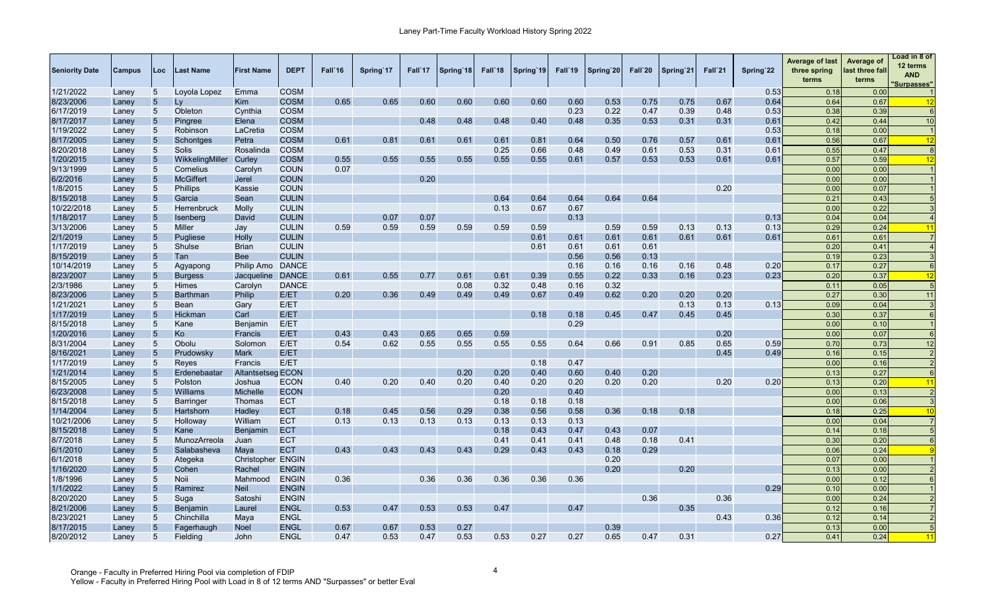| <b>COSM</b><br>0.53<br>0.00<br>5<br>Loyola Lopez<br>Emma<br>0.18<br>Laney<br>$5\overline{)}$<br><b>COSM</b><br>0.65<br>0.65<br>0.60<br>0.60<br>0.60<br>0.60<br>0.75<br>0.75<br>Ly<br>Kim<br>0.60<br>0.53<br>0.67<br>0.64<br>0.64<br>0.67<br>Laney<br>12<br>0.23<br>0.22<br>0.47<br>0.39<br>0.48<br>5<br>Obleton<br><b>COSM</b><br>0.53<br>0.38<br>0.39<br>6<br>Cynthia<br>Laney<br><b>COSM</b><br>0.48<br>0.48<br>0.48<br>0.40<br>0.48<br>0.35<br>0.53<br>0.31<br>0.31<br>10<br>$5\overline{)}$<br>Pingree<br>Elena<br>0.61<br>0.42<br>0.44<br>Laney<br>1/19/2022<br>0.53<br>5<br>Robinson<br>LaCretia<br><b>COSM</b><br>0.18<br>0.00<br>Laney<br>0.61<br>0.64<br>0.50<br>0.76<br>$5\overline{)}$<br><b>COSM</b><br>0.61<br>0.81<br>0.61<br>0.61<br>0.81<br>0.57<br>0.61<br>0.61<br>0.56<br>0.67<br>Schontges<br>Petra<br>12<br>Laney<br>0.25<br>0.61<br>$5\phantom{.0}$<br><b>COSM</b><br>0.66<br>0.48<br>0.49<br>0.53<br>0.31<br>$0.6^{\circ}$<br>0.55<br>0.47<br>Solis<br>Rosalinda<br>$\epsilon$<br>Laney<br>1/20/2015<br>0.55<br>0.55<br>0.55<br>0.55<br>0.61<br>0.53<br>0.53<br>0.57<br>5<br>WikkelingMiller<br>Curley<br><b>COSM</b><br>0.55<br>0.55<br>0.57<br>0.61<br>0.61<br>0.59<br>12<br>Laney<br>5<br><b>COUN</b><br>0.07<br>0.00<br>0.00<br>Cornelius<br>Carolyn<br>Laney<br><b>McGiffert</b><br><b>COUN</b><br>0.20<br>0.00<br>0.00<br>5<br>Jerel<br>Laney<br>0.20<br>1/8/2015<br>$5\overline{)}$<br><b>Phillips</b><br><b>COUN</b><br>0.00<br>0.07<br>Kassie<br>Laney<br>0.64<br>0.64<br>0.64<br>8/15/2018<br><b>CULIN</b><br>0.64<br>0.64<br>0.21<br>0.43<br>5<br>Garcia<br>Sean<br>Laney<br>10/22/2018<br>0.13<br>0.67<br>0.00<br>0.22<br>5<br><b>Molly</b><br><b>CULIN</b><br>0.67<br>Herrenbruck<br>Laney<br>1/18/2017<br>David<br><b>CULIN</b><br>0.07<br>0.07<br>0.13<br>0.13<br>0.04<br>5<br><b>Isenberg</b><br>0.04<br>Laney<br>0.59<br>0.59<br>0.59<br>0.59<br>0.59<br>0.59<br>0.59<br>0.59<br>0.13<br>0.13<br>0.24<br>5<br>Miller<br><b>CULIN</b><br>0.13<br>0.29<br>Jay<br>11<br>Laney<br><b>CULIN</b><br>0.61<br>5<br>Holly<br>0.61<br>0.61<br>0.61<br>0.61<br>0.61<br>0.61<br>0.61<br>0.61<br>Pugliese<br>Laney<br>0.41<br>$5\overline{)}$<br>Shulse<br><b>CULIN</b><br>0.61<br>0.61<br>0.61<br>0.20<br><b>Brian</b><br>0.61<br>Laney<br>$5\overline{)}$<br><b>CULIN</b><br>0.56<br>0.56<br>0.13<br>0.23<br>Tan<br><b>Bee</b><br>Laney<br>0.19<br>10/14/2019<br>$5\phantom{.0}$<br>Philip Amo<br><b>DANCE</b><br>0.16<br>0.16<br>0.16<br>0.16<br>0.48<br>0.20<br>0.27<br>0.17<br>Laney<br>Agyapong<br>-6<br>5<br>0.39<br>0.55<br><b>DANCE</b><br>0.61<br>0.55<br>0.61<br>0.61<br>0.22<br>0.33<br>0.16<br>0.23<br>0.23<br>0.20<br>0.37<br><b>Burgess</b><br>Jacqueline<br>0.77<br>12<br>Laney<br>$5\phantom{.0}$<br><b>DANCE</b><br>0.32<br>0.48<br>0.16<br>0.32<br>0.05<br>Himes<br>0.08<br>0.11<br>$\sqrt{5}$<br>Carolyn<br>Laney<br>0.20<br>0.36<br>0.20<br>$5\overline{)}$<br>Philip<br>E/ET<br>0.49<br>0.49<br>0.49<br>0.67<br>0.49<br>0.62<br>0.20<br>0.20<br>0.27<br>0.3C<br>11<br><b>Barthman</b><br>Laney<br>1/21/2021<br>E/ET<br>0.13<br>0.13<br>0.13<br>5<br><b>Bean</b><br>Gary<br>0.09<br>0.04<br>Laney<br>1/17/2019<br>$5\overline{)}$<br>0.18<br>0.45<br>Carl<br>E/ET<br>0.18<br>0.45<br>0.47<br>0.45<br>0.30<br>0.37<br>Hickman<br>6<br>Laney<br>$5\overline{)}$<br>E/ET<br>0.29<br>0.00<br>0.10<br>Kane<br><b>Benjamin</b><br>Laney<br>0.59<br>1/20/2016<br>$5\overline{)}$<br>0.43<br>0.43<br>0.65<br>0.65<br>0.20<br>Ko<br>E/ET<br>0.00<br>0.07<br>Francis<br>$\epsilon$<br>Laney<br>8/31/2004<br>0.62<br>0.55<br>0.55<br>0.55<br>0.55<br>0.64<br>0.91<br>0.73<br>Obolu<br>Solomon<br>E/ET<br>0.54<br>0.66<br>0.85<br>0.65<br>0.59<br>0.70<br>12<br>5<br>Laney<br>8/16/2021<br>$5\overline{)}$<br>E/ET<br>0.45<br>0.49<br>Prudowsky<br><b>Mark</b><br>0.16<br>0.15<br>Laney<br>1/17/2019<br>E/ET<br>0.18<br>0.47<br>5<br>Reyes<br>0.00<br>0.16<br>Francis<br>Laney<br>1/21/2014<br><b>Altantsetseg ECON</b><br>0.20<br>0.20<br>0.60<br>0.40<br>0.20<br>$5\overline{)}$<br>0.40<br>0.13<br>0.27<br>Erdenebaatar<br>Laney<br>-6<br>0.20<br>8/15/2005<br><b>ECON</b><br>0.40<br>0.40<br>0.20<br>0.20<br>0.20<br>0.20<br>0.20<br>0.20<br>0.20<br>0.2C<br>5<br>Polston<br>0.40<br>0.13<br>11<br>Joshua<br>Laney<br>6/23/2008<br>5<br>Williams<br><b>Michelle</b><br><b>ECON</b><br>0.20<br>0.40<br>0.00<br>0.13<br>$\overline{2}$<br>Laney<br>8/15/2018<br><b>ECT</b><br>0.18<br>0.18<br>0.18<br>0.00<br>0.06<br>5<br>Thomas<br>Barringer<br>Laney<br>1/14/2004<br><b>ECT</b><br>0.18<br>0.45<br>0.56<br>0.29<br>0.58<br>0.36<br>0.18<br>0.18<br>0.25<br>$5\overline{)}$<br>Hadley<br>0.38<br>0.56<br>0.18<br>Hartshorn<br>10<br>Laney<br>10/21/2006<br><b>ECT</b><br>0.13<br>0.13<br>0.13<br>0.13<br>0.13<br>0.13<br>0.04<br>5<br>Holloway<br>William<br>0.13<br>0.00<br>Laney<br>8/15/2018<br>$5\overline{)}$<br><b>ECT</b><br>0.43<br>0.07<br>0.18<br>Kane<br>0.18<br>0.43<br>0.47<br>0.14<br>Laney<br><b>Benjamin</b><br><b>ECT</b><br>8/7/2018<br>5<br>0.41<br>0.41<br>0.41<br>0.48<br>0.18<br>0.41<br>0.30<br>0.20<br>MunozArreola<br>Juan<br>6<br>Laney<br>$5\phantom{.0}$<br>0.43<br>0.43<br>0.24<br><b>ECT</b><br>0.43<br>0.43<br>0.29<br>0.43<br>0.43<br>0.29<br>0.06<br>6/1/2010<br>Salabasheva<br>Maya<br>0.18<br>Laney<br><b>ENGIN</b><br>0.20<br>6/1/2018<br>5<br>Christopher<br>0.07<br>0.00<br>Ategeka<br>Laney<br>1/16/2020<br>$\overline{5}$<br>0.20<br>0.20<br>Cohen<br>Rachel<br><b>ENGIN</b><br>0.13<br>0.00<br>Laney<br>0.36<br>0.36<br>0.36<br>0.36<br>0.36<br>0.36<br>1/8/1996<br>5<br><b>Noii</b><br><b>ENGIN</b><br>0.00<br>0.12<br>Mahmood<br>Laney<br>1/1/2022<br>5<br>Ramirez<br><b>Neil</b><br><b>ENGIN</b><br>0.29<br>0.10<br>0.00<br>Laney<br>0.36<br>0.36<br>8/20/2020<br>5<br><b>ENGIN</b><br>0.00<br>0.24<br>Satosh<br>Suga<br>Laney<br>8/21/2006<br>0.47<br>0.53<br>0.47<br>0.47<br>0.35<br>$5\overline{)}$<br><b>ENGL</b><br>0.53<br>0.53<br>0.12<br>0.16<br>Benjamin<br>Laurel<br>Laney<br>0.43<br>8/23/2021<br>5<br><b>ENGL</b><br>0.36<br>0.12<br>0.14<br>Chinchilla<br>Maya<br>Laney<br>8/17/2015<br>0.67<br>0.67<br>0.53<br>0.39<br>5<br>5<br><b>Noel</b><br><b>ENGL</b><br>0.27<br>0.13<br>0.00<br>Fagerhaugh<br>Laney<br>8/20/2012<br>0.53<br>0.53<br>0.27<br>0.27<br>0.65<br>0.47<br>0.31<br>5<br>Fielding<br>John<br><b>ENGL</b><br>0.47<br>0.53<br>0.47<br>0.27<br>0.41<br>0.24<br>11<br>Laney | <b>Seniority Date</b> | Campus | Loc | Last Name | <b>First Name</b> | <b>DEPT</b> | Fall'16 | Spring 17 | Fall 17 | Spring 18 | Fall`18 | Spring 19 | Fall'19 | Spring 20 | Fall`20 | Spring 21 | Fall`21 | Spring 22 | <b>Average of last</b><br>three spring<br>terms | Average of<br>last three fall<br>terms | Load in 8 of<br>12 terms<br><b>AND</b><br><b>Surpasses"</b> |
|-----------------------------------------------------------------------------------------------------------------------------------------------------------------------------------------------------------------------------------------------------------------------------------------------------------------------------------------------------------------------------------------------------------------------------------------------------------------------------------------------------------------------------------------------------------------------------------------------------------------------------------------------------------------------------------------------------------------------------------------------------------------------------------------------------------------------------------------------------------------------------------------------------------------------------------------------------------------------------------------------------------------------------------------------------------------------------------------------------------------------------------------------------------------------------------------------------------------------------------------------------------------------------------------------------------------------------------------------------------------------------------------------------------------------------------------------------------------------------------------------------------------------------------------------------------------------------------------------------------------------------------------------------------------------------------------------------------------------------------------------------------------------------------------------------------------------------------------------------------------------------------------------------------------------------------------------------------------------------------------------------------------------------------------------------------------------------------------------------------------------------------------------------------------------------------------------------------------------------------------------------------------------------------------------------------------------------------------------------------------------------------------------------------------------------------------------------------------------------------------------------------------------------------------------------------------------------------------------------------------------------------------------------------------------------------------------------------------------------------------------------------------------------------------------------------------------------------------------------------------------------------------------------------------------------------------------------------------------------------------------------------------------------------------------------------------------------------------------------------------------------------------------------------------------------------------------------------------------------------------------------------------------------------------------------------------------------------------------------------------------------------------------------------------------------------------------------------------------------------------------------------------------------------------------------------------------------------------------------------------------------------------------------------------------------------------------------------------------------------------------------------------------------------------------------------------------------------------------------------------------------------------------------------------------------------------------------------------------------------------------------------------------------------------------------------------------------------------------------------------------------------------------------------------------------------------------------------------------------------------------------------------------------------------------------------------------------------------------------------------------------------------------------------------------------------------------------------------------------------------------------------------------------------------------------------------------------------------------------------------------------------------------------------------------------------------------------------------------------------------------------------------------------------------------------------------------------------------------------------------------------------------------------------------------------------------------------------------------------------------------------------------------------------------------------------------------------------------------------------------------------------------------------------------------------------------------------------------------------------------------------------------------------------------------------------------------------------------------------------------------------------------------------------------------------------------------------------------------------------------------------------------------------------------------------------------------------------------------------------------------------------------------------------------------------------------------------------------------------------------------------------------------------------------------------------------------------------------------------------------------------------------------------------------------------------------------------------------------------------------------------------------------------------------------------------------------------------------------------------------------------------------------------------------------------------------------------------------------------------------------------------------------------------------------------------------------------------------------------------------------------------------|-----------------------|--------|-----|-----------|-------------------|-------------|---------|-----------|---------|-----------|---------|-----------|---------|-----------|---------|-----------|---------|-----------|-------------------------------------------------|----------------------------------------|-------------------------------------------------------------|
|                                                                                                                                                                                                                                                                                                                                                                                                                                                                                                                                                                                                                                                                                                                                                                                                                                                                                                                                                                                                                                                                                                                                                                                                                                                                                                                                                                                                                                                                                                                                                                                                                                                                                                                                                                                                                                                                                                                                                                                                                                                                                                                                                                                                                                                                                                                                                                                                                                                                                                                                                                                                                                                                                                                                                                                                                                                                                                                                                                                                                                                                                                                                                                                                                                                                                                                                                                                                                                                                                                                                                                                                                                                                                                                                                                                                                                                                                                                                                                                                                                                                                                                                                                                                                                                                                                                                                                                                                                                                                                                                                                                                                                                                                                                                                                                                                                                                                                                                                                                                                                                                                                                                                                                                                                                                                                                                                                                                                                                                                                                                                                                                                                                                                                                                                                                                                                                                                                                                                                                                                                                                                                                                                                                                                                                                                                                                                                                         | 1/21/2022             |        |     |           |                   |             |         |           |         |           |         |           |         |           |         |           |         |           |                                                 |                                        |                                                             |
|                                                                                                                                                                                                                                                                                                                                                                                                                                                                                                                                                                                                                                                                                                                                                                                                                                                                                                                                                                                                                                                                                                                                                                                                                                                                                                                                                                                                                                                                                                                                                                                                                                                                                                                                                                                                                                                                                                                                                                                                                                                                                                                                                                                                                                                                                                                                                                                                                                                                                                                                                                                                                                                                                                                                                                                                                                                                                                                                                                                                                                                                                                                                                                                                                                                                                                                                                                                                                                                                                                                                                                                                                                                                                                                                                                                                                                                                                                                                                                                                                                                                                                                                                                                                                                                                                                                                                                                                                                                                                                                                                                                                                                                                                                                                                                                                                                                                                                                                                                                                                                                                                                                                                                                                                                                                                                                                                                                                                                                                                                                                                                                                                                                                                                                                                                                                                                                                                                                                                                                                                                                                                                                                                                                                                                                                                                                                                                                         | 8/23/2006             |        |     |           |                   |             |         |           |         |           |         |           |         |           |         |           |         |           |                                                 |                                        |                                                             |
|                                                                                                                                                                                                                                                                                                                                                                                                                                                                                                                                                                                                                                                                                                                                                                                                                                                                                                                                                                                                                                                                                                                                                                                                                                                                                                                                                                                                                                                                                                                                                                                                                                                                                                                                                                                                                                                                                                                                                                                                                                                                                                                                                                                                                                                                                                                                                                                                                                                                                                                                                                                                                                                                                                                                                                                                                                                                                                                                                                                                                                                                                                                                                                                                                                                                                                                                                                                                                                                                                                                                                                                                                                                                                                                                                                                                                                                                                                                                                                                                                                                                                                                                                                                                                                                                                                                                                                                                                                                                                                                                                                                                                                                                                                                                                                                                                                                                                                                                                                                                                                                                                                                                                                                                                                                                                                                                                                                                                                                                                                                                                                                                                                                                                                                                                                                                                                                                                                                                                                                                                                                                                                                                                                                                                                                                                                                                                                                         | 6/17/2019             |        |     |           |                   |             |         |           |         |           |         |           |         |           |         |           |         |           |                                                 |                                        |                                                             |
|                                                                                                                                                                                                                                                                                                                                                                                                                                                                                                                                                                                                                                                                                                                                                                                                                                                                                                                                                                                                                                                                                                                                                                                                                                                                                                                                                                                                                                                                                                                                                                                                                                                                                                                                                                                                                                                                                                                                                                                                                                                                                                                                                                                                                                                                                                                                                                                                                                                                                                                                                                                                                                                                                                                                                                                                                                                                                                                                                                                                                                                                                                                                                                                                                                                                                                                                                                                                                                                                                                                                                                                                                                                                                                                                                                                                                                                                                                                                                                                                                                                                                                                                                                                                                                                                                                                                                                                                                                                                                                                                                                                                                                                                                                                                                                                                                                                                                                                                                                                                                                                                                                                                                                                                                                                                                                                                                                                                                                                                                                                                                                                                                                                                                                                                                                                                                                                                                                                                                                                                                                                                                                                                                                                                                                                                                                                                                                                         | 8/17/2017             |        |     |           |                   |             |         |           |         |           |         |           |         |           |         |           |         |           |                                                 |                                        |                                                             |
|                                                                                                                                                                                                                                                                                                                                                                                                                                                                                                                                                                                                                                                                                                                                                                                                                                                                                                                                                                                                                                                                                                                                                                                                                                                                                                                                                                                                                                                                                                                                                                                                                                                                                                                                                                                                                                                                                                                                                                                                                                                                                                                                                                                                                                                                                                                                                                                                                                                                                                                                                                                                                                                                                                                                                                                                                                                                                                                                                                                                                                                                                                                                                                                                                                                                                                                                                                                                                                                                                                                                                                                                                                                                                                                                                                                                                                                                                                                                                                                                                                                                                                                                                                                                                                                                                                                                                                                                                                                                                                                                                                                                                                                                                                                                                                                                                                                                                                                                                                                                                                                                                                                                                                                                                                                                                                                                                                                                                                                                                                                                                                                                                                                                                                                                                                                                                                                                                                                                                                                                                                                                                                                                                                                                                                                                                                                                                                                         |                       |        |     |           |                   |             |         |           |         |           |         |           |         |           |         |           |         |           |                                                 |                                        |                                                             |
|                                                                                                                                                                                                                                                                                                                                                                                                                                                                                                                                                                                                                                                                                                                                                                                                                                                                                                                                                                                                                                                                                                                                                                                                                                                                                                                                                                                                                                                                                                                                                                                                                                                                                                                                                                                                                                                                                                                                                                                                                                                                                                                                                                                                                                                                                                                                                                                                                                                                                                                                                                                                                                                                                                                                                                                                                                                                                                                                                                                                                                                                                                                                                                                                                                                                                                                                                                                                                                                                                                                                                                                                                                                                                                                                                                                                                                                                                                                                                                                                                                                                                                                                                                                                                                                                                                                                                                                                                                                                                                                                                                                                                                                                                                                                                                                                                                                                                                                                                                                                                                                                                                                                                                                                                                                                                                                                                                                                                                                                                                                                                                                                                                                                                                                                                                                                                                                                                                                                                                                                                                                                                                                                                                                                                                                                                                                                                                                         | 8/17/2005             |        |     |           |                   |             |         |           |         |           |         |           |         |           |         |           |         |           |                                                 |                                        |                                                             |
|                                                                                                                                                                                                                                                                                                                                                                                                                                                                                                                                                                                                                                                                                                                                                                                                                                                                                                                                                                                                                                                                                                                                                                                                                                                                                                                                                                                                                                                                                                                                                                                                                                                                                                                                                                                                                                                                                                                                                                                                                                                                                                                                                                                                                                                                                                                                                                                                                                                                                                                                                                                                                                                                                                                                                                                                                                                                                                                                                                                                                                                                                                                                                                                                                                                                                                                                                                                                                                                                                                                                                                                                                                                                                                                                                                                                                                                                                                                                                                                                                                                                                                                                                                                                                                                                                                                                                                                                                                                                                                                                                                                                                                                                                                                                                                                                                                                                                                                                                                                                                                                                                                                                                                                                                                                                                                                                                                                                                                                                                                                                                                                                                                                                                                                                                                                                                                                                                                                                                                                                                                                                                                                                                                                                                                                                                                                                                                                         | 8/20/2018             |        |     |           |                   |             |         |           |         |           |         |           |         |           |         |           |         |           |                                                 |                                        |                                                             |
|                                                                                                                                                                                                                                                                                                                                                                                                                                                                                                                                                                                                                                                                                                                                                                                                                                                                                                                                                                                                                                                                                                                                                                                                                                                                                                                                                                                                                                                                                                                                                                                                                                                                                                                                                                                                                                                                                                                                                                                                                                                                                                                                                                                                                                                                                                                                                                                                                                                                                                                                                                                                                                                                                                                                                                                                                                                                                                                                                                                                                                                                                                                                                                                                                                                                                                                                                                                                                                                                                                                                                                                                                                                                                                                                                                                                                                                                                                                                                                                                                                                                                                                                                                                                                                                                                                                                                                                                                                                                                                                                                                                                                                                                                                                                                                                                                                                                                                                                                                                                                                                                                                                                                                                                                                                                                                                                                                                                                                                                                                                                                                                                                                                                                                                                                                                                                                                                                                                                                                                                                                                                                                                                                                                                                                                                                                                                                                                         |                       |        |     |           |                   |             |         |           |         |           |         |           |         |           |         |           |         |           |                                                 |                                        |                                                             |
|                                                                                                                                                                                                                                                                                                                                                                                                                                                                                                                                                                                                                                                                                                                                                                                                                                                                                                                                                                                                                                                                                                                                                                                                                                                                                                                                                                                                                                                                                                                                                                                                                                                                                                                                                                                                                                                                                                                                                                                                                                                                                                                                                                                                                                                                                                                                                                                                                                                                                                                                                                                                                                                                                                                                                                                                                                                                                                                                                                                                                                                                                                                                                                                                                                                                                                                                                                                                                                                                                                                                                                                                                                                                                                                                                                                                                                                                                                                                                                                                                                                                                                                                                                                                                                                                                                                                                                                                                                                                                                                                                                                                                                                                                                                                                                                                                                                                                                                                                                                                                                                                                                                                                                                                                                                                                                                                                                                                                                                                                                                                                                                                                                                                                                                                                                                                                                                                                                                                                                                                                                                                                                                                                                                                                                                                                                                                                                                         | 9/13/1999             |        |     |           |                   |             |         |           |         |           |         |           |         |           |         |           |         |           |                                                 |                                        |                                                             |
|                                                                                                                                                                                                                                                                                                                                                                                                                                                                                                                                                                                                                                                                                                                                                                                                                                                                                                                                                                                                                                                                                                                                                                                                                                                                                                                                                                                                                                                                                                                                                                                                                                                                                                                                                                                                                                                                                                                                                                                                                                                                                                                                                                                                                                                                                                                                                                                                                                                                                                                                                                                                                                                                                                                                                                                                                                                                                                                                                                                                                                                                                                                                                                                                                                                                                                                                                                                                                                                                                                                                                                                                                                                                                                                                                                                                                                                                                                                                                                                                                                                                                                                                                                                                                                                                                                                                                                                                                                                                                                                                                                                                                                                                                                                                                                                                                                                                                                                                                                                                                                                                                                                                                                                                                                                                                                                                                                                                                                                                                                                                                                                                                                                                                                                                                                                                                                                                                                                                                                                                                                                                                                                                                                                                                                                                                                                                                                                         | 6/2/2016              |        |     |           |                   |             |         |           |         |           |         |           |         |           |         |           |         |           |                                                 |                                        |                                                             |
|                                                                                                                                                                                                                                                                                                                                                                                                                                                                                                                                                                                                                                                                                                                                                                                                                                                                                                                                                                                                                                                                                                                                                                                                                                                                                                                                                                                                                                                                                                                                                                                                                                                                                                                                                                                                                                                                                                                                                                                                                                                                                                                                                                                                                                                                                                                                                                                                                                                                                                                                                                                                                                                                                                                                                                                                                                                                                                                                                                                                                                                                                                                                                                                                                                                                                                                                                                                                                                                                                                                                                                                                                                                                                                                                                                                                                                                                                                                                                                                                                                                                                                                                                                                                                                                                                                                                                                                                                                                                                                                                                                                                                                                                                                                                                                                                                                                                                                                                                                                                                                                                                                                                                                                                                                                                                                                                                                                                                                                                                                                                                                                                                                                                                                                                                                                                                                                                                                                                                                                                                                                                                                                                                                                                                                                                                                                                                                                         |                       |        |     |           |                   |             |         |           |         |           |         |           |         |           |         |           |         |           |                                                 |                                        |                                                             |
|                                                                                                                                                                                                                                                                                                                                                                                                                                                                                                                                                                                                                                                                                                                                                                                                                                                                                                                                                                                                                                                                                                                                                                                                                                                                                                                                                                                                                                                                                                                                                                                                                                                                                                                                                                                                                                                                                                                                                                                                                                                                                                                                                                                                                                                                                                                                                                                                                                                                                                                                                                                                                                                                                                                                                                                                                                                                                                                                                                                                                                                                                                                                                                                                                                                                                                                                                                                                                                                                                                                                                                                                                                                                                                                                                                                                                                                                                                                                                                                                                                                                                                                                                                                                                                                                                                                                                                                                                                                                                                                                                                                                                                                                                                                                                                                                                                                                                                                                                                                                                                                                                                                                                                                                                                                                                                                                                                                                                                                                                                                                                                                                                                                                                                                                                                                                                                                                                                                                                                                                                                                                                                                                                                                                                                                                                                                                                                                         |                       |        |     |           |                   |             |         |           |         |           |         |           |         |           |         |           |         |           |                                                 |                                        |                                                             |
|                                                                                                                                                                                                                                                                                                                                                                                                                                                                                                                                                                                                                                                                                                                                                                                                                                                                                                                                                                                                                                                                                                                                                                                                                                                                                                                                                                                                                                                                                                                                                                                                                                                                                                                                                                                                                                                                                                                                                                                                                                                                                                                                                                                                                                                                                                                                                                                                                                                                                                                                                                                                                                                                                                                                                                                                                                                                                                                                                                                                                                                                                                                                                                                                                                                                                                                                                                                                                                                                                                                                                                                                                                                                                                                                                                                                                                                                                                                                                                                                                                                                                                                                                                                                                                                                                                                                                                                                                                                                                                                                                                                                                                                                                                                                                                                                                                                                                                                                                                                                                                                                                                                                                                                                                                                                                                                                                                                                                                                                                                                                                                                                                                                                                                                                                                                                                                                                                                                                                                                                                                                                                                                                                                                                                                                                                                                                                                                         |                       |        |     |           |                   |             |         |           |         |           |         |           |         |           |         |           |         |           |                                                 |                                        |                                                             |
|                                                                                                                                                                                                                                                                                                                                                                                                                                                                                                                                                                                                                                                                                                                                                                                                                                                                                                                                                                                                                                                                                                                                                                                                                                                                                                                                                                                                                                                                                                                                                                                                                                                                                                                                                                                                                                                                                                                                                                                                                                                                                                                                                                                                                                                                                                                                                                                                                                                                                                                                                                                                                                                                                                                                                                                                                                                                                                                                                                                                                                                                                                                                                                                                                                                                                                                                                                                                                                                                                                                                                                                                                                                                                                                                                                                                                                                                                                                                                                                                                                                                                                                                                                                                                                                                                                                                                                                                                                                                                                                                                                                                                                                                                                                                                                                                                                                                                                                                                                                                                                                                                                                                                                                                                                                                                                                                                                                                                                                                                                                                                                                                                                                                                                                                                                                                                                                                                                                                                                                                                                                                                                                                                                                                                                                                                                                                                                                         |                       |        |     |           |                   |             |         |           |         |           |         |           |         |           |         |           |         |           |                                                 |                                        |                                                             |
|                                                                                                                                                                                                                                                                                                                                                                                                                                                                                                                                                                                                                                                                                                                                                                                                                                                                                                                                                                                                                                                                                                                                                                                                                                                                                                                                                                                                                                                                                                                                                                                                                                                                                                                                                                                                                                                                                                                                                                                                                                                                                                                                                                                                                                                                                                                                                                                                                                                                                                                                                                                                                                                                                                                                                                                                                                                                                                                                                                                                                                                                                                                                                                                                                                                                                                                                                                                                                                                                                                                                                                                                                                                                                                                                                                                                                                                                                                                                                                                                                                                                                                                                                                                                                                                                                                                                                                                                                                                                                                                                                                                                                                                                                                                                                                                                                                                                                                                                                                                                                                                                                                                                                                                                                                                                                                                                                                                                                                                                                                                                                                                                                                                                                                                                                                                                                                                                                                                                                                                                                                                                                                                                                                                                                                                                                                                                                                                         | 3/13/2006             |        |     |           |                   |             |         |           |         |           |         |           |         |           |         |           |         |           |                                                 |                                        |                                                             |
|                                                                                                                                                                                                                                                                                                                                                                                                                                                                                                                                                                                                                                                                                                                                                                                                                                                                                                                                                                                                                                                                                                                                                                                                                                                                                                                                                                                                                                                                                                                                                                                                                                                                                                                                                                                                                                                                                                                                                                                                                                                                                                                                                                                                                                                                                                                                                                                                                                                                                                                                                                                                                                                                                                                                                                                                                                                                                                                                                                                                                                                                                                                                                                                                                                                                                                                                                                                                                                                                                                                                                                                                                                                                                                                                                                                                                                                                                                                                                                                                                                                                                                                                                                                                                                                                                                                                                                                                                                                                                                                                                                                                                                                                                                                                                                                                                                                                                                                                                                                                                                                                                                                                                                                                                                                                                                                                                                                                                                                                                                                                                                                                                                                                                                                                                                                                                                                                                                                                                                                                                                                                                                                                                                                                                                                                                                                                                                                         | 2/1/2019              |        |     |           |                   |             |         |           |         |           |         |           |         |           |         |           |         |           |                                                 |                                        |                                                             |
|                                                                                                                                                                                                                                                                                                                                                                                                                                                                                                                                                                                                                                                                                                                                                                                                                                                                                                                                                                                                                                                                                                                                                                                                                                                                                                                                                                                                                                                                                                                                                                                                                                                                                                                                                                                                                                                                                                                                                                                                                                                                                                                                                                                                                                                                                                                                                                                                                                                                                                                                                                                                                                                                                                                                                                                                                                                                                                                                                                                                                                                                                                                                                                                                                                                                                                                                                                                                                                                                                                                                                                                                                                                                                                                                                                                                                                                                                                                                                                                                                                                                                                                                                                                                                                                                                                                                                                                                                                                                                                                                                                                                                                                                                                                                                                                                                                                                                                                                                                                                                                                                                                                                                                                                                                                                                                                                                                                                                                                                                                                                                                                                                                                                                                                                                                                                                                                                                                                                                                                                                                                                                                                                                                                                                                                                                                                                                                                         | 1/17/2019             |        |     |           |                   |             |         |           |         |           |         |           |         |           |         |           |         |           |                                                 |                                        |                                                             |
|                                                                                                                                                                                                                                                                                                                                                                                                                                                                                                                                                                                                                                                                                                                                                                                                                                                                                                                                                                                                                                                                                                                                                                                                                                                                                                                                                                                                                                                                                                                                                                                                                                                                                                                                                                                                                                                                                                                                                                                                                                                                                                                                                                                                                                                                                                                                                                                                                                                                                                                                                                                                                                                                                                                                                                                                                                                                                                                                                                                                                                                                                                                                                                                                                                                                                                                                                                                                                                                                                                                                                                                                                                                                                                                                                                                                                                                                                                                                                                                                                                                                                                                                                                                                                                                                                                                                                                                                                                                                                                                                                                                                                                                                                                                                                                                                                                                                                                                                                                                                                                                                                                                                                                                                                                                                                                                                                                                                                                                                                                                                                                                                                                                                                                                                                                                                                                                                                                                                                                                                                                                                                                                                                                                                                                                                                                                                                                                         | 8/15/2019             |        |     |           |                   |             |         |           |         |           |         |           |         |           |         |           |         |           |                                                 |                                        |                                                             |
|                                                                                                                                                                                                                                                                                                                                                                                                                                                                                                                                                                                                                                                                                                                                                                                                                                                                                                                                                                                                                                                                                                                                                                                                                                                                                                                                                                                                                                                                                                                                                                                                                                                                                                                                                                                                                                                                                                                                                                                                                                                                                                                                                                                                                                                                                                                                                                                                                                                                                                                                                                                                                                                                                                                                                                                                                                                                                                                                                                                                                                                                                                                                                                                                                                                                                                                                                                                                                                                                                                                                                                                                                                                                                                                                                                                                                                                                                                                                                                                                                                                                                                                                                                                                                                                                                                                                                                                                                                                                                                                                                                                                                                                                                                                                                                                                                                                                                                                                                                                                                                                                                                                                                                                                                                                                                                                                                                                                                                                                                                                                                                                                                                                                                                                                                                                                                                                                                                                                                                                                                                                                                                                                                                                                                                                                                                                                                                                         |                       |        |     |           |                   |             |         |           |         |           |         |           |         |           |         |           |         |           |                                                 |                                        |                                                             |
|                                                                                                                                                                                                                                                                                                                                                                                                                                                                                                                                                                                                                                                                                                                                                                                                                                                                                                                                                                                                                                                                                                                                                                                                                                                                                                                                                                                                                                                                                                                                                                                                                                                                                                                                                                                                                                                                                                                                                                                                                                                                                                                                                                                                                                                                                                                                                                                                                                                                                                                                                                                                                                                                                                                                                                                                                                                                                                                                                                                                                                                                                                                                                                                                                                                                                                                                                                                                                                                                                                                                                                                                                                                                                                                                                                                                                                                                                                                                                                                                                                                                                                                                                                                                                                                                                                                                                                                                                                                                                                                                                                                                                                                                                                                                                                                                                                                                                                                                                                                                                                                                                                                                                                                                                                                                                                                                                                                                                                                                                                                                                                                                                                                                                                                                                                                                                                                                                                                                                                                                                                                                                                                                                                                                                                                                                                                                                                                         | 8/23/2007             |        |     |           |                   |             |         |           |         |           |         |           |         |           |         |           |         |           |                                                 |                                        |                                                             |
|                                                                                                                                                                                                                                                                                                                                                                                                                                                                                                                                                                                                                                                                                                                                                                                                                                                                                                                                                                                                                                                                                                                                                                                                                                                                                                                                                                                                                                                                                                                                                                                                                                                                                                                                                                                                                                                                                                                                                                                                                                                                                                                                                                                                                                                                                                                                                                                                                                                                                                                                                                                                                                                                                                                                                                                                                                                                                                                                                                                                                                                                                                                                                                                                                                                                                                                                                                                                                                                                                                                                                                                                                                                                                                                                                                                                                                                                                                                                                                                                                                                                                                                                                                                                                                                                                                                                                                                                                                                                                                                                                                                                                                                                                                                                                                                                                                                                                                                                                                                                                                                                                                                                                                                                                                                                                                                                                                                                                                                                                                                                                                                                                                                                                                                                                                                                                                                                                                                                                                                                                                                                                                                                                                                                                                                                                                                                                                                         | 2/3/1986              |        |     |           |                   |             |         |           |         |           |         |           |         |           |         |           |         |           |                                                 |                                        |                                                             |
|                                                                                                                                                                                                                                                                                                                                                                                                                                                                                                                                                                                                                                                                                                                                                                                                                                                                                                                                                                                                                                                                                                                                                                                                                                                                                                                                                                                                                                                                                                                                                                                                                                                                                                                                                                                                                                                                                                                                                                                                                                                                                                                                                                                                                                                                                                                                                                                                                                                                                                                                                                                                                                                                                                                                                                                                                                                                                                                                                                                                                                                                                                                                                                                                                                                                                                                                                                                                                                                                                                                                                                                                                                                                                                                                                                                                                                                                                                                                                                                                                                                                                                                                                                                                                                                                                                                                                                                                                                                                                                                                                                                                                                                                                                                                                                                                                                                                                                                                                                                                                                                                                                                                                                                                                                                                                                                                                                                                                                                                                                                                                                                                                                                                                                                                                                                                                                                                                                                                                                                                                                                                                                                                                                                                                                                                                                                                                                                         | 8/23/2006             |        |     |           |                   |             |         |           |         |           |         |           |         |           |         |           |         |           |                                                 |                                        |                                                             |
|                                                                                                                                                                                                                                                                                                                                                                                                                                                                                                                                                                                                                                                                                                                                                                                                                                                                                                                                                                                                                                                                                                                                                                                                                                                                                                                                                                                                                                                                                                                                                                                                                                                                                                                                                                                                                                                                                                                                                                                                                                                                                                                                                                                                                                                                                                                                                                                                                                                                                                                                                                                                                                                                                                                                                                                                                                                                                                                                                                                                                                                                                                                                                                                                                                                                                                                                                                                                                                                                                                                                                                                                                                                                                                                                                                                                                                                                                                                                                                                                                                                                                                                                                                                                                                                                                                                                                                                                                                                                                                                                                                                                                                                                                                                                                                                                                                                                                                                                                                                                                                                                                                                                                                                                                                                                                                                                                                                                                                                                                                                                                                                                                                                                                                                                                                                                                                                                                                                                                                                                                                                                                                                                                                                                                                                                                                                                                                                         |                       |        |     |           |                   |             |         |           |         |           |         |           |         |           |         |           |         |           |                                                 |                                        |                                                             |
|                                                                                                                                                                                                                                                                                                                                                                                                                                                                                                                                                                                                                                                                                                                                                                                                                                                                                                                                                                                                                                                                                                                                                                                                                                                                                                                                                                                                                                                                                                                                                                                                                                                                                                                                                                                                                                                                                                                                                                                                                                                                                                                                                                                                                                                                                                                                                                                                                                                                                                                                                                                                                                                                                                                                                                                                                                                                                                                                                                                                                                                                                                                                                                                                                                                                                                                                                                                                                                                                                                                                                                                                                                                                                                                                                                                                                                                                                                                                                                                                                                                                                                                                                                                                                                                                                                                                                                                                                                                                                                                                                                                                                                                                                                                                                                                                                                                                                                                                                                                                                                                                                                                                                                                                                                                                                                                                                                                                                                                                                                                                                                                                                                                                                                                                                                                                                                                                                                                                                                                                                                                                                                                                                                                                                                                                                                                                                                                         |                       |        |     |           |                   |             |         |           |         |           |         |           |         |           |         |           |         |           |                                                 |                                        |                                                             |
|                                                                                                                                                                                                                                                                                                                                                                                                                                                                                                                                                                                                                                                                                                                                                                                                                                                                                                                                                                                                                                                                                                                                                                                                                                                                                                                                                                                                                                                                                                                                                                                                                                                                                                                                                                                                                                                                                                                                                                                                                                                                                                                                                                                                                                                                                                                                                                                                                                                                                                                                                                                                                                                                                                                                                                                                                                                                                                                                                                                                                                                                                                                                                                                                                                                                                                                                                                                                                                                                                                                                                                                                                                                                                                                                                                                                                                                                                                                                                                                                                                                                                                                                                                                                                                                                                                                                                                                                                                                                                                                                                                                                                                                                                                                                                                                                                                                                                                                                                                                                                                                                                                                                                                                                                                                                                                                                                                                                                                                                                                                                                                                                                                                                                                                                                                                                                                                                                                                                                                                                                                                                                                                                                                                                                                                                                                                                                                                         | 8/15/2018             |        |     |           |                   |             |         |           |         |           |         |           |         |           |         |           |         |           |                                                 |                                        |                                                             |
|                                                                                                                                                                                                                                                                                                                                                                                                                                                                                                                                                                                                                                                                                                                                                                                                                                                                                                                                                                                                                                                                                                                                                                                                                                                                                                                                                                                                                                                                                                                                                                                                                                                                                                                                                                                                                                                                                                                                                                                                                                                                                                                                                                                                                                                                                                                                                                                                                                                                                                                                                                                                                                                                                                                                                                                                                                                                                                                                                                                                                                                                                                                                                                                                                                                                                                                                                                                                                                                                                                                                                                                                                                                                                                                                                                                                                                                                                                                                                                                                                                                                                                                                                                                                                                                                                                                                                                                                                                                                                                                                                                                                                                                                                                                                                                                                                                                                                                                                                                                                                                                                                                                                                                                                                                                                                                                                                                                                                                                                                                                                                                                                                                                                                                                                                                                                                                                                                                                                                                                                                                                                                                                                                                                                                                                                                                                                                                                         |                       |        |     |           |                   |             |         |           |         |           |         |           |         |           |         |           |         |           |                                                 |                                        |                                                             |
|                                                                                                                                                                                                                                                                                                                                                                                                                                                                                                                                                                                                                                                                                                                                                                                                                                                                                                                                                                                                                                                                                                                                                                                                                                                                                                                                                                                                                                                                                                                                                                                                                                                                                                                                                                                                                                                                                                                                                                                                                                                                                                                                                                                                                                                                                                                                                                                                                                                                                                                                                                                                                                                                                                                                                                                                                                                                                                                                                                                                                                                                                                                                                                                                                                                                                                                                                                                                                                                                                                                                                                                                                                                                                                                                                                                                                                                                                                                                                                                                                                                                                                                                                                                                                                                                                                                                                                                                                                                                                                                                                                                                                                                                                                                                                                                                                                                                                                                                                                                                                                                                                                                                                                                                                                                                                                                                                                                                                                                                                                                                                                                                                                                                                                                                                                                                                                                                                                                                                                                                                                                                                                                                                                                                                                                                                                                                                                                         |                       |        |     |           |                   |             |         |           |         |           |         |           |         |           |         |           |         |           |                                                 |                                        |                                                             |
|                                                                                                                                                                                                                                                                                                                                                                                                                                                                                                                                                                                                                                                                                                                                                                                                                                                                                                                                                                                                                                                                                                                                                                                                                                                                                                                                                                                                                                                                                                                                                                                                                                                                                                                                                                                                                                                                                                                                                                                                                                                                                                                                                                                                                                                                                                                                                                                                                                                                                                                                                                                                                                                                                                                                                                                                                                                                                                                                                                                                                                                                                                                                                                                                                                                                                                                                                                                                                                                                                                                                                                                                                                                                                                                                                                                                                                                                                                                                                                                                                                                                                                                                                                                                                                                                                                                                                                                                                                                                                                                                                                                                                                                                                                                                                                                                                                                                                                                                                                                                                                                                                                                                                                                                                                                                                                                                                                                                                                                                                                                                                                                                                                                                                                                                                                                                                                                                                                                                                                                                                                                                                                                                                                                                                                                                                                                                                                                         |                       |        |     |           |                   |             |         |           |         |           |         |           |         |           |         |           |         |           |                                                 |                                        |                                                             |
|                                                                                                                                                                                                                                                                                                                                                                                                                                                                                                                                                                                                                                                                                                                                                                                                                                                                                                                                                                                                                                                                                                                                                                                                                                                                                                                                                                                                                                                                                                                                                                                                                                                                                                                                                                                                                                                                                                                                                                                                                                                                                                                                                                                                                                                                                                                                                                                                                                                                                                                                                                                                                                                                                                                                                                                                                                                                                                                                                                                                                                                                                                                                                                                                                                                                                                                                                                                                                                                                                                                                                                                                                                                                                                                                                                                                                                                                                                                                                                                                                                                                                                                                                                                                                                                                                                                                                                                                                                                                                                                                                                                                                                                                                                                                                                                                                                                                                                                                                                                                                                                                                                                                                                                                                                                                                                                                                                                                                                                                                                                                                                                                                                                                                                                                                                                                                                                                                                                                                                                                                                                                                                                                                                                                                                                                                                                                                                                         |                       |        |     |           |                   |             |         |           |         |           |         |           |         |           |         |           |         |           |                                                 |                                        |                                                             |
|                                                                                                                                                                                                                                                                                                                                                                                                                                                                                                                                                                                                                                                                                                                                                                                                                                                                                                                                                                                                                                                                                                                                                                                                                                                                                                                                                                                                                                                                                                                                                                                                                                                                                                                                                                                                                                                                                                                                                                                                                                                                                                                                                                                                                                                                                                                                                                                                                                                                                                                                                                                                                                                                                                                                                                                                                                                                                                                                                                                                                                                                                                                                                                                                                                                                                                                                                                                                                                                                                                                                                                                                                                                                                                                                                                                                                                                                                                                                                                                                                                                                                                                                                                                                                                                                                                                                                                                                                                                                                                                                                                                                                                                                                                                                                                                                                                                                                                                                                                                                                                                                                                                                                                                                                                                                                                                                                                                                                                                                                                                                                                                                                                                                                                                                                                                                                                                                                                                                                                                                                                                                                                                                                                                                                                                                                                                                                                                         |                       |        |     |           |                   |             |         |           |         |           |         |           |         |           |         |           |         |           |                                                 |                                        |                                                             |
|                                                                                                                                                                                                                                                                                                                                                                                                                                                                                                                                                                                                                                                                                                                                                                                                                                                                                                                                                                                                                                                                                                                                                                                                                                                                                                                                                                                                                                                                                                                                                                                                                                                                                                                                                                                                                                                                                                                                                                                                                                                                                                                                                                                                                                                                                                                                                                                                                                                                                                                                                                                                                                                                                                                                                                                                                                                                                                                                                                                                                                                                                                                                                                                                                                                                                                                                                                                                                                                                                                                                                                                                                                                                                                                                                                                                                                                                                                                                                                                                                                                                                                                                                                                                                                                                                                                                                                                                                                                                                                                                                                                                                                                                                                                                                                                                                                                                                                                                                                                                                                                                                                                                                                                                                                                                                                                                                                                                                                                                                                                                                                                                                                                                                                                                                                                                                                                                                                                                                                                                                                                                                                                                                                                                                                                                                                                                                                                         |                       |        |     |           |                   |             |         |           |         |           |         |           |         |           |         |           |         |           |                                                 |                                        |                                                             |
|                                                                                                                                                                                                                                                                                                                                                                                                                                                                                                                                                                                                                                                                                                                                                                                                                                                                                                                                                                                                                                                                                                                                                                                                                                                                                                                                                                                                                                                                                                                                                                                                                                                                                                                                                                                                                                                                                                                                                                                                                                                                                                                                                                                                                                                                                                                                                                                                                                                                                                                                                                                                                                                                                                                                                                                                                                                                                                                                                                                                                                                                                                                                                                                                                                                                                                                                                                                                                                                                                                                                                                                                                                                                                                                                                                                                                                                                                                                                                                                                                                                                                                                                                                                                                                                                                                                                                                                                                                                                                                                                                                                                                                                                                                                                                                                                                                                                                                                                                                                                                                                                                                                                                                                                                                                                                                                                                                                                                                                                                                                                                                                                                                                                                                                                                                                                                                                                                                                                                                                                                                                                                                                                                                                                                                                                                                                                                                                         |                       |        |     |           |                   |             |         |           |         |           |         |           |         |           |         |           |         |           |                                                 |                                        |                                                             |
|                                                                                                                                                                                                                                                                                                                                                                                                                                                                                                                                                                                                                                                                                                                                                                                                                                                                                                                                                                                                                                                                                                                                                                                                                                                                                                                                                                                                                                                                                                                                                                                                                                                                                                                                                                                                                                                                                                                                                                                                                                                                                                                                                                                                                                                                                                                                                                                                                                                                                                                                                                                                                                                                                                                                                                                                                                                                                                                                                                                                                                                                                                                                                                                                                                                                                                                                                                                                                                                                                                                                                                                                                                                                                                                                                                                                                                                                                                                                                                                                                                                                                                                                                                                                                                                                                                                                                                                                                                                                                                                                                                                                                                                                                                                                                                                                                                                                                                                                                                                                                                                                                                                                                                                                                                                                                                                                                                                                                                                                                                                                                                                                                                                                                                                                                                                                                                                                                                                                                                                                                                                                                                                                                                                                                                                                                                                                                                                         |                       |        |     |           |                   |             |         |           |         |           |         |           |         |           |         |           |         |           |                                                 |                                        |                                                             |
|                                                                                                                                                                                                                                                                                                                                                                                                                                                                                                                                                                                                                                                                                                                                                                                                                                                                                                                                                                                                                                                                                                                                                                                                                                                                                                                                                                                                                                                                                                                                                                                                                                                                                                                                                                                                                                                                                                                                                                                                                                                                                                                                                                                                                                                                                                                                                                                                                                                                                                                                                                                                                                                                                                                                                                                                                                                                                                                                                                                                                                                                                                                                                                                                                                                                                                                                                                                                                                                                                                                                                                                                                                                                                                                                                                                                                                                                                                                                                                                                                                                                                                                                                                                                                                                                                                                                                                                                                                                                                                                                                                                                                                                                                                                                                                                                                                                                                                                                                                                                                                                                                                                                                                                                                                                                                                                                                                                                                                                                                                                                                                                                                                                                                                                                                                                                                                                                                                                                                                                                                                                                                                                                                                                                                                                                                                                                                                                         |                       |        |     |           |                   |             |         |           |         |           |         |           |         |           |         |           |         |           |                                                 |                                        |                                                             |
|                                                                                                                                                                                                                                                                                                                                                                                                                                                                                                                                                                                                                                                                                                                                                                                                                                                                                                                                                                                                                                                                                                                                                                                                                                                                                                                                                                                                                                                                                                                                                                                                                                                                                                                                                                                                                                                                                                                                                                                                                                                                                                                                                                                                                                                                                                                                                                                                                                                                                                                                                                                                                                                                                                                                                                                                                                                                                                                                                                                                                                                                                                                                                                                                                                                                                                                                                                                                                                                                                                                                                                                                                                                                                                                                                                                                                                                                                                                                                                                                                                                                                                                                                                                                                                                                                                                                                                                                                                                                                                                                                                                                                                                                                                                                                                                                                                                                                                                                                                                                                                                                                                                                                                                                                                                                                                                                                                                                                                                                                                                                                                                                                                                                                                                                                                                                                                                                                                                                                                                                                                                                                                                                                                                                                                                                                                                                                                                         |                       |        |     |           |                   |             |         |           |         |           |         |           |         |           |         |           |         |           |                                                 |                                        |                                                             |
|                                                                                                                                                                                                                                                                                                                                                                                                                                                                                                                                                                                                                                                                                                                                                                                                                                                                                                                                                                                                                                                                                                                                                                                                                                                                                                                                                                                                                                                                                                                                                                                                                                                                                                                                                                                                                                                                                                                                                                                                                                                                                                                                                                                                                                                                                                                                                                                                                                                                                                                                                                                                                                                                                                                                                                                                                                                                                                                                                                                                                                                                                                                                                                                                                                                                                                                                                                                                                                                                                                                                                                                                                                                                                                                                                                                                                                                                                                                                                                                                                                                                                                                                                                                                                                                                                                                                                                                                                                                                                                                                                                                                                                                                                                                                                                                                                                                                                                                                                                                                                                                                                                                                                                                                                                                                                                                                                                                                                                                                                                                                                                                                                                                                                                                                                                                                                                                                                                                                                                                                                                                                                                                                                                                                                                                                                                                                                                                         |                       |        |     |           |                   |             |         |           |         |           |         |           |         |           |         |           |         |           |                                                 |                                        |                                                             |
|                                                                                                                                                                                                                                                                                                                                                                                                                                                                                                                                                                                                                                                                                                                                                                                                                                                                                                                                                                                                                                                                                                                                                                                                                                                                                                                                                                                                                                                                                                                                                                                                                                                                                                                                                                                                                                                                                                                                                                                                                                                                                                                                                                                                                                                                                                                                                                                                                                                                                                                                                                                                                                                                                                                                                                                                                                                                                                                                                                                                                                                                                                                                                                                                                                                                                                                                                                                                                                                                                                                                                                                                                                                                                                                                                                                                                                                                                                                                                                                                                                                                                                                                                                                                                                                                                                                                                                                                                                                                                                                                                                                                                                                                                                                                                                                                                                                                                                                                                                                                                                                                                                                                                                                                                                                                                                                                                                                                                                                                                                                                                                                                                                                                                                                                                                                                                                                                                                                                                                                                                                                                                                                                                                                                                                                                                                                                                                                         |                       |        |     |           |                   |             |         |           |         |           |         |           |         |           |         |           |         |           |                                                 |                                        |                                                             |
|                                                                                                                                                                                                                                                                                                                                                                                                                                                                                                                                                                                                                                                                                                                                                                                                                                                                                                                                                                                                                                                                                                                                                                                                                                                                                                                                                                                                                                                                                                                                                                                                                                                                                                                                                                                                                                                                                                                                                                                                                                                                                                                                                                                                                                                                                                                                                                                                                                                                                                                                                                                                                                                                                                                                                                                                                                                                                                                                                                                                                                                                                                                                                                                                                                                                                                                                                                                                                                                                                                                                                                                                                                                                                                                                                                                                                                                                                                                                                                                                                                                                                                                                                                                                                                                                                                                                                                                                                                                                                                                                                                                                                                                                                                                                                                                                                                                                                                                                                                                                                                                                                                                                                                                                                                                                                                                                                                                                                                                                                                                                                                                                                                                                                                                                                                                                                                                                                                                                                                                                                                                                                                                                                                                                                                                                                                                                                                                         |                       |        |     |           |                   |             |         |           |         |           |         |           |         |           |         |           |         |           |                                                 |                                        |                                                             |
|                                                                                                                                                                                                                                                                                                                                                                                                                                                                                                                                                                                                                                                                                                                                                                                                                                                                                                                                                                                                                                                                                                                                                                                                                                                                                                                                                                                                                                                                                                                                                                                                                                                                                                                                                                                                                                                                                                                                                                                                                                                                                                                                                                                                                                                                                                                                                                                                                                                                                                                                                                                                                                                                                                                                                                                                                                                                                                                                                                                                                                                                                                                                                                                                                                                                                                                                                                                                                                                                                                                                                                                                                                                                                                                                                                                                                                                                                                                                                                                                                                                                                                                                                                                                                                                                                                                                                                                                                                                                                                                                                                                                                                                                                                                                                                                                                                                                                                                                                                                                                                                                                                                                                                                                                                                                                                                                                                                                                                                                                                                                                                                                                                                                                                                                                                                                                                                                                                                                                                                                                                                                                                                                                                                                                                                                                                                                                                                         |                       |        |     |           |                   |             |         |           |         |           |         |           |         |           |         |           |         |           |                                                 |                                        |                                                             |
|                                                                                                                                                                                                                                                                                                                                                                                                                                                                                                                                                                                                                                                                                                                                                                                                                                                                                                                                                                                                                                                                                                                                                                                                                                                                                                                                                                                                                                                                                                                                                                                                                                                                                                                                                                                                                                                                                                                                                                                                                                                                                                                                                                                                                                                                                                                                                                                                                                                                                                                                                                                                                                                                                                                                                                                                                                                                                                                                                                                                                                                                                                                                                                                                                                                                                                                                                                                                                                                                                                                                                                                                                                                                                                                                                                                                                                                                                                                                                                                                                                                                                                                                                                                                                                                                                                                                                                                                                                                                                                                                                                                                                                                                                                                                                                                                                                                                                                                                                                                                                                                                                                                                                                                                                                                                                                                                                                                                                                                                                                                                                                                                                                                                                                                                                                                                                                                                                                                                                                                                                                                                                                                                                                                                                                                                                                                                                                                         |                       |        |     |           |                   |             |         |           |         |           |         |           |         |           |         |           |         |           |                                                 |                                        |                                                             |
|                                                                                                                                                                                                                                                                                                                                                                                                                                                                                                                                                                                                                                                                                                                                                                                                                                                                                                                                                                                                                                                                                                                                                                                                                                                                                                                                                                                                                                                                                                                                                                                                                                                                                                                                                                                                                                                                                                                                                                                                                                                                                                                                                                                                                                                                                                                                                                                                                                                                                                                                                                                                                                                                                                                                                                                                                                                                                                                                                                                                                                                                                                                                                                                                                                                                                                                                                                                                                                                                                                                                                                                                                                                                                                                                                                                                                                                                                                                                                                                                                                                                                                                                                                                                                                                                                                                                                                                                                                                                                                                                                                                                                                                                                                                                                                                                                                                                                                                                                                                                                                                                                                                                                                                                                                                                                                                                                                                                                                                                                                                                                                                                                                                                                                                                                                                                                                                                                                                                                                                                                                                                                                                                                                                                                                                                                                                                                                                         |                       |        |     |           |                   |             |         |           |         |           |         |           |         |           |         |           |         |           |                                                 |                                        |                                                             |
|                                                                                                                                                                                                                                                                                                                                                                                                                                                                                                                                                                                                                                                                                                                                                                                                                                                                                                                                                                                                                                                                                                                                                                                                                                                                                                                                                                                                                                                                                                                                                                                                                                                                                                                                                                                                                                                                                                                                                                                                                                                                                                                                                                                                                                                                                                                                                                                                                                                                                                                                                                                                                                                                                                                                                                                                                                                                                                                                                                                                                                                                                                                                                                                                                                                                                                                                                                                                                                                                                                                                                                                                                                                                                                                                                                                                                                                                                                                                                                                                                                                                                                                                                                                                                                                                                                                                                                                                                                                                                                                                                                                                                                                                                                                                                                                                                                                                                                                                                                                                                                                                                                                                                                                                                                                                                                                                                                                                                                                                                                                                                                                                                                                                                                                                                                                                                                                                                                                                                                                                                                                                                                                                                                                                                                                                                                                                                                                         |                       |        |     |           |                   |             |         |           |         |           |         |           |         |           |         |           |         |           |                                                 |                                        |                                                             |
|                                                                                                                                                                                                                                                                                                                                                                                                                                                                                                                                                                                                                                                                                                                                                                                                                                                                                                                                                                                                                                                                                                                                                                                                                                                                                                                                                                                                                                                                                                                                                                                                                                                                                                                                                                                                                                                                                                                                                                                                                                                                                                                                                                                                                                                                                                                                                                                                                                                                                                                                                                                                                                                                                                                                                                                                                                                                                                                                                                                                                                                                                                                                                                                                                                                                                                                                                                                                                                                                                                                                                                                                                                                                                                                                                                                                                                                                                                                                                                                                                                                                                                                                                                                                                                                                                                                                                                                                                                                                                                                                                                                                                                                                                                                                                                                                                                                                                                                                                                                                                                                                                                                                                                                                                                                                                                                                                                                                                                                                                                                                                                                                                                                                                                                                                                                                                                                                                                                                                                                                                                                                                                                                                                                                                                                                                                                                                                                         |                       |        |     |           |                   |             |         |           |         |           |         |           |         |           |         |           |         |           |                                                 |                                        |                                                             |
|                                                                                                                                                                                                                                                                                                                                                                                                                                                                                                                                                                                                                                                                                                                                                                                                                                                                                                                                                                                                                                                                                                                                                                                                                                                                                                                                                                                                                                                                                                                                                                                                                                                                                                                                                                                                                                                                                                                                                                                                                                                                                                                                                                                                                                                                                                                                                                                                                                                                                                                                                                                                                                                                                                                                                                                                                                                                                                                                                                                                                                                                                                                                                                                                                                                                                                                                                                                                                                                                                                                                                                                                                                                                                                                                                                                                                                                                                                                                                                                                                                                                                                                                                                                                                                                                                                                                                                                                                                                                                                                                                                                                                                                                                                                                                                                                                                                                                                                                                                                                                                                                                                                                                                                                                                                                                                                                                                                                                                                                                                                                                                                                                                                                                                                                                                                                                                                                                                                                                                                                                                                                                                                                                                                                                                                                                                                                                                                         |                       |        |     |           |                   |             |         |           |         |           |         |           |         |           |         |           |         |           |                                                 |                                        |                                                             |
|                                                                                                                                                                                                                                                                                                                                                                                                                                                                                                                                                                                                                                                                                                                                                                                                                                                                                                                                                                                                                                                                                                                                                                                                                                                                                                                                                                                                                                                                                                                                                                                                                                                                                                                                                                                                                                                                                                                                                                                                                                                                                                                                                                                                                                                                                                                                                                                                                                                                                                                                                                                                                                                                                                                                                                                                                                                                                                                                                                                                                                                                                                                                                                                                                                                                                                                                                                                                                                                                                                                                                                                                                                                                                                                                                                                                                                                                                                                                                                                                                                                                                                                                                                                                                                                                                                                                                                                                                                                                                                                                                                                                                                                                                                                                                                                                                                                                                                                                                                                                                                                                                                                                                                                                                                                                                                                                                                                                                                                                                                                                                                                                                                                                                                                                                                                                                                                                                                                                                                                                                                                                                                                                                                                                                                                                                                                                                                                         |                       |        |     |           |                   |             |         |           |         |           |         |           |         |           |         |           |         |           |                                                 |                                        |                                                             |
|                                                                                                                                                                                                                                                                                                                                                                                                                                                                                                                                                                                                                                                                                                                                                                                                                                                                                                                                                                                                                                                                                                                                                                                                                                                                                                                                                                                                                                                                                                                                                                                                                                                                                                                                                                                                                                                                                                                                                                                                                                                                                                                                                                                                                                                                                                                                                                                                                                                                                                                                                                                                                                                                                                                                                                                                                                                                                                                                                                                                                                                                                                                                                                                                                                                                                                                                                                                                                                                                                                                                                                                                                                                                                                                                                                                                                                                                                                                                                                                                                                                                                                                                                                                                                                                                                                                                                                                                                                                                                                                                                                                                                                                                                                                                                                                                                                                                                                                                                                                                                                                                                                                                                                                                                                                                                                                                                                                                                                                                                                                                                                                                                                                                                                                                                                                                                                                                                                                                                                                                                                                                                                                                                                                                                                                                                                                                                                                         |                       |        |     |           |                   |             |         |           |         |           |         |           |         |           |         |           |         |           |                                                 |                                        |                                                             |
|                                                                                                                                                                                                                                                                                                                                                                                                                                                                                                                                                                                                                                                                                                                                                                                                                                                                                                                                                                                                                                                                                                                                                                                                                                                                                                                                                                                                                                                                                                                                                                                                                                                                                                                                                                                                                                                                                                                                                                                                                                                                                                                                                                                                                                                                                                                                                                                                                                                                                                                                                                                                                                                                                                                                                                                                                                                                                                                                                                                                                                                                                                                                                                                                                                                                                                                                                                                                                                                                                                                                                                                                                                                                                                                                                                                                                                                                                                                                                                                                                                                                                                                                                                                                                                                                                                                                                                                                                                                                                                                                                                                                                                                                                                                                                                                                                                                                                                                                                                                                                                                                                                                                                                                                                                                                                                                                                                                                                                                                                                                                                                                                                                                                                                                                                                                                                                                                                                                                                                                                                                                                                                                                                                                                                                                                                                                                                                                         |                       |        |     |           |                   |             |         |           |         |           |         |           |         |           |         |           |         |           |                                                 |                                        |                                                             |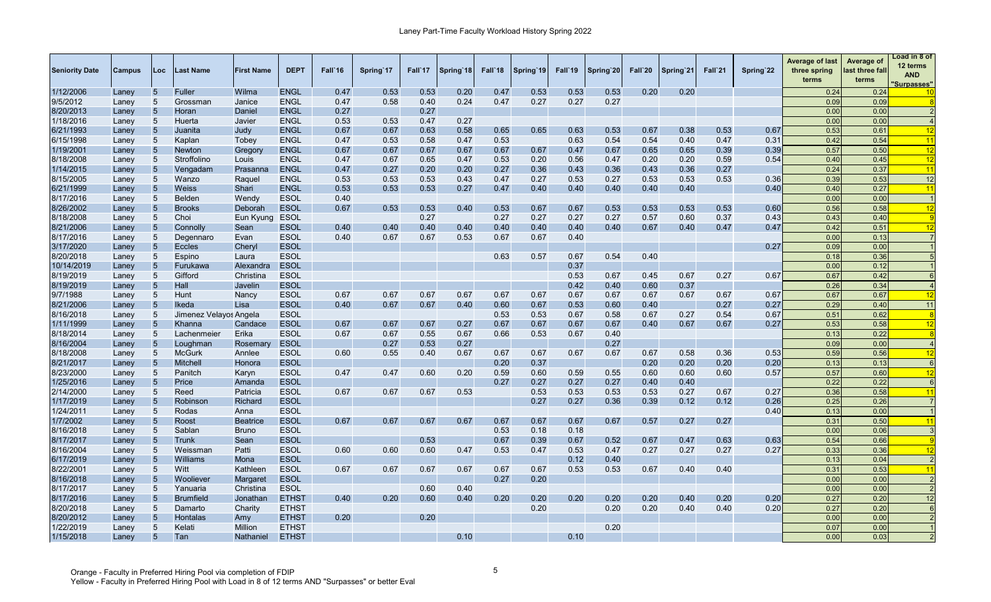| <b>Seniority Date</b> | <b>Campus</b> | Loc             | Last Name              | <b>First Name</b> | <b>DEPT</b>  | Fall`16 | Spring 17 | Fall`17 | Spring 18 | Fall'18 | Spring 19 | Fall'19 | Spring'20 | Fall`20 | Spring 21 | Fall`21 | Spring'22 | <b>Average of last</b><br>three spring<br>terms | Average of<br>last three fall<br>terms | Load in 8 of<br>12 terms<br><b>AND</b><br><u>Surpasses"</u> |
|-----------------------|---------------|-----------------|------------------------|-------------------|--------------|---------|-----------|---------|-----------|---------|-----------|---------|-----------|---------|-----------|---------|-----------|-------------------------------------------------|----------------------------------------|-------------------------------------------------------------|
| 1/12/2006             | Laney         | 5               | Fuller                 | Wilma             | <b>ENGL</b>  | 0.47    | 0.53      | 0.53    | 0.20      | 0.47    | 0.53      | 0.53    | 0.53      | 0.20    | 0.20      |         |           | 0.24                                            | 0.24                                   | 10                                                          |
| 9/5/2012              | Laney         | 5               | Grossman               | Janice            | <b>ENGL</b>  | 0.47    | 0.58      | 0.40    | 0.24      | 0.47    | 0.27      | 0.27    | 0.27      |         |           |         |           | 0.09                                            | 0.09                                   |                                                             |
| 8/20/2013             | Laney         | $5\phantom{.0}$ | Horan                  | Daniel            | <b>ENGL</b>  | 0.27    |           | 0.27    |           |         |           |         |           |         |           |         |           | 0.00                                            | 0.00                                   |                                                             |
| 1/18/2016             | Laney         | 5               | Huerta                 | Javier            | <b>ENGL</b>  | 0.53    | 0.53      | 0.47    | 0.27      |         |           |         |           |         |           |         |           | 0.00                                            | 0.00                                   | $\overline{4}$                                              |
| 6/21/1993             | Laney         | $5\phantom{.0}$ | Juanita                | Judy              | <b>ENGL</b>  | 0.67    | 0.67      | 0.63    | 0.58      | 0.65    | 0.65      | 0.63    | 0.53      | 0.67    | 0.38      | 0.53    | 0.67      | 0.53                                            | 0.61                                   | 12                                                          |
| 6/15/1998             | Laney         | 5               | Kaplan                 | Tobey             | <b>ENGL</b>  | 0.47    | 0.53      | 0.58    | 0.47      | 0.53    |           | 0.63    | 0.54      | 0.54    | 0.40      | 0.47    | 0.3'      | 0.42                                            | 0.54                                   | 11                                                          |
| 1/19/2001             | Laney         | 5               | <b>Newton</b>          | Gregory           | <b>ENGL</b>  | 0.67    | 0.67      | 0.67    | 0.67      | 0.67    | 0.67      | 0.47    | 0.67      | 0.65    | 0.65      | 0.39    | 0.39      | 0.57                                            | 0.50                                   | 12                                                          |
| 8/18/2008             | Laney         | 5               | Stroffolino            | Louis             | <b>ENGL</b>  | 0.47    | 0.67      | 0.65    | 0.47      | 0.53    | 0.20      | 0.56    | 0.47      | 0.20    | 0.20      | 0.59    | 0.54      | 0.40                                            | 0.45                                   | 12                                                          |
| 1/14/2015             | Laney         | 5               | Vengadam               | Prasanna          | <b>ENGL</b>  | 0.47    | 0.27      | 0.20    | 0.20      | 0.27    | 0.36      | 0.43    | 0.36      | 0.43    | 0.36      | 0.27    |           | 0.24                                            | 0.37                                   | 11                                                          |
| 8/15/2005             | Laney         | 5               | Wanzo                  | Raguel            | <b>ENGL</b>  | 0.53    | 0.53      | 0.53    | 0.43      | 0.47    | 0.27      | 0.53    | 0.27      | 0.53    | 0.53      | 0.53    | 0.36      | 0.39                                            | 0.53                                   | 12                                                          |
| 6/21/1999             | Laney         | 5               | <b>Weiss</b>           | Shari             | <b>ENGL</b>  | 0.53    | 0.53      | 0.53    | 0.27      | 0.47    | 0.40      | 0.40    | 0.40      | 0.40    | 0.40      |         | 0.40      | 0.40                                            | 0.27                                   | 11                                                          |
| 8/17/2016             | Laney         | 5               | <b>Belden</b>          | Wendy             | <b>ESOL</b>  | 0.40    |           |         |           |         |           |         |           |         |           |         |           | 0.00                                            | 0.00                                   |                                                             |
| 8/26/2002             | Laney         | $5\phantom{.0}$ | <b>Brooks</b>          | Deborah           | <b>ESOL</b>  | 0.67    | 0.53      | 0.53    | 0.40      | 0.53    | 0.67      | 0.67    | 0.53      | 0.53    | 0.53      | 0.53    | 0.60      | 0.56                                            | 0.58                                   | 12                                                          |
| 8/18/2008             | Laney         | 5               | Choi                   | Eun Kyung         | <b>ESOL</b>  |         |           | 0.27    |           | 0.27    | 0.27      | 0.27    | 0.27      | 0.57    | 0.60      | 0.37    | 0.43      | 0.43                                            | 0.40                                   | <b>i</b> q                                                  |
| 8/21/2006             | Laney         | 5               | Connolly               | Sean              | <b>ESOL</b>  | 0.40    | 0.40      | 0.40    | 0.40      | 0.40    | 0.40      | 0.40    | 0.40      | 0.67    | 0.40      | 0.47    | 0.47      | 0.42                                            | 0.51                                   | $\overline{12}$                                             |
| 8/17/2016             | Laney         | 5               | Degennaro              | Evan              | <b>ESOL</b>  | 0.40    | 0.67      | 0.67    | 0.53      | 0.67    | 0.67      | 0.40    |           |         |           |         |           | 0.00                                            | 0.13                                   |                                                             |
| 3/17/2020             | Laney         | 5 <sub>5</sub>  | <b>Eccles</b>          | Cheryl            | <b>ESOL</b>  |         |           |         |           |         |           |         |           |         |           |         | 0.27      | 0.09                                            | 0.00                                   |                                                             |
| 8/20/2018             | Laney         | 5               | Espino                 | Laura             | <b>ESOL</b>  |         |           |         |           | 0.63    | 0.57      | 0.67    | 0.54      | 0.40    |           |         |           | 0.18                                            | 0.36                                   |                                                             |
| 10/14/2019            | Laney         | 5               | Furukawa               | Alexandra         | <b>ESOL</b>  |         |           |         |           |         |           | 0.37    |           |         |           |         |           | 0.00                                            | 0.12                                   |                                                             |
| 8/19/2019             | Laney         | 5               | Gifford                | Christina         | <b>ESOL</b>  |         |           |         |           |         |           | 0.53    | 0.67      | 0.45    | 0.67      | 0.27    | 0.67      | 0.67                                            | 0.42                                   |                                                             |
| 8/19/2019             |               | $\overline{5}$  | Hall                   | Javelin           | <b>ESOL</b>  |         |           |         |           |         |           | 0.42    | 0.40      | 0.60    | 0.37      |         |           | 0.26                                            | 0.34                                   |                                                             |
| 9/7/1988              | Laney         | 5               | Hunt                   | Nancy             | <b>ESOL</b>  | 0.67    | 0.67      | 0.67    | 0.67      | 0.67    | 0.67      | 0.67    | 0.67      | 0.67    | 0.67      | 0.67    | 0.67      | 0.67                                            | 0.67                                   | 12                                                          |
| 8/21/2006             | Laney         | 5               | Ikeda                  | Lisa              | <b>ESOL</b>  | 0.40    | 0.67      | 0.67    | 0.40      | 0.60    | 0.67      | 0.53    | 0.60      | 0.40    |           | 0.27    | 0.27      | 0.29                                            | 0.40                                   | 11                                                          |
| 8/16/2018             | Laney         | 5               | Jimenez Velayos Angela |                   | <b>ESOL</b>  |         |           |         |           | 0.53    | 0.53      | 0.67    | 0.58      | 0.67    | 0.27      | 0.54    | 0.67      | 0.51                                            | 0.62                                   | -8                                                          |
| 1/11/1999             | Laney         | 5               | Khanna                 |                   | <b>ESOL</b>  |         | 0.67      |         |           |         |           |         |           | 0.40    | 0.67      | 0.67    |           |                                                 |                                        |                                                             |
|                       | Laney         | 5               |                        | Candace           |              | 0.67    |           | 0.67    | 0.27      | 0.67    | 0.67      | 0.67    | 0.67      |         |           |         | 0.27      | 0.53                                            | 0.58                                   | 12<br>-8                                                    |
| 8/18/2014             | Laney         |                 | Lachenmeier            | Erika             | <b>ESOL</b>  | 0.67    | 0.67      | 0.55    | 0.67      | 0.66    | 0.53      | 0.67    | 0.40      |         |           |         |           | 0.13                                            | 0.22                                   |                                                             |
| 8/16/2004             | Laney         | 5               | Loughman               | Rosemary          | <b>ESOL</b>  |         | 0.27      | 0.53    | 0.27      |         |           |         | 0.27      |         |           |         |           | 0.09                                            | 0.00                                   |                                                             |
| 8/18/2008             | Laney         | 5 <sup>5</sup>  | <b>McGurk</b>          | Annlee            | <b>ESOL</b>  | 0.60    | 0.55      | 0.40    | 0.67      | 0.67    | 0.67      | 0.67    | 0.67      | 0.67    | 0.58      | 0.36    | 0.53      | 0.59                                            | 0.56                                   | 12                                                          |
| 8/21/2017             | Laney         | 5               | <b>Mitchell</b>        | Honora            | <b>ESOL</b>  |         |           |         |           | 0.20    | 0.37      |         |           | 0.20    | 0.20      | 0.20    | 0.20      | 0.13                                            | 0.13                                   | $\epsilon$                                                  |
| 8/23/2000             | Laney         | 5 <sup>5</sup>  | Panitch                | Karyn             | <b>ESOL</b>  | 0.47    | 0.47      | 0.60    | 0.20      | 0.59    | 0.60      | 0.59    | 0.55      | 0.60    | 0.60      | 0.60    | 0.57      | 0.57                                            | 0.60                                   | 12                                                          |
| 1/25/2016             | Laney         | 5               | Price                  | Amanda            | <b>ESOL</b>  |         |           |         |           | 0.27    | 0.27      | 0.27    | 0.27      | 0.40    | 0.40      |         |           | 0.22                                            | 0.22                                   | $\epsilon$                                                  |
| 2/14/2000             | Laney         | 5               | Reed                   | Patricia          | <b>ESOL</b>  | 0.67    | 0.67      | 0.67    | 0.53      |         | 0.53      | 0.53    | 0.53      | 0.53    | 0.27      | 0.67    | 0.27      | 0.36                                            | 0.58                                   | 11                                                          |
| 1/17/2019             | Laney         | 5               | Robinson               | Richard           | <b>ESOL</b>  |         |           |         |           |         | 0.27      | 0.27    | 0.36      | 0.39    | 0.12      | 0.12    | 0.26      | 0.25                                            | 0.26                                   |                                                             |
| 1/24/2011             | Laney         | 5               | Rodas                  | Anna              | <b>ESOL</b>  |         |           |         |           |         |           |         |           |         |           |         | 0.40      | 0.13                                            | 0.00                                   |                                                             |
| 1/7/2002              | Laney         | 5               | Roost                  | <b>Beatrice</b>   | <b>ESOL</b>  | 0.67    | 0.67      | 0.67    | 0.67      | 0.67    | 0.67      | 0.67    | 0.67      | 0.57    | 0.27      | 0.27    |           | 0.31                                            | 0.50                                   | 11                                                          |
| 8/16/2018             | Laney         | 5               | Sablan                 | <b>Bruno</b>      | <b>ESOL</b>  |         |           |         |           | 0.53    | 0.18      | 0.18    |           |         |           |         |           | 0.00                                            | 0.06                                   |                                                             |
| 8/17/2017             | Laney         | 5               | Trunk                  | Sean              | <b>ESOL</b>  |         |           | 0.53    |           | 0.67    | 0.39      | 0.67    | 0.52      | 0.67    | 0.47      | 0.63    | 0.63      | 0.54                                            | 0.66                                   | c                                                           |
| 8/16/2004             | Laney         | 5 <sup>5</sup>  | Weissman               | Patti             | <b>ESOL</b>  | 0.60    | 0.60      | 0.60    | 0.47      | 0.53    | 0.47      | 0.53    | 0.47      | 0.27    | 0.27      | 0.27    | 0.27      | 0.33                                            | 0.36                                   | 12                                                          |
| 6/17/2019             | Laney         | 5               | Williams               | Mona              | <b>ESOL</b>  |         |           |         |           |         |           | 0.12    | 0.40      |         |           |         |           | 0.13                                            | 0.04                                   | $\overline{2}$                                              |
| 8/22/2001             | Laney         | 5               | Witt                   | Kathleen          | <b>ESOL</b>  | 0.67    | 0.67      | 0.67    | 0.67      | 0.67    | 0.67      | 0.53    | 0.53      | 0.67    | 0.40      | 0.40    |           | 0.31                                            | 0.53                                   | 11                                                          |
| 8/16/2018             | Laney         | 5               | Wooliever              | Margaret          | <b>ESOL</b>  |         |           |         |           | 0.27    | 0.20      |         |           |         |           |         |           | 0.00                                            | 0.00                                   |                                                             |
| 8/17/2017             | Laney         | 5               | Yanuaria               | Christina         | <b>ESOL</b>  |         |           | 0.60    | 0.40      |         |           |         |           |         |           |         |           | 0.00                                            | 0.00                                   | $\overline{2}$                                              |
| 8/17/2016             | Laney         | 5               | <b>Brumfield</b>       | Jonathan          | <b>ETHST</b> | 0.40    | 0.20      | 0.60    | 0.40      | 0.20    | 0.20      | 0.20    | 0.20      | 0.20    | 0.40      | 0.20    | 0.20      | 0.27                                            | 0.20                                   | 12                                                          |
| 8/20/2018             | Laney         | 5               | Damarto                | Charity           | <b>ETHST</b> |         |           |         |           |         | 0.20      |         | 0.20      | 0.20    | 0.40      | 0.40    | 0.20      | 0.27                                            | 0.20                                   | 6                                                           |
| 8/20/2012             | Laney         | $5\phantom{.}$  | <b>Hontalas</b>        | Amy               | <b>ETHST</b> | 0.20    |           | 0.20    |           |         |           |         |           |         |           |         |           | 0.00                                            | 0.00                                   |                                                             |
| 1/22/2019             | Lanev         | 5               | Kelati                 | Million           | <b>ETHST</b> |         |           |         |           |         |           |         | 0.20      |         |           |         |           | 0.07                                            | 0.00                                   |                                                             |
| 1/15/2018             | Laney         | 5               | Tan                    | Nathaniel         | <b>ETHST</b> |         |           |         | 0.10      |         |           | 0.10    |           |         |           |         |           | 0.00                                            | 0.03                                   |                                                             |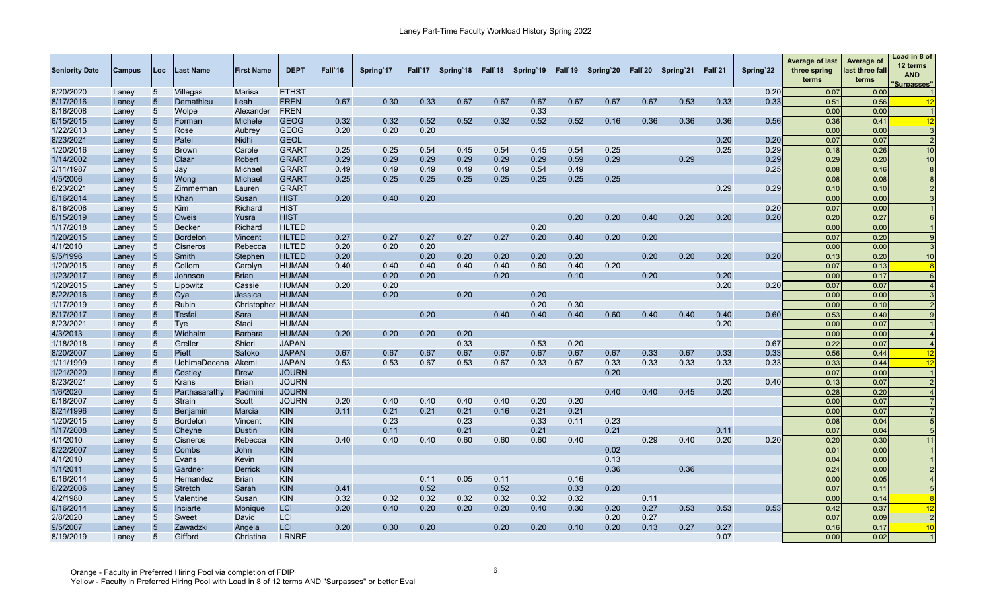| <b>Seniority Date</b>  | <b>Campus</b>  | Loc             | Last Name       | <b>First Name</b> | <b>DEPT</b>  | Fall'16 | Spring 17 | Fall 17 | Spring 18 | Fall <sup>18</sup> | Spring 19 | Fall'19 | Spring 20 | Fall`20 | Spring 21 | Fall`21 | Spring'22 | <b>Average of last</b><br>three spring<br>terms | Average of<br>last three fall<br>terms | Load in 8 of<br>12 terms<br><b>AND</b><br><b>Surpasses"</b> |
|------------------------|----------------|-----------------|-----------------|-------------------|--------------|---------|-----------|---------|-----------|--------------------|-----------|---------|-----------|---------|-----------|---------|-----------|-------------------------------------------------|----------------------------------------|-------------------------------------------------------------|
| 8/20/2020              | Laney          | 5               | Villegas        | Marisa            | <b>ETHST</b> |         |           |         |           |                    |           |         |           |         |           |         | 0.20      | 0.07                                            | 0.00                                   |                                                             |
| 8/17/2016              | Laney          | 5               | Demathieu       | Leah              | <b>FREN</b>  | 0.67    | 0.30      | 0.33    | 0.67      | 0.67               | 0.67      | 0.67    | 0.67      | 0.67    | 0.53      | 0.33    | 0.33      | 0.51                                            | 0.56                                   | 12                                                          |
| 8/18/2008              | Laney          | 5               | Wolpe           | Alexander         | <b>FREN</b>  |         |           |         |           |                    | 0.33      |         |           |         |           |         |           | 0.00                                            | 0.00                                   |                                                             |
| 6/15/2015              | Laney          | 5               | Forman          | Michele           | <b>GEOG</b>  | 0.32    | 0.32      | 0.52    | 0.52      | 0.32               | 0.52      | 0.52    | 0.16      | 0.36    | 0.36      | 0.36    | 0.56      | 0.36                                            | 0.41                                   | 12                                                          |
| 1/22/2013              | Laney          | 5               | Rose            | Aubrey            | <b>GEOG</b>  | 0.20    | 0.20      | 0.20    |           |                    |           |         |           |         |           |         |           | 0.00                                            | 0.00                                   | -3                                                          |
| 8/23/2021              | Laney          | 5               | Patel           | Nidhi             | <b>GEOL</b>  |         |           |         |           |                    |           |         |           |         |           | 0.20    | 0.20      | 0.07                                            | 0.07                                   | $\overline{2}$                                              |
| 1/20/2016              | Laney          | 5 <sup>5</sup>  | <b>Brown</b>    | Carole            | <b>GRART</b> | 0.25    | 0.25      | 0.54    | 0.45      | 0.54               | 0.45      | 0.54    | 0.25      |         |           | 0.25    | 0.29      | 0.18                                            | 0.26                                   | 10                                                          |
| 1/14/2002              | Laney          | 5               | Claar           | Robert            | <b>GRART</b> | 0.29    | 0.29      | 0.29    | 0.29      | 0.29               | 0.29      | 0.59    | 0.29      |         | 0.29      |         | 0.29      | 0.29                                            | 0.20                                   | 10                                                          |
| 2/11/1987              | Laney          | 5               | Jay             | Michael           | <b>GRART</b> | 0.49    | 0.49      | 0.49    | 0.49      | 0.49               | 0.54      | 0.49    |           |         |           |         | 0.25      | 0.08                                            | 0.16                                   | -8                                                          |
| 4/5/2006               | Laney          | 5               | Wong            | Michael           | <b>GRART</b> | 0.25    | 0.25      | 0.25    | 0.25      | 0.25               | 0.25      | 0.25    | 0.25      |         |           |         |           | 0.08                                            | 0.08                                   |                                                             |
| 8/23/2021              | Laney          | 5               | Zimmerman       | Lauren            | <b>GRART</b> |         |           |         |           |                    |           |         |           |         |           | 0.29    | 0.29      | 0.10                                            | 0.10                                   |                                                             |
| 6/16/2014              | Laney          | 5               | Khan            | Susan             | <b>HIST</b>  | 0.20    | 0.40      | 0.20    |           |                    |           |         |           |         |           |         |           | 0.00                                            | 0.00                                   |                                                             |
| 8/18/2008              | Laney          | 5               | <b>Kim</b>      | Richard           | <b>HIST</b>  |         |           |         |           |                    |           |         |           |         |           |         | 0.20      | 0.07                                            | 0.00                                   |                                                             |
| 8/15/2019              | Laney          | 5               | Oweis           | Yusra             | <b>HIST</b>  |         |           |         |           |                    |           | 0.20    | 0.20      | 0.40    | 0.20      | 0.20    | 0.20      | 0.20                                            | 0.27                                   |                                                             |
| 1/17/2018              | Laney          | 5               | <b>Becker</b>   | Richard           | <b>HLTED</b> |         |           |         |           |                    | 0.20      |         |           |         |           |         |           | 0.00                                            | 0.00                                   |                                                             |
| 1/20/2015              | Laney          | 5               | <b>Bordelon</b> | Vincent           | <b>HLTED</b> | 0.27    | 0.27      | 0.27    | 0.27      | 0.27               | 0.20      | 0.40    | 0.20      | 0.20    |           |         |           | 0.07                                            | 0.20                                   |                                                             |
| 4/1/2010               | Laney          | 5               | Cisneros        | Rebecca           | <b>HLTED</b> | 0.20    | 0.20      | 0.20    |           |                    |           |         |           |         |           |         |           | 0.00                                            | 0.00                                   |                                                             |
| 9/5/1996               | Laney          | 5               | Smith           | Stephen           | <b>HLTED</b> | 0.20    |           | 0.20    | 0.20      | 0.20               | 0.20      | 0.20    |           | 0.20    | 0.20      | 0.20    | 0.20      | 0.13                                            | 0.2C                                   | 10                                                          |
| 1/20/2015              | Laney          | $5\overline{)}$ | Collom          | Carolyn           | <b>HUMAN</b> | 0.40    | 0.40      | 0.40    | 0.40      | 0.40               | 0.60      | 0.40    | 0.20      |         |           |         |           | 0.07                                            | 0.13                                   | -8                                                          |
| 1/23/2017              | Laney          | 5               | Johnson         | <b>Brian</b>      | <b>HUMAN</b> |         | 0.20      | 0.20    |           | 0.20               |           | 0.10    |           | 0.20    |           | 0.20    |           | 0.00                                            | 0.17                                   |                                                             |
| 1/20/2015              | Laney          | $5\overline{)}$ | Lipowitz        | Cassie            | <b>HUMAN</b> | 0.20    | 0.20      |         |           |                    |           |         |           |         |           | 0.20    | 0.20      | 0.07                                            | 0.07                                   |                                                             |
| 8/22/2016              |                | $5\phantom{.0}$ | Oya             | Jessica           | <b>HUMAN</b> |         | 0.20      |         | 0.20      |                    | 0.20      |         |           |         |           |         |           | 0.00                                            | 0.00                                   |                                                             |
| 1/17/2019              | Laney          | 5               | Rubin           | Christopher HUMAN |              |         |           |         |           |                    | 0.20      | 0.30    |           |         |           |         |           | 0.00                                            | 0.10                                   |                                                             |
| 8/17/2017              | Laney<br>Laney | 5               | Tesfai          | Sara              | <b>HUMAN</b> |         |           | 0.20    |           | 0.40               | 0.40      | 0.40    | 0.60      | 0.40    | 0.40      | 0.40    | 0.60      | 0.53                                            | 0.40                                   |                                                             |
| 8/23/2021              |                | 5               | Tye             | <b>Staci</b>      | <b>HUMAN</b> |         |           |         |           |                    |           |         |           |         |           | 0.20    |           | 0.00                                            | 0.07                                   |                                                             |
| 4/3/2013               | Laney          | 5               | Widhalm         | <b>Barbara</b>    | <b>HUMAN</b> | 0.20    | 0.20      | 0.20    | 0.20      |                    |           |         |           |         |           |         |           | 0.00                                            | 0.00                                   |                                                             |
|                        | Laney          | 5               | Greller         | Shiori            | <b>JAPAN</b> |         |           |         | 0.33      |                    | 0.53      | 0.20    |           |         |           |         | 0.67      | 0.22                                            | 0.07                                   |                                                             |
| 1/18/2018<br>8/20/2007 | Laney          | $5\phantom{.0}$ | Piett           | Satoko            | <b>JAPAN</b> | 0.67    | 0.67      | 0.67    | 0.67      | 0.67               | 0.67      | 0.67    | 0.67      | 0.33    | 0.67      | 0.33    | 0.33      | 0.56                                            | 0.44                                   | 12                                                          |
|                        | Laney          |                 |                 |                   |              |         |           |         |           |                    |           |         |           |         |           |         |           |                                                 |                                        |                                                             |
| 1/11/1999              | Laney          | 5               | UchimaDecena    | Akemi             | <b>JAPAN</b> | 0.53    | 0.53      | 0.67    | 0.53      | 0.67               | 0.33      | 0.67    | 0.33      | 0.33    | 0.33      | 0.33    | 0.33      | 0.33                                            | 0.44                                   | 12                                                          |
| 1/21/2020              | Laney          | $5\phantom{.0}$ | Costley         | Drew              | <b>JOURN</b> |         |           |         |           |                    |           |         | 0.20      |         |           |         |           | 0.07                                            | 0.00                                   |                                                             |
| 8/23/2021              | Laney          | 5               | Krans           | <b>Brian</b>      | <b>JOURN</b> |         |           |         |           |                    |           |         |           |         |           | 0.20    | 0.40      | 0.13                                            | 0.07                                   |                                                             |
| 1/6/2020               | Laney          | 5               | Parthasarathy   | Padmin            | <b>JOURN</b> |         |           |         |           |                    |           |         | 0.40      | 0.40    | 0.45      | 0.20    |           | 0.28                                            | 0.20                                   |                                                             |
| 6/18/2007              | Laney          | 5               | Strain          | Scott             | <b>JOURN</b> | 0.20    | 0.40      | 0.40    | 0.40      | 0.40               | 0.20      | 0.20    |           |         |           |         |           | 0.00                                            | 0.07                                   |                                                             |
| 8/21/1996              | Laney          | 5               | Benjamin        | Marcia            | <b>KIN</b>   | 0.11    | 0.21      | 0.21    | 0.21      | 0.16               | 0.21      | 0.21    |           |         |           |         |           | 0.00                                            | 0.07                                   |                                                             |
| 1/20/2015              | Laney          | 5               | <b>Bordelon</b> | Vincent           | <b>KIN</b>   |         | 0.23      |         | 0.23      |                    | 0.33      | 0.11    | 0.23      |         |           |         |           | 0.08                                            | 0.04                                   |                                                             |
| 1/17/2008              | Laney          | $5\phantom{.0}$ | Cheyne          | <b>Dustin</b>     | <b>KIN</b>   |         | 0.11      |         | 0.21      |                    | 0.21      |         | 0.21      |         |           | 0.11    |           | 0.07                                            | 0.04                                   |                                                             |
| 4/1/2010               | Laney          | 5               | Cisneros        | Rebecca           | <b>KIN</b>   | 0.40    | 0.40      | 0.40    | 0.60      | 0.60               | 0.60      | 0.40    |           | 0.29    | 0.40      | 0.20    | 0.20      | 0.20                                            | 0.3C                                   | 11                                                          |
| 8/22/2007              | Laney          | 5               | Combs           | John              | <b>KIN</b>   |         |           |         |           |                    |           |         | 0.02      |         |           |         |           | 0.01                                            | 0.00                                   |                                                             |
| 4/1/2010               | Laney          | 5               | Evans           | Kevin             | <b>KIN</b>   |         |           |         |           |                    |           |         | 0.13      |         |           |         |           | 0.04                                            | 0.00                                   |                                                             |
| 1/1/2011               | Laney          | $\overline{5}$  | Gardner         | Derrick           | <b>KIN</b>   |         |           |         |           |                    |           |         | 0.36      |         | 0.36      |         |           | 0.24                                            | 0.00                                   |                                                             |
| 6/16/2014              | Laney          | 5               | Hernandez       | Brian             | <b>KIN</b>   |         |           | 0.11    | 0.05      | 0.11               |           | 0.16    |           |         |           |         |           | 0.00                                            | 0.05                                   |                                                             |
| 6/22/2006              | Laney          | $\overline{5}$  | <b>Stretch</b>  | Sarah             | <b>KIN</b>   | 0.41    |           | 0.52    |           | 0.52               |           | 0.33    | 0.20      |         |           |         |           | 0.07                                            | 0.11                                   |                                                             |
| 4/2/1980               | Laney          | 5               | Valentine       | Susan             | <b>KIN</b>   | 0.32    | 0.32      | 0.32    | 0.32      | 0.32               | 0.32      | 0.32    |           | 0.11    |           |         |           | 0.00                                            | 0.14                                   |                                                             |
| 6/16/2014              | Laney          | $\overline{5}$  | Inciarte        | <b>Monique</b>    | <b>LCI</b>   | 0.20    | 0.40      | 0.20    | 0.20      | 0.20               | 0.40      | 0.30    | 0.20      | 0.27    | 0.53      | 0.53    | 0.53      | 0.42                                            | 0.37                                   | 12                                                          |
| 2/8/2020               | Laney          | 5               | Sweet           | David             | LCI          |         |           |         |           |                    |           |         | 0.20      | 0.27    |           |         |           | 0.07                                            | 0.09                                   | $\overline{2}$                                              |
| 9/5/2007               | Laney          | 5               | Zawadzki        | Angela            | <b>LCI</b>   | 0.20    | 0.30      | 0.20    |           | 0.20               | 0.20      | 0.10    | 0.20      | 0.13    | 0.27      | 0.27    |           | 0.16                                            | 0.17                                   | 10                                                          |
| 8/19/2019              | Laney          | 5               | Gifford         | Christina         | <b>LRNRE</b> |         |           |         |           |                    |           |         |           |         |           | 0.07    |           | 0.00                                            | 0.02                                   |                                                             |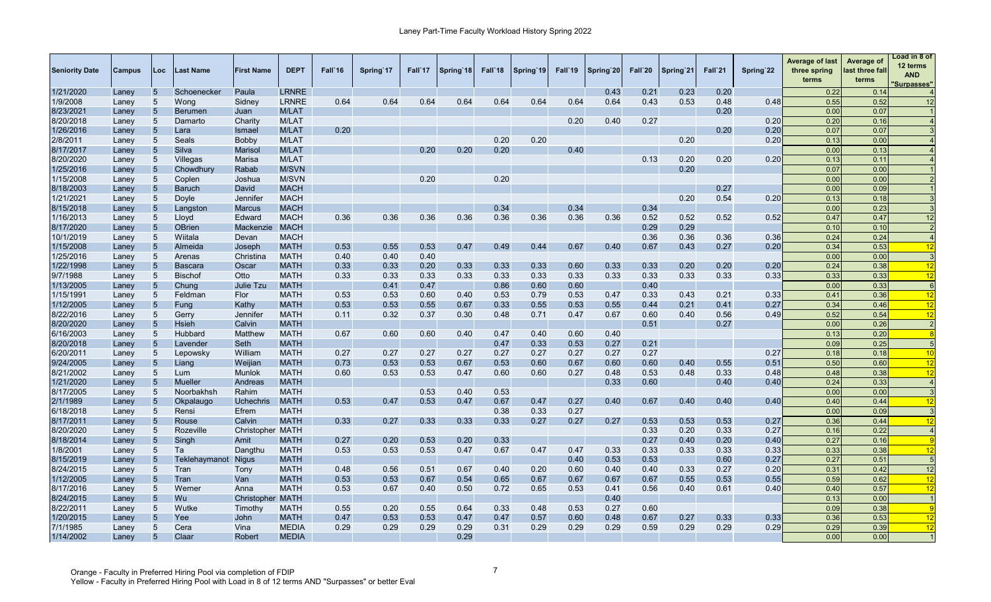| <b>LRNRE</b><br>0.43<br>0.21<br>0.23<br>0.20<br>0.22<br>1/21/2020<br>5<br>Schoenecker<br>Paula<br>0.14<br>Laney<br>0.64<br>0.64<br>0.64<br>0.64<br>0.64<br>0.64<br>0.64<br>0.43<br>0.53<br>0.52<br>1/9/2008<br>5<br>Wong<br>Sidney<br><b>LRNRE</b><br>0.64<br>0.48<br>0.48<br>0.55<br>12<br>Laney<br>5<br>0.20<br>0.00<br>8/23/2021<br>M/LAT<br>0.07<br><b>Berumen</b><br>Juan<br>Laney<br>0.20<br>0.27<br>8/20/2018<br>M/LAT<br>0.20<br>5<br>0.40<br>0.20<br>0.16<br>Laney<br>Damarto<br>Charity<br>5<br>0.20<br>0.20<br>0.20<br>1/26/2016<br><b>M/LAT</b><br>0.07<br>0.07<br>Lara<br>Ismael<br>Laney<br>0.20<br>0.20<br>0.20<br>0.20<br>2/8/2011<br>5<br>M/LAT<br>Seals<br>0.13<br>0.00<br>Laney<br>Bobby<br>8/17/2017<br>5<br>Silva<br>0.20<br>0.20<br>0.20<br>0.40<br>0.00<br>0.13<br><b>M/LAT</b><br>Marisol<br>Laney<br>8/20/2020<br>0.13<br>0.20<br>0.20<br>0.20<br>5<br>Villegas<br><b>M/LAT</b><br>0.13<br>0.11<br>Marisa<br>Laney<br>1/25/2016<br>5<br><b>M/SVN</b><br>0.20<br>0.07<br>0.00<br>Chowdhury<br>Rabab<br>Laney<br>0.20<br>0.20<br>1/15/2008<br>5<br>M/SVN<br>0.00<br>0.00<br>Coplen<br>Joshua<br>Laney<br>8/18/2003<br>$5\phantom{.0}$<br><b>MACH</b><br>0.27<br>0.00<br>0.09<br><b>Baruch</b><br>David<br>Laney<br>1/21/2021<br>0.20<br>0.54<br>0.20<br>5<br><b>MACH</b><br>0.13<br>0.18<br>Doyle<br>Jennifer<br>Laney<br>0.34<br>0.34<br>0.34<br>8/15/2018<br>5<br><b>MACH</b><br>0.00<br>0.23<br>Langston<br><b>Marcus</b><br>Laney<br>0.36<br>0.36<br>0.36<br>0.36<br>0.52<br>0.52<br>1/16/2013<br>0.36<br>0.36<br>0.36<br>0.36<br>0.52<br>0.52<br>0.47<br>0.47<br>12<br>5<br>Lloyd<br>Edward<br><b>MACH</b><br>Laney<br>$5\phantom{.0}$<br>0.29<br>0.29<br>8/17/2020<br>OBrien<br><b>MACH</b><br>0.10<br>0.10<br>Mackenzie<br>$\overline{2}$<br>Laney<br>10/1/2019<br>5<br>0.36<br>0.36<br>0.36<br>0.36<br>Wiitala<br>Devan<br>MACH<br>0.24<br>0.24<br>Laney<br>1/15/2008<br>$\overline{5}$<br>0.53<br>0.55<br>0.47<br>0.49<br>0.44<br>0.67<br>0.40<br>0.67<br>0.43<br>0.27<br>0.20<br>0.53<br>Almeida<br><b>MATH</b><br>0.53<br>0.34<br>Laney<br>Joseph<br>12<br>1/25/2016<br>5<br><b>MATH</b><br>0.40<br>0.40<br>0.40<br>0.00<br>0.00<br>Christina<br>Laney<br>Arenas<br>1/22/1998<br>5<br>0.33<br>0.33<br>0.33<br>0.33<br>0.60<br>0.33<br>0.33<br>0.20<br>0.20<br>0.20<br>0.24<br>0.38<br>Oscar<br><b>MATH</b><br>0.33<br>0.20<br>12<br><b>Bascara</b><br>Laney<br>9/7/1988<br>5<br>0.33<br>0.33<br>0.33<br>0.33<br>0.33<br>0.33<br>0.33<br>0.33<br>0.33<br>12<br>Otto<br><b>MATH</b><br>0.33<br>0.33<br>0.33<br>0.33<br>0.33<br><b>Bischof</b><br>Laney<br>1/13/2005<br>5<br>Julie Tzu<br><b>MATH</b><br>0.41<br>0.47<br>0.86<br>0.60<br>0.60<br>0.40<br>0.00<br>0.33<br>6<br>Chung<br>Laney<br>1/15/1991<br>0.53<br>0.53<br>0.79<br>0.53<br>0.47<br>0.33<br>0.43<br>0.21<br>5<br>Feldman<br>Flor<br><b>MATH</b><br>0.60<br>0.40<br>0.53<br>0.33<br>0.41<br>0.36<br>12<br>Laney<br>1/12/2005<br>0.53<br>0.53<br>0.55<br>0.67<br>0.33<br>0.55<br>0.53<br>0.55<br>0.44<br>0.21<br>0.41<br>0.27<br>0.34<br>5<br>Fung<br>Kathy<br><b>MATH</b><br>0.46<br>12<br>Laney<br>0.32<br>0.37<br>0.30<br>0.47<br>0.67<br>0.60<br>0.56<br>0.52<br>8/22/2016<br>5<br>Gerry<br>Jennifer<br><b>MATH</b><br>0.11<br>0.48<br>0.71<br>0.40<br>0.49<br>0.54<br>12<br>Laney<br>8/20/2020<br>0.27<br>5<br><b>Hsieh</b><br>Calvin<br><b>MATH</b><br>0.51<br>0.00<br>0.26<br>$\overline{2}$<br>Laney<br>0.60<br>6/16/2003<br>5<br><b>MATH</b><br>0.67<br>0.60<br>0.60<br>0.40<br>0.47<br>0.40<br>0.40<br>0.13<br>0.20<br>Hubbard<br>Matthew<br>Laney<br>0.21<br>8/20/2018<br><b>MATH</b><br>0.47<br>0.33<br>0.53<br>0.27<br>0.25<br>5<br><b>Seth</b><br>0.09<br>Lavender<br>Laney<br>6/20/2011<br>0.27<br>0.27<br>0.27<br>0.27<br>0.27<br>0.27<br>0.27<br>0.27<br>0.27<br>5<br>William<br><b>MATH</b><br>0.27<br>0.18<br>0.18<br>Laney<br>Lepowsky<br>10<br>9/24/2005<br>5<br><b>MATH</b><br>0.73<br>0.53<br>0.53<br>0.67<br>0.53<br>0.60<br>0.67<br>0.60<br>0.60<br>0.40<br>0.55<br>0.51<br>0.50<br>0.60<br>12<br>Liang<br>Weijian<br>Laney<br>8/21/2002<br>5<br><b>MATH</b><br>0.53<br>0.53<br>0.27<br>0.48<br>0.53<br>0.48<br>0.33<br>0.48<br>0.38<br>12<br>0.60<br>0.47<br>0.60<br>0.60<br>0.48<br>Lum<br>Munlok<br>Laney<br>1/21/2020<br><b>MATH</b><br>0.33<br>0.60<br>0.40<br>0.40<br>0.24<br>0.33<br>5<br>Mueller<br>Andreas<br>Laney<br>8/17/2005<br>0.53<br>0.53<br>0.00<br>5<br>Noorbakhsh<br>Rahim<br><b>MATH</b><br>0.40<br>0.00<br>Laney<br>0.47<br>0.47<br>0.27<br>0.40<br>0.67<br>0.40<br>0.40<br>2/1/1989<br>5<br><b>MATH</b><br>0.53<br>0.53<br>0.47<br>0.67<br>0.40<br>0.40<br>0.44<br>12<br>Okpalaugo<br><b>Uchechris</b><br>Laney<br>6/18/2018<br>5<br>0.38<br>0.33<br>0.27<br>0.00<br>0.09<br>Rensi<br>Efrem<br><b>MATH</b><br>Laney<br>0.27<br>0.33<br>0.33<br>0.33<br>0.27<br>0.53<br>8/17/2011<br>Calvin<br><b>MATH</b><br>0.33<br>0.27<br>0.27<br>0.53<br>0.53<br>0.27<br>0.36<br>0.44<br>5<br>Rouse<br>12<br>Laney<br>0.33<br>0.27<br>0.22<br>8/20/2020<br>5 <sup>5</sup><br>0.20<br>0.33<br>0.16<br>Rozeville<br>Christopher MATH<br>Laney<br>5<br>0.20<br>0.53<br>0.20<br>0.33<br>0.27<br>0.40<br>0.20<br>8/18/2014<br>Singh<br>Amit<br><b>MATH</b><br>0.27<br>0.40<br>0.27<br>0.16<br>Laney<br><b>Q</b><br>0.47<br>0.33<br>0.38<br>1/8/2001<br>5<br><b>MATH</b><br>0.53<br>0.53<br>0.53<br>0.47<br>0.67<br>0.47<br>0.33<br>0.33<br>0.33<br>0.33<br>0.33<br>Тa<br>Dangthu<br>12<br>Laney<br>8/15/2019<br>5<br>0.40<br>0.53<br>0.53<br>0.60<br>0.27<br>Teklehaymanot<br><b>Nigus</b><br><b>MATH</b><br>0.27<br>0.51<br>Laney<br>$\epsilon$<br>8/24/2015<br>5<br>0.56<br>0.51<br>0.67<br>0.20<br>0.60<br>0.40<br>0.40<br>0.33<br>0.20<br>Tran<br><b>MATH</b><br>0.48<br>0.40<br>0.27<br>0.31<br>0.42<br>12<br>Tony<br>Laney<br>1/12/2005<br>5<br>0.53<br>0.59<br>Van<br><b>MATH</b><br>0.53<br>0.67<br>0.54<br>0.65<br>0.67<br>0.67<br>0.67<br>0.67<br>0.55<br>0.53<br>0.55<br>0.62<br>12<br>Tran<br>Laney<br>8/17/2016<br>5<br><b>MATH</b><br>0.67<br>0.53<br>0.56<br>0.40<br>0.61<br>0.40<br>0.40<br>0.57<br>12<br>Werner<br>0.53<br>0.40<br>0.50<br>0.72<br>0.65<br>0.41<br>Anna<br>Laney<br>$5\phantom{.0}$<br>8/24/2015<br><b>Wu</b><br><b>MATH</b><br>0.40<br>0.13<br>0.00<br>$\overline{1}$<br>Christopher<br>Laney<br>8/22/2011<br>5<br><b>MATH</b><br>0.55<br>0.20<br>0.55<br>0.64<br>0.33<br>0.48<br>0.53<br>0.27<br>0.60<br>0.38<br>Wutke<br>Timothy<br>0.09<br>$\overline{9}$<br>Laney<br>$5\phantom{.}$<br>0.47<br>0.53<br>0.53<br>0.57<br>0.60<br>0.67<br>0.27<br>1/20/2015<br>Yee<br>John<br><b>MATH</b><br>0.47<br>0.47<br>0.48<br>0.33<br>0.33<br>0.36<br>0.53<br>12<br>Laney<br>7/1/1985<br><b>MEDIA</b><br>0.29<br>0.29<br>0.29<br>0.29<br>0.31<br>0.29<br>0.29<br>0.29<br>0.59<br>0.29<br>0.29<br>0.29<br>0.29<br>12<br>5<br>Cera<br>Vina<br>0.39<br>Lanev<br>1/14/2002<br>$5\phantom{.0}$<br>0.29<br>0.00<br>Claar<br>Robert<br><b>MEDIA</b><br>0.00<br>Laney | <b>Seniority Date</b> | <b>Campus</b> | Loc | Last Name | <b>First Name</b> | <b>DEPT</b> | Fall 16 | Spring 17 | Fall 17 | Spring 18 | Fall 18 | Spring 19 | Fall'19 | Spring 20 | Fall`20 | Spring 21 | Fall`21 | Spring 22 | <b>Average of last</b><br>three spring<br>terms | Average of<br>last three fall<br>terms | Load in 8 of<br>12 terms<br><b>AND</b> |
|---------------------------------------------------------------------------------------------------------------------------------------------------------------------------------------------------------------------------------------------------------------------------------------------------------------------------------------------------------------------------------------------------------------------------------------------------------------------------------------------------------------------------------------------------------------------------------------------------------------------------------------------------------------------------------------------------------------------------------------------------------------------------------------------------------------------------------------------------------------------------------------------------------------------------------------------------------------------------------------------------------------------------------------------------------------------------------------------------------------------------------------------------------------------------------------------------------------------------------------------------------------------------------------------------------------------------------------------------------------------------------------------------------------------------------------------------------------------------------------------------------------------------------------------------------------------------------------------------------------------------------------------------------------------------------------------------------------------------------------------------------------------------------------------------------------------------------------------------------------------------------------------------------------------------------------------------------------------------------------------------------------------------------------------------------------------------------------------------------------------------------------------------------------------------------------------------------------------------------------------------------------------------------------------------------------------------------------------------------------------------------------------------------------------------------------------------------------------------------------------------------------------------------------------------------------------------------------------------------------------------------------------------------------------------------------------------------------------------------------------------------------------------------------------------------------------------------------------------------------------------------------------------------------------------------------------------------------------------------------------------------------------------------------------------------------------------------------------------------------------------------------------------------------------------------------------------------------------------------------------------------------------------------------------------------------------------------------------------------------------------------------------------------------------------------------------------------------------------------------------------------------------------------------------------------------------------------------------------------------------------------------------------------------------------------------------------------------------------------------------------------------------------------------------------------------------------------------------------------------------------------------------------------------------------------------------------------------------------------------------------------------------------------------------------------------------------------------------------------------------------------------------------------------------------------------------------------------------------------------------------------------------------------------------------------------------------------------------------------------------------------------------------------------------------------------------------------------------------------------------------------------------------------------------------------------------------------------------------------------------------------------------------------------------------------------------------------------------------------------------------------------------------------------------------------------------------------------------------------------------------------------------------------------------------------------------------------------------------------------------------------------------------------------------------------------------------------------------------------------------------------------------------------------------------------------------------------------------------------------------------------------------------------------------------------------------------------------------------------------------------------------------------------------------------------------------------------------------------------------------------------------------------------------------------------------------------------------------------------------------------------------------------------------------------------------------------------------------------------------------------------------------------------------------------------------------------------------------------------------------------------------------------------------------------------------------------------------------------------------------------------------------------------------------------------------------------------------------------------------------------------------------------------------------------------------------------------------------------------------------------------------------------------------------------------------------------------------------------------------------------------------------------------------------------------------------------------------------------------------------------------------------------------------------------------------------------------------------------------------------------------------------------------------------------------------------------------------------------------------------------------------------------------------------------------------------------------------------------------------------------------------------------------------------|-----------------------|---------------|-----|-----------|-------------------|-------------|---------|-----------|---------|-----------|---------|-----------|---------|-----------|---------|-----------|---------|-----------|-------------------------------------------------|----------------------------------------|----------------------------------------|
|                                                                                                                                                                                                                                                                                                                                                                                                                                                                                                                                                                                                                                                                                                                                                                                                                                                                                                                                                                                                                                                                                                                                                                                                                                                                                                                                                                                                                                                                                                                                                                                                                                                                                                                                                                                                                                                                                                                                                                                                                                                                                                                                                                                                                                                                                                                                                                                                                                                                                                                                                                                                                                                                                                                                                                                                                                                                                                                                                                                                                                                                                                                                                                                                                                                                                                                                                                                                                                                                                                                                                                                                                                                                                                                                                                                                                                                                                                                                                                                                                                                                                                                                                                                                                                                                                                                                                                                                                                                                                                                                                                                                                                                                                                                                                                                                                                                                                                                                                                                                                                                                                                                                                                                                                                                                                                                                                                                                                                                                                                                                                                                                                                                                                                                                                                                                                                                                                                                                                                                                                                                                                                                                                                                                                                                                                                                                                                                                                                                                                                                                                                                                                                                                                                                                                                                                                                                                                                                     |                       |               |     |           |                   |             |         |           |         |           |         |           |         |           |         |           |         |           |                                                 |                                        | 'Surpasses"                            |
|                                                                                                                                                                                                                                                                                                                                                                                                                                                                                                                                                                                                                                                                                                                                                                                                                                                                                                                                                                                                                                                                                                                                                                                                                                                                                                                                                                                                                                                                                                                                                                                                                                                                                                                                                                                                                                                                                                                                                                                                                                                                                                                                                                                                                                                                                                                                                                                                                                                                                                                                                                                                                                                                                                                                                                                                                                                                                                                                                                                                                                                                                                                                                                                                                                                                                                                                                                                                                                                                                                                                                                                                                                                                                                                                                                                                                                                                                                                                                                                                                                                                                                                                                                                                                                                                                                                                                                                                                                                                                                                                                                                                                                                                                                                                                                                                                                                                                                                                                                                                                                                                                                                                                                                                                                                                                                                                                                                                                                                                                                                                                                                                                                                                                                                                                                                                                                                                                                                                                                                                                                                                                                                                                                                                                                                                                                                                                                                                                                                                                                                                                                                                                                                                                                                                                                                                                                                                                                                     |                       |               |     |           |                   |             |         |           |         |           |         |           |         |           |         |           |         |           |                                                 |                                        |                                        |
|                                                                                                                                                                                                                                                                                                                                                                                                                                                                                                                                                                                                                                                                                                                                                                                                                                                                                                                                                                                                                                                                                                                                                                                                                                                                                                                                                                                                                                                                                                                                                                                                                                                                                                                                                                                                                                                                                                                                                                                                                                                                                                                                                                                                                                                                                                                                                                                                                                                                                                                                                                                                                                                                                                                                                                                                                                                                                                                                                                                                                                                                                                                                                                                                                                                                                                                                                                                                                                                                                                                                                                                                                                                                                                                                                                                                                                                                                                                                                                                                                                                                                                                                                                                                                                                                                                                                                                                                                                                                                                                                                                                                                                                                                                                                                                                                                                                                                                                                                                                                                                                                                                                                                                                                                                                                                                                                                                                                                                                                                                                                                                                                                                                                                                                                                                                                                                                                                                                                                                                                                                                                                                                                                                                                                                                                                                                                                                                                                                                                                                                                                                                                                                                                                                                                                                                                                                                                                                                     |                       |               |     |           |                   |             |         |           |         |           |         |           |         |           |         |           |         |           |                                                 |                                        |                                        |
|                                                                                                                                                                                                                                                                                                                                                                                                                                                                                                                                                                                                                                                                                                                                                                                                                                                                                                                                                                                                                                                                                                                                                                                                                                                                                                                                                                                                                                                                                                                                                                                                                                                                                                                                                                                                                                                                                                                                                                                                                                                                                                                                                                                                                                                                                                                                                                                                                                                                                                                                                                                                                                                                                                                                                                                                                                                                                                                                                                                                                                                                                                                                                                                                                                                                                                                                                                                                                                                                                                                                                                                                                                                                                                                                                                                                                                                                                                                                                                                                                                                                                                                                                                                                                                                                                                                                                                                                                                                                                                                                                                                                                                                                                                                                                                                                                                                                                                                                                                                                                                                                                                                                                                                                                                                                                                                                                                                                                                                                                                                                                                                                                                                                                                                                                                                                                                                                                                                                                                                                                                                                                                                                                                                                                                                                                                                                                                                                                                                                                                                                                                                                                                                                                                                                                                                                                                                                                                                     |                       |               |     |           |                   |             |         |           |         |           |         |           |         |           |         |           |         |           |                                                 |                                        |                                        |
|                                                                                                                                                                                                                                                                                                                                                                                                                                                                                                                                                                                                                                                                                                                                                                                                                                                                                                                                                                                                                                                                                                                                                                                                                                                                                                                                                                                                                                                                                                                                                                                                                                                                                                                                                                                                                                                                                                                                                                                                                                                                                                                                                                                                                                                                                                                                                                                                                                                                                                                                                                                                                                                                                                                                                                                                                                                                                                                                                                                                                                                                                                                                                                                                                                                                                                                                                                                                                                                                                                                                                                                                                                                                                                                                                                                                                                                                                                                                                                                                                                                                                                                                                                                                                                                                                                                                                                                                                                                                                                                                                                                                                                                                                                                                                                                                                                                                                                                                                                                                                                                                                                                                                                                                                                                                                                                                                                                                                                                                                                                                                                                                                                                                                                                                                                                                                                                                                                                                                                                                                                                                                                                                                                                                                                                                                                                                                                                                                                                                                                                                                                                                                                                                                                                                                                                                                                                                                                                     |                       |               |     |           |                   |             |         |           |         |           |         |           |         |           |         |           |         |           |                                                 |                                        |                                        |
|                                                                                                                                                                                                                                                                                                                                                                                                                                                                                                                                                                                                                                                                                                                                                                                                                                                                                                                                                                                                                                                                                                                                                                                                                                                                                                                                                                                                                                                                                                                                                                                                                                                                                                                                                                                                                                                                                                                                                                                                                                                                                                                                                                                                                                                                                                                                                                                                                                                                                                                                                                                                                                                                                                                                                                                                                                                                                                                                                                                                                                                                                                                                                                                                                                                                                                                                                                                                                                                                                                                                                                                                                                                                                                                                                                                                                                                                                                                                                                                                                                                                                                                                                                                                                                                                                                                                                                                                                                                                                                                                                                                                                                                                                                                                                                                                                                                                                                                                                                                                                                                                                                                                                                                                                                                                                                                                                                                                                                                                                                                                                                                                                                                                                                                                                                                                                                                                                                                                                                                                                                                                                                                                                                                                                                                                                                                                                                                                                                                                                                                                                                                                                                                                                                                                                                                                                                                                                                                     |                       |               |     |           |                   |             |         |           |         |           |         |           |         |           |         |           |         |           |                                                 |                                        |                                        |
|                                                                                                                                                                                                                                                                                                                                                                                                                                                                                                                                                                                                                                                                                                                                                                                                                                                                                                                                                                                                                                                                                                                                                                                                                                                                                                                                                                                                                                                                                                                                                                                                                                                                                                                                                                                                                                                                                                                                                                                                                                                                                                                                                                                                                                                                                                                                                                                                                                                                                                                                                                                                                                                                                                                                                                                                                                                                                                                                                                                                                                                                                                                                                                                                                                                                                                                                                                                                                                                                                                                                                                                                                                                                                                                                                                                                                                                                                                                                                                                                                                                                                                                                                                                                                                                                                                                                                                                                                                                                                                                                                                                                                                                                                                                                                                                                                                                                                                                                                                                                                                                                                                                                                                                                                                                                                                                                                                                                                                                                                                                                                                                                                                                                                                                                                                                                                                                                                                                                                                                                                                                                                                                                                                                                                                                                                                                                                                                                                                                                                                                                                                                                                                                                                                                                                                                                                                                                                                                     |                       |               |     |           |                   |             |         |           |         |           |         |           |         |           |         |           |         |           |                                                 |                                        |                                        |
|                                                                                                                                                                                                                                                                                                                                                                                                                                                                                                                                                                                                                                                                                                                                                                                                                                                                                                                                                                                                                                                                                                                                                                                                                                                                                                                                                                                                                                                                                                                                                                                                                                                                                                                                                                                                                                                                                                                                                                                                                                                                                                                                                                                                                                                                                                                                                                                                                                                                                                                                                                                                                                                                                                                                                                                                                                                                                                                                                                                                                                                                                                                                                                                                                                                                                                                                                                                                                                                                                                                                                                                                                                                                                                                                                                                                                                                                                                                                                                                                                                                                                                                                                                                                                                                                                                                                                                                                                                                                                                                                                                                                                                                                                                                                                                                                                                                                                                                                                                                                                                                                                                                                                                                                                                                                                                                                                                                                                                                                                                                                                                                                                                                                                                                                                                                                                                                                                                                                                                                                                                                                                                                                                                                                                                                                                                                                                                                                                                                                                                                                                                                                                                                                                                                                                                                                                                                                                                                     |                       |               |     |           |                   |             |         |           |         |           |         |           |         |           |         |           |         |           |                                                 |                                        |                                        |
|                                                                                                                                                                                                                                                                                                                                                                                                                                                                                                                                                                                                                                                                                                                                                                                                                                                                                                                                                                                                                                                                                                                                                                                                                                                                                                                                                                                                                                                                                                                                                                                                                                                                                                                                                                                                                                                                                                                                                                                                                                                                                                                                                                                                                                                                                                                                                                                                                                                                                                                                                                                                                                                                                                                                                                                                                                                                                                                                                                                                                                                                                                                                                                                                                                                                                                                                                                                                                                                                                                                                                                                                                                                                                                                                                                                                                                                                                                                                                                                                                                                                                                                                                                                                                                                                                                                                                                                                                                                                                                                                                                                                                                                                                                                                                                                                                                                                                                                                                                                                                                                                                                                                                                                                                                                                                                                                                                                                                                                                                                                                                                                                                                                                                                                                                                                                                                                                                                                                                                                                                                                                                                                                                                                                                                                                                                                                                                                                                                                                                                                                                                                                                                                                                                                                                                                                                                                                                                                     |                       |               |     |           |                   |             |         |           |         |           |         |           |         |           |         |           |         |           |                                                 |                                        |                                        |
|                                                                                                                                                                                                                                                                                                                                                                                                                                                                                                                                                                                                                                                                                                                                                                                                                                                                                                                                                                                                                                                                                                                                                                                                                                                                                                                                                                                                                                                                                                                                                                                                                                                                                                                                                                                                                                                                                                                                                                                                                                                                                                                                                                                                                                                                                                                                                                                                                                                                                                                                                                                                                                                                                                                                                                                                                                                                                                                                                                                                                                                                                                                                                                                                                                                                                                                                                                                                                                                                                                                                                                                                                                                                                                                                                                                                                                                                                                                                                                                                                                                                                                                                                                                                                                                                                                                                                                                                                                                                                                                                                                                                                                                                                                                                                                                                                                                                                                                                                                                                                                                                                                                                                                                                                                                                                                                                                                                                                                                                                                                                                                                                                                                                                                                                                                                                                                                                                                                                                                                                                                                                                                                                                                                                                                                                                                                                                                                                                                                                                                                                                                                                                                                                                                                                                                                                                                                                                                                     |                       |               |     |           |                   |             |         |           |         |           |         |           |         |           |         |           |         |           |                                                 |                                        |                                        |
|                                                                                                                                                                                                                                                                                                                                                                                                                                                                                                                                                                                                                                                                                                                                                                                                                                                                                                                                                                                                                                                                                                                                                                                                                                                                                                                                                                                                                                                                                                                                                                                                                                                                                                                                                                                                                                                                                                                                                                                                                                                                                                                                                                                                                                                                                                                                                                                                                                                                                                                                                                                                                                                                                                                                                                                                                                                                                                                                                                                                                                                                                                                                                                                                                                                                                                                                                                                                                                                                                                                                                                                                                                                                                                                                                                                                                                                                                                                                                                                                                                                                                                                                                                                                                                                                                                                                                                                                                                                                                                                                                                                                                                                                                                                                                                                                                                                                                                                                                                                                                                                                                                                                                                                                                                                                                                                                                                                                                                                                                                                                                                                                                                                                                                                                                                                                                                                                                                                                                                                                                                                                                                                                                                                                                                                                                                                                                                                                                                                                                                                                                                                                                                                                                                                                                                                                                                                                                                                     |                       |               |     |           |                   |             |         |           |         |           |         |           |         |           |         |           |         |           |                                                 |                                        |                                        |
|                                                                                                                                                                                                                                                                                                                                                                                                                                                                                                                                                                                                                                                                                                                                                                                                                                                                                                                                                                                                                                                                                                                                                                                                                                                                                                                                                                                                                                                                                                                                                                                                                                                                                                                                                                                                                                                                                                                                                                                                                                                                                                                                                                                                                                                                                                                                                                                                                                                                                                                                                                                                                                                                                                                                                                                                                                                                                                                                                                                                                                                                                                                                                                                                                                                                                                                                                                                                                                                                                                                                                                                                                                                                                                                                                                                                                                                                                                                                                                                                                                                                                                                                                                                                                                                                                                                                                                                                                                                                                                                                                                                                                                                                                                                                                                                                                                                                                                                                                                                                                                                                                                                                                                                                                                                                                                                                                                                                                                                                                                                                                                                                                                                                                                                                                                                                                                                                                                                                                                                                                                                                                                                                                                                                                                                                                                                                                                                                                                                                                                                                                                                                                                                                                                                                                                                                                                                                                                                     |                       |               |     |           |                   |             |         |           |         |           |         |           |         |           |         |           |         |           |                                                 |                                        |                                        |
|                                                                                                                                                                                                                                                                                                                                                                                                                                                                                                                                                                                                                                                                                                                                                                                                                                                                                                                                                                                                                                                                                                                                                                                                                                                                                                                                                                                                                                                                                                                                                                                                                                                                                                                                                                                                                                                                                                                                                                                                                                                                                                                                                                                                                                                                                                                                                                                                                                                                                                                                                                                                                                                                                                                                                                                                                                                                                                                                                                                                                                                                                                                                                                                                                                                                                                                                                                                                                                                                                                                                                                                                                                                                                                                                                                                                                                                                                                                                                                                                                                                                                                                                                                                                                                                                                                                                                                                                                                                                                                                                                                                                                                                                                                                                                                                                                                                                                                                                                                                                                                                                                                                                                                                                                                                                                                                                                                                                                                                                                                                                                                                                                                                                                                                                                                                                                                                                                                                                                                                                                                                                                                                                                                                                                                                                                                                                                                                                                                                                                                                                                                                                                                                                                                                                                                                                                                                                                                                     |                       |               |     |           |                   |             |         |           |         |           |         |           |         |           |         |           |         |           |                                                 |                                        |                                        |
|                                                                                                                                                                                                                                                                                                                                                                                                                                                                                                                                                                                                                                                                                                                                                                                                                                                                                                                                                                                                                                                                                                                                                                                                                                                                                                                                                                                                                                                                                                                                                                                                                                                                                                                                                                                                                                                                                                                                                                                                                                                                                                                                                                                                                                                                                                                                                                                                                                                                                                                                                                                                                                                                                                                                                                                                                                                                                                                                                                                                                                                                                                                                                                                                                                                                                                                                                                                                                                                                                                                                                                                                                                                                                                                                                                                                                                                                                                                                                                                                                                                                                                                                                                                                                                                                                                                                                                                                                                                                                                                                                                                                                                                                                                                                                                                                                                                                                                                                                                                                                                                                                                                                                                                                                                                                                                                                                                                                                                                                                                                                                                                                                                                                                                                                                                                                                                                                                                                                                                                                                                                                                                                                                                                                                                                                                                                                                                                                                                                                                                                                                                                                                                                                                                                                                                                                                                                                                                                     |                       |               |     |           |                   |             |         |           |         |           |         |           |         |           |         |           |         |           |                                                 |                                        |                                        |
|                                                                                                                                                                                                                                                                                                                                                                                                                                                                                                                                                                                                                                                                                                                                                                                                                                                                                                                                                                                                                                                                                                                                                                                                                                                                                                                                                                                                                                                                                                                                                                                                                                                                                                                                                                                                                                                                                                                                                                                                                                                                                                                                                                                                                                                                                                                                                                                                                                                                                                                                                                                                                                                                                                                                                                                                                                                                                                                                                                                                                                                                                                                                                                                                                                                                                                                                                                                                                                                                                                                                                                                                                                                                                                                                                                                                                                                                                                                                                                                                                                                                                                                                                                                                                                                                                                                                                                                                                                                                                                                                                                                                                                                                                                                                                                                                                                                                                                                                                                                                                                                                                                                                                                                                                                                                                                                                                                                                                                                                                                                                                                                                                                                                                                                                                                                                                                                                                                                                                                                                                                                                                                                                                                                                                                                                                                                                                                                                                                                                                                                                                                                                                                                                                                                                                                                                                                                                                                                     |                       |               |     |           |                   |             |         |           |         |           |         |           |         |           |         |           |         |           |                                                 |                                        |                                        |
|                                                                                                                                                                                                                                                                                                                                                                                                                                                                                                                                                                                                                                                                                                                                                                                                                                                                                                                                                                                                                                                                                                                                                                                                                                                                                                                                                                                                                                                                                                                                                                                                                                                                                                                                                                                                                                                                                                                                                                                                                                                                                                                                                                                                                                                                                                                                                                                                                                                                                                                                                                                                                                                                                                                                                                                                                                                                                                                                                                                                                                                                                                                                                                                                                                                                                                                                                                                                                                                                                                                                                                                                                                                                                                                                                                                                                                                                                                                                                                                                                                                                                                                                                                                                                                                                                                                                                                                                                                                                                                                                                                                                                                                                                                                                                                                                                                                                                                                                                                                                                                                                                                                                                                                                                                                                                                                                                                                                                                                                                                                                                                                                                                                                                                                                                                                                                                                                                                                                                                                                                                                                                                                                                                                                                                                                                                                                                                                                                                                                                                                                                                                                                                                                                                                                                                                                                                                                                                                     |                       |               |     |           |                   |             |         |           |         |           |         |           |         |           |         |           |         |           |                                                 |                                        |                                        |
|                                                                                                                                                                                                                                                                                                                                                                                                                                                                                                                                                                                                                                                                                                                                                                                                                                                                                                                                                                                                                                                                                                                                                                                                                                                                                                                                                                                                                                                                                                                                                                                                                                                                                                                                                                                                                                                                                                                                                                                                                                                                                                                                                                                                                                                                                                                                                                                                                                                                                                                                                                                                                                                                                                                                                                                                                                                                                                                                                                                                                                                                                                                                                                                                                                                                                                                                                                                                                                                                                                                                                                                                                                                                                                                                                                                                                                                                                                                                                                                                                                                                                                                                                                                                                                                                                                                                                                                                                                                                                                                                                                                                                                                                                                                                                                                                                                                                                                                                                                                                                                                                                                                                                                                                                                                                                                                                                                                                                                                                                                                                                                                                                                                                                                                                                                                                                                                                                                                                                                                                                                                                                                                                                                                                                                                                                                                                                                                                                                                                                                                                                                                                                                                                                                                                                                                                                                                                                                                     |                       |               |     |           |                   |             |         |           |         |           |         |           |         |           |         |           |         |           |                                                 |                                        |                                        |
|                                                                                                                                                                                                                                                                                                                                                                                                                                                                                                                                                                                                                                                                                                                                                                                                                                                                                                                                                                                                                                                                                                                                                                                                                                                                                                                                                                                                                                                                                                                                                                                                                                                                                                                                                                                                                                                                                                                                                                                                                                                                                                                                                                                                                                                                                                                                                                                                                                                                                                                                                                                                                                                                                                                                                                                                                                                                                                                                                                                                                                                                                                                                                                                                                                                                                                                                                                                                                                                                                                                                                                                                                                                                                                                                                                                                                                                                                                                                                                                                                                                                                                                                                                                                                                                                                                                                                                                                                                                                                                                                                                                                                                                                                                                                                                                                                                                                                                                                                                                                                                                                                                                                                                                                                                                                                                                                                                                                                                                                                                                                                                                                                                                                                                                                                                                                                                                                                                                                                                                                                                                                                                                                                                                                                                                                                                                                                                                                                                                                                                                                                                                                                                                                                                                                                                                                                                                                                                                     |                       |               |     |           |                   |             |         |           |         |           |         |           |         |           |         |           |         |           |                                                 |                                        |                                        |
|                                                                                                                                                                                                                                                                                                                                                                                                                                                                                                                                                                                                                                                                                                                                                                                                                                                                                                                                                                                                                                                                                                                                                                                                                                                                                                                                                                                                                                                                                                                                                                                                                                                                                                                                                                                                                                                                                                                                                                                                                                                                                                                                                                                                                                                                                                                                                                                                                                                                                                                                                                                                                                                                                                                                                                                                                                                                                                                                                                                                                                                                                                                                                                                                                                                                                                                                                                                                                                                                                                                                                                                                                                                                                                                                                                                                                                                                                                                                                                                                                                                                                                                                                                                                                                                                                                                                                                                                                                                                                                                                                                                                                                                                                                                                                                                                                                                                                                                                                                                                                                                                                                                                                                                                                                                                                                                                                                                                                                                                                                                                                                                                                                                                                                                                                                                                                                                                                                                                                                                                                                                                                                                                                                                                                                                                                                                                                                                                                                                                                                                                                                                                                                                                                                                                                                                                                                                                                                                     |                       |               |     |           |                   |             |         |           |         |           |         |           |         |           |         |           |         |           |                                                 |                                        |                                        |
|                                                                                                                                                                                                                                                                                                                                                                                                                                                                                                                                                                                                                                                                                                                                                                                                                                                                                                                                                                                                                                                                                                                                                                                                                                                                                                                                                                                                                                                                                                                                                                                                                                                                                                                                                                                                                                                                                                                                                                                                                                                                                                                                                                                                                                                                                                                                                                                                                                                                                                                                                                                                                                                                                                                                                                                                                                                                                                                                                                                                                                                                                                                                                                                                                                                                                                                                                                                                                                                                                                                                                                                                                                                                                                                                                                                                                                                                                                                                                                                                                                                                                                                                                                                                                                                                                                                                                                                                                                                                                                                                                                                                                                                                                                                                                                                                                                                                                                                                                                                                                                                                                                                                                                                                                                                                                                                                                                                                                                                                                                                                                                                                                                                                                                                                                                                                                                                                                                                                                                                                                                                                                                                                                                                                                                                                                                                                                                                                                                                                                                                                                                                                                                                                                                                                                                                                                                                                                                                     |                       |               |     |           |                   |             |         |           |         |           |         |           |         |           |         |           |         |           |                                                 |                                        |                                        |
|                                                                                                                                                                                                                                                                                                                                                                                                                                                                                                                                                                                                                                                                                                                                                                                                                                                                                                                                                                                                                                                                                                                                                                                                                                                                                                                                                                                                                                                                                                                                                                                                                                                                                                                                                                                                                                                                                                                                                                                                                                                                                                                                                                                                                                                                                                                                                                                                                                                                                                                                                                                                                                                                                                                                                                                                                                                                                                                                                                                                                                                                                                                                                                                                                                                                                                                                                                                                                                                                                                                                                                                                                                                                                                                                                                                                                                                                                                                                                                                                                                                                                                                                                                                                                                                                                                                                                                                                                                                                                                                                                                                                                                                                                                                                                                                                                                                                                                                                                                                                                                                                                                                                                                                                                                                                                                                                                                                                                                                                                                                                                                                                                                                                                                                                                                                                                                                                                                                                                                                                                                                                                                                                                                                                                                                                                                                                                                                                                                                                                                                                                                                                                                                                                                                                                                                                                                                                                                                     |                       |               |     |           |                   |             |         |           |         |           |         |           |         |           |         |           |         |           |                                                 |                                        |                                        |
|                                                                                                                                                                                                                                                                                                                                                                                                                                                                                                                                                                                                                                                                                                                                                                                                                                                                                                                                                                                                                                                                                                                                                                                                                                                                                                                                                                                                                                                                                                                                                                                                                                                                                                                                                                                                                                                                                                                                                                                                                                                                                                                                                                                                                                                                                                                                                                                                                                                                                                                                                                                                                                                                                                                                                                                                                                                                                                                                                                                                                                                                                                                                                                                                                                                                                                                                                                                                                                                                                                                                                                                                                                                                                                                                                                                                                                                                                                                                                                                                                                                                                                                                                                                                                                                                                                                                                                                                                                                                                                                                                                                                                                                                                                                                                                                                                                                                                                                                                                                                                                                                                                                                                                                                                                                                                                                                                                                                                                                                                                                                                                                                                                                                                                                                                                                                                                                                                                                                                                                                                                                                                                                                                                                                                                                                                                                                                                                                                                                                                                                                                                                                                                                                                                                                                                                                                                                                                                                     |                       |               |     |           |                   |             |         |           |         |           |         |           |         |           |         |           |         |           |                                                 |                                        |                                        |
|                                                                                                                                                                                                                                                                                                                                                                                                                                                                                                                                                                                                                                                                                                                                                                                                                                                                                                                                                                                                                                                                                                                                                                                                                                                                                                                                                                                                                                                                                                                                                                                                                                                                                                                                                                                                                                                                                                                                                                                                                                                                                                                                                                                                                                                                                                                                                                                                                                                                                                                                                                                                                                                                                                                                                                                                                                                                                                                                                                                                                                                                                                                                                                                                                                                                                                                                                                                                                                                                                                                                                                                                                                                                                                                                                                                                                                                                                                                                                                                                                                                                                                                                                                                                                                                                                                                                                                                                                                                                                                                                                                                                                                                                                                                                                                                                                                                                                                                                                                                                                                                                                                                                                                                                                                                                                                                                                                                                                                                                                                                                                                                                                                                                                                                                                                                                                                                                                                                                                                                                                                                                                                                                                                                                                                                                                                                                                                                                                                                                                                                                                                                                                                                                                                                                                                                                                                                                                                                     |                       |               |     |           |                   |             |         |           |         |           |         |           |         |           |         |           |         |           |                                                 |                                        |                                        |
|                                                                                                                                                                                                                                                                                                                                                                                                                                                                                                                                                                                                                                                                                                                                                                                                                                                                                                                                                                                                                                                                                                                                                                                                                                                                                                                                                                                                                                                                                                                                                                                                                                                                                                                                                                                                                                                                                                                                                                                                                                                                                                                                                                                                                                                                                                                                                                                                                                                                                                                                                                                                                                                                                                                                                                                                                                                                                                                                                                                                                                                                                                                                                                                                                                                                                                                                                                                                                                                                                                                                                                                                                                                                                                                                                                                                                                                                                                                                                                                                                                                                                                                                                                                                                                                                                                                                                                                                                                                                                                                                                                                                                                                                                                                                                                                                                                                                                                                                                                                                                                                                                                                                                                                                                                                                                                                                                                                                                                                                                                                                                                                                                                                                                                                                                                                                                                                                                                                                                                                                                                                                                                                                                                                                                                                                                                                                                                                                                                                                                                                                                                                                                                                                                                                                                                                                                                                                                                                     |                       |               |     |           |                   |             |         |           |         |           |         |           |         |           |         |           |         |           |                                                 |                                        |                                        |
|                                                                                                                                                                                                                                                                                                                                                                                                                                                                                                                                                                                                                                                                                                                                                                                                                                                                                                                                                                                                                                                                                                                                                                                                                                                                                                                                                                                                                                                                                                                                                                                                                                                                                                                                                                                                                                                                                                                                                                                                                                                                                                                                                                                                                                                                                                                                                                                                                                                                                                                                                                                                                                                                                                                                                                                                                                                                                                                                                                                                                                                                                                                                                                                                                                                                                                                                                                                                                                                                                                                                                                                                                                                                                                                                                                                                                                                                                                                                                                                                                                                                                                                                                                                                                                                                                                                                                                                                                                                                                                                                                                                                                                                                                                                                                                                                                                                                                                                                                                                                                                                                                                                                                                                                                                                                                                                                                                                                                                                                                                                                                                                                                                                                                                                                                                                                                                                                                                                                                                                                                                                                                                                                                                                                                                                                                                                                                                                                                                                                                                                                                                                                                                                                                                                                                                                                                                                                                                                     |                       |               |     |           |                   |             |         |           |         |           |         |           |         |           |         |           |         |           |                                                 |                                        |                                        |
|                                                                                                                                                                                                                                                                                                                                                                                                                                                                                                                                                                                                                                                                                                                                                                                                                                                                                                                                                                                                                                                                                                                                                                                                                                                                                                                                                                                                                                                                                                                                                                                                                                                                                                                                                                                                                                                                                                                                                                                                                                                                                                                                                                                                                                                                                                                                                                                                                                                                                                                                                                                                                                                                                                                                                                                                                                                                                                                                                                                                                                                                                                                                                                                                                                                                                                                                                                                                                                                                                                                                                                                                                                                                                                                                                                                                                                                                                                                                                                                                                                                                                                                                                                                                                                                                                                                                                                                                                                                                                                                                                                                                                                                                                                                                                                                                                                                                                                                                                                                                                                                                                                                                                                                                                                                                                                                                                                                                                                                                                                                                                                                                                                                                                                                                                                                                                                                                                                                                                                                                                                                                                                                                                                                                                                                                                                                                                                                                                                                                                                                                                                                                                                                                                                                                                                                                                                                                                                                     |                       |               |     |           |                   |             |         |           |         |           |         |           |         |           |         |           |         |           |                                                 |                                        |                                        |
|                                                                                                                                                                                                                                                                                                                                                                                                                                                                                                                                                                                                                                                                                                                                                                                                                                                                                                                                                                                                                                                                                                                                                                                                                                                                                                                                                                                                                                                                                                                                                                                                                                                                                                                                                                                                                                                                                                                                                                                                                                                                                                                                                                                                                                                                                                                                                                                                                                                                                                                                                                                                                                                                                                                                                                                                                                                                                                                                                                                                                                                                                                                                                                                                                                                                                                                                                                                                                                                                                                                                                                                                                                                                                                                                                                                                                                                                                                                                                                                                                                                                                                                                                                                                                                                                                                                                                                                                                                                                                                                                                                                                                                                                                                                                                                                                                                                                                                                                                                                                                                                                                                                                                                                                                                                                                                                                                                                                                                                                                                                                                                                                                                                                                                                                                                                                                                                                                                                                                                                                                                                                                                                                                                                                                                                                                                                                                                                                                                                                                                                                                                                                                                                                                                                                                                                                                                                                                                                     |                       |               |     |           |                   |             |         |           |         |           |         |           |         |           |         |           |         |           |                                                 |                                        |                                        |
|                                                                                                                                                                                                                                                                                                                                                                                                                                                                                                                                                                                                                                                                                                                                                                                                                                                                                                                                                                                                                                                                                                                                                                                                                                                                                                                                                                                                                                                                                                                                                                                                                                                                                                                                                                                                                                                                                                                                                                                                                                                                                                                                                                                                                                                                                                                                                                                                                                                                                                                                                                                                                                                                                                                                                                                                                                                                                                                                                                                                                                                                                                                                                                                                                                                                                                                                                                                                                                                                                                                                                                                                                                                                                                                                                                                                                                                                                                                                                                                                                                                                                                                                                                                                                                                                                                                                                                                                                                                                                                                                                                                                                                                                                                                                                                                                                                                                                                                                                                                                                                                                                                                                                                                                                                                                                                                                                                                                                                                                                                                                                                                                                                                                                                                                                                                                                                                                                                                                                                                                                                                                                                                                                                                                                                                                                                                                                                                                                                                                                                                                                                                                                                                                                                                                                                                                                                                                                                                     |                       |               |     |           |                   |             |         |           |         |           |         |           |         |           |         |           |         |           |                                                 |                                        |                                        |
|                                                                                                                                                                                                                                                                                                                                                                                                                                                                                                                                                                                                                                                                                                                                                                                                                                                                                                                                                                                                                                                                                                                                                                                                                                                                                                                                                                                                                                                                                                                                                                                                                                                                                                                                                                                                                                                                                                                                                                                                                                                                                                                                                                                                                                                                                                                                                                                                                                                                                                                                                                                                                                                                                                                                                                                                                                                                                                                                                                                                                                                                                                                                                                                                                                                                                                                                                                                                                                                                                                                                                                                                                                                                                                                                                                                                                                                                                                                                                                                                                                                                                                                                                                                                                                                                                                                                                                                                                                                                                                                                                                                                                                                                                                                                                                                                                                                                                                                                                                                                                                                                                                                                                                                                                                                                                                                                                                                                                                                                                                                                                                                                                                                                                                                                                                                                                                                                                                                                                                                                                                                                                                                                                                                                                                                                                                                                                                                                                                                                                                                                                                                                                                                                                                                                                                                                                                                                                                                     |                       |               |     |           |                   |             |         |           |         |           |         |           |         |           |         |           |         |           |                                                 |                                        |                                        |
|                                                                                                                                                                                                                                                                                                                                                                                                                                                                                                                                                                                                                                                                                                                                                                                                                                                                                                                                                                                                                                                                                                                                                                                                                                                                                                                                                                                                                                                                                                                                                                                                                                                                                                                                                                                                                                                                                                                                                                                                                                                                                                                                                                                                                                                                                                                                                                                                                                                                                                                                                                                                                                                                                                                                                                                                                                                                                                                                                                                                                                                                                                                                                                                                                                                                                                                                                                                                                                                                                                                                                                                                                                                                                                                                                                                                                                                                                                                                                                                                                                                                                                                                                                                                                                                                                                                                                                                                                                                                                                                                                                                                                                                                                                                                                                                                                                                                                                                                                                                                                                                                                                                                                                                                                                                                                                                                                                                                                                                                                                                                                                                                                                                                                                                                                                                                                                                                                                                                                                                                                                                                                                                                                                                                                                                                                                                                                                                                                                                                                                                                                                                                                                                                                                                                                                                                                                                                                                                     |                       |               |     |           |                   |             |         |           |         |           |         |           |         |           |         |           |         |           |                                                 |                                        |                                        |
|                                                                                                                                                                                                                                                                                                                                                                                                                                                                                                                                                                                                                                                                                                                                                                                                                                                                                                                                                                                                                                                                                                                                                                                                                                                                                                                                                                                                                                                                                                                                                                                                                                                                                                                                                                                                                                                                                                                                                                                                                                                                                                                                                                                                                                                                                                                                                                                                                                                                                                                                                                                                                                                                                                                                                                                                                                                                                                                                                                                                                                                                                                                                                                                                                                                                                                                                                                                                                                                                                                                                                                                                                                                                                                                                                                                                                                                                                                                                                                                                                                                                                                                                                                                                                                                                                                                                                                                                                                                                                                                                                                                                                                                                                                                                                                                                                                                                                                                                                                                                                                                                                                                                                                                                                                                                                                                                                                                                                                                                                                                                                                                                                                                                                                                                                                                                                                                                                                                                                                                                                                                                                                                                                                                                                                                                                                                                                                                                                                                                                                                                                                                                                                                                                                                                                                                                                                                                                                                     |                       |               |     |           |                   |             |         |           |         |           |         |           |         |           |         |           |         |           |                                                 |                                        |                                        |
|                                                                                                                                                                                                                                                                                                                                                                                                                                                                                                                                                                                                                                                                                                                                                                                                                                                                                                                                                                                                                                                                                                                                                                                                                                                                                                                                                                                                                                                                                                                                                                                                                                                                                                                                                                                                                                                                                                                                                                                                                                                                                                                                                                                                                                                                                                                                                                                                                                                                                                                                                                                                                                                                                                                                                                                                                                                                                                                                                                                                                                                                                                                                                                                                                                                                                                                                                                                                                                                                                                                                                                                                                                                                                                                                                                                                                                                                                                                                                                                                                                                                                                                                                                                                                                                                                                                                                                                                                                                                                                                                                                                                                                                                                                                                                                                                                                                                                                                                                                                                                                                                                                                                                                                                                                                                                                                                                                                                                                                                                                                                                                                                                                                                                                                                                                                                                                                                                                                                                                                                                                                                                                                                                                                                                                                                                                                                                                                                                                                                                                                                                                                                                                                                                                                                                                                                                                                                                                                     |                       |               |     |           |                   |             |         |           |         |           |         |           |         |           |         |           |         |           |                                                 |                                        |                                        |
|                                                                                                                                                                                                                                                                                                                                                                                                                                                                                                                                                                                                                                                                                                                                                                                                                                                                                                                                                                                                                                                                                                                                                                                                                                                                                                                                                                                                                                                                                                                                                                                                                                                                                                                                                                                                                                                                                                                                                                                                                                                                                                                                                                                                                                                                                                                                                                                                                                                                                                                                                                                                                                                                                                                                                                                                                                                                                                                                                                                                                                                                                                                                                                                                                                                                                                                                                                                                                                                                                                                                                                                                                                                                                                                                                                                                                                                                                                                                                                                                                                                                                                                                                                                                                                                                                                                                                                                                                                                                                                                                                                                                                                                                                                                                                                                                                                                                                                                                                                                                                                                                                                                                                                                                                                                                                                                                                                                                                                                                                                                                                                                                                                                                                                                                                                                                                                                                                                                                                                                                                                                                                                                                                                                                                                                                                                                                                                                                                                                                                                                                                                                                                                                                                                                                                                                                                                                                                                                     |                       |               |     |           |                   |             |         |           |         |           |         |           |         |           |         |           |         |           |                                                 |                                        |                                        |
|                                                                                                                                                                                                                                                                                                                                                                                                                                                                                                                                                                                                                                                                                                                                                                                                                                                                                                                                                                                                                                                                                                                                                                                                                                                                                                                                                                                                                                                                                                                                                                                                                                                                                                                                                                                                                                                                                                                                                                                                                                                                                                                                                                                                                                                                                                                                                                                                                                                                                                                                                                                                                                                                                                                                                                                                                                                                                                                                                                                                                                                                                                                                                                                                                                                                                                                                                                                                                                                                                                                                                                                                                                                                                                                                                                                                                                                                                                                                                                                                                                                                                                                                                                                                                                                                                                                                                                                                                                                                                                                                                                                                                                                                                                                                                                                                                                                                                                                                                                                                                                                                                                                                                                                                                                                                                                                                                                                                                                                                                                                                                                                                                                                                                                                                                                                                                                                                                                                                                                                                                                                                                                                                                                                                                                                                                                                                                                                                                                                                                                                                                                                                                                                                                                                                                                                                                                                                                                                     |                       |               |     |           |                   |             |         |           |         |           |         |           |         |           |         |           |         |           |                                                 |                                        |                                        |
|                                                                                                                                                                                                                                                                                                                                                                                                                                                                                                                                                                                                                                                                                                                                                                                                                                                                                                                                                                                                                                                                                                                                                                                                                                                                                                                                                                                                                                                                                                                                                                                                                                                                                                                                                                                                                                                                                                                                                                                                                                                                                                                                                                                                                                                                                                                                                                                                                                                                                                                                                                                                                                                                                                                                                                                                                                                                                                                                                                                                                                                                                                                                                                                                                                                                                                                                                                                                                                                                                                                                                                                                                                                                                                                                                                                                                                                                                                                                                                                                                                                                                                                                                                                                                                                                                                                                                                                                                                                                                                                                                                                                                                                                                                                                                                                                                                                                                                                                                                                                                                                                                                                                                                                                                                                                                                                                                                                                                                                                                                                                                                                                                                                                                                                                                                                                                                                                                                                                                                                                                                                                                                                                                                                                                                                                                                                                                                                                                                                                                                                                                                                                                                                                                                                                                                                                                                                                                                                     |                       |               |     |           |                   |             |         |           |         |           |         |           |         |           |         |           |         |           |                                                 |                                        |                                        |
|                                                                                                                                                                                                                                                                                                                                                                                                                                                                                                                                                                                                                                                                                                                                                                                                                                                                                                                                                                                                                                                                                                                                                                                                                                                                                                                                                                                                                                                                                                                                                                                                                                                                                                                                                                                                                                                                                                                                                                                                                                                                                                                                                                                                                                                                                                                                                                                                                                                                                                                                                                                                                                                                                                                                                                                                                                                                                                                                                                                                                                                                                                                                                                                                                                                                                                                                                                                                                                                                                                                                                                                                                                                                                                                                                                                                                                                                                                                                                                                                                                                                                                                                                                                                                                                                                                                                                                                                                                                                                                                                                                                                                                                                                                                                                                                                                                                                                                                                                                                                                                                                                                                                                                                                                                                                                                                                                                                                                                                                                                                                                                                                                                                                                                                                                                                                                                                                                                                                                                                                                                                                                                                                                                                                                                                                                                                                                                                                                                                                                                                                                                                                                                                                                                                                                                                                                                                                                                                     |                       |               |     |           |                   |             |         |           |         |           |         |           |         |           |         |           |         |           |                                                 |                                        |                                        |
|                                                                                                                                                                                                                                                                                                                                                                                                                                                                                                                                                                                                                                                                                                                                                                                                                                                                                                                                                                                                                                                                                                                                                                                                                                                                                                                                                                                                                                                                                                                                                                                                                                                                                                                                                                                                                                                                                                                                                                                                                                                                                                                                                                                                                                                                                                                                                                                                                                                                                                                                                                                                                                                                                                                                                                                                                                                                                                                                                                                                                                                                                                                                                                                                                                                                                                                                                                                                                                                                                                                                                                                                                                                                                                                                                                                                                                                                                                                                                                                                                                                                                                                                                                                                                                                                                                                                                                                                                                                                                                                                                                                                                                                                                                                                                                                                                                                                                                                                                                                                                                                                                                                                                                                                                                                                                                                                                                                                                                                                                                                                                                                                                                                                                                                                                                                                                                                                                                                                                                                                                                                                                                                                                                                                                                                                                                                                                                                                                                                                                                                                                                                                                                                                                                                                                                                                                                                                                                                     |                       |               |     |           |                   |             |         |           |         |           |         |           |         |           |         |           |         |           |                                                 |                                        |                                        |
|                                                                                                                                                                                                                                                                                                                                                                                                                                                                                                                                                                                                                                                                                                                                                                                                                                                                                                                                                                                                                                                                                                                                                                                                                                                                                                                                                                                                                                                                                                                                                                                                                                                                                                                                                                                                                                                                                                                                                                                                                                                                                                                                                                                                                                                                                                                                                                                                                                                                                                                                                                                                                                                                                                                                                                                                                                                                                                                                                                                                                                                                                                                                                                                                                                                                                                                                                                                                                                                                                                                                                                                                                                                                                                                                                                                                                                                                                                                                                                                                                                                                                                                                                                                                                                                                                                                                                                                                                                                                                                                                                                                                                                                                                                                                                                                                                                                                                                                                                                                                                                                                                                                                                                                                                                                                                                                                                                                                                                                                                                                                                                                                                                                                                                                                                                                                                                                                                                                                                                                                                                                                                                                                                                                                                                                                                                                                                                                                                                                                                                                                                                                                                                                                                                                                                                                                                                                                                                                     |                       |               |     |           |                   |             |         |           |         |           |         |           |         |           |         |           |         |           |                                                 |                                        |                                        |
|                                                                                                                                                                                                                                                                                                                                                                                                                                                                                                                                                                                                                                                                                                                                                                                                                                                                                                                                                                                                                                                                                                                                                                                                                                                                                                                                                                                                                                                                                                                                                                                                                                                                                                                                                                                                                                                                                                                                                                                                                                                                                                                                                                                                                                                                                                                                                                                                                                                                                                                                                                                                                                                                                                                                                                                                                                                                                                                                                                                                                                                                                                                                                                                                                                                                                                                                                                                                                                                                                                                                                                                                                                                                                                                                                                                                                                                                                                                                                                                                                                                                                                                                                                                                                                                                                                                                                                                                                                                                                                                                                                                                                                                                                                                                                                                                                                                                                                                                                                                                                                                                                                                                                                                                                                                                                                                                                                                                                                                                                                                                                                                                                                                                                                                                                                                                                                                                                                                                                                                                                                                                                                                                                                                                                                                                                                                                                                                                                                                                                                                                                                                                                                                                                                                                                                                                                                                                                                                     |                       |               |     |           |                   |             |         |           |         |           |         |           |         |           |         |           |         |           |                                                 |                                        |                                        |
|                                                                                                                                                                                                                                                                                                                                                                                                                                                                                                                                                                                                                                                                                                                                                                                                                                                                                                                                                                                                                                                                                                                                                                                                                                                                                                                                                                                                                                                                                                                                                                                                                                                                                                                                                                                                                                                                                                                                                                                                                                                                                                                                                                                                                                                                                                                                                                                                                                                                                                                                                                                                                                                                                                                                                                                                                                                                                                                                                                                                                                                                                                                                                                                                                                                                                                                                                                                                                                                                                                                                                                                                                                                                                                                                                                                                                                                                                                                                                                                                                                                                                                                                                                                                                                                                                                                                                                                                                                                                                                                                                                                                                                                                                                                                                                                                                                                                                                                                                                                                                                                                                                                                                                                                                                                                                                                                                                                                                                                                                                                                                                                                                                                                                                                                                                                                                                                                                                                                                                                                                                                                                                                                                                                                                                                                                                                                                                                                                                                                                                                                                                                                                                                                                                                                                                                                                                                                                                                     |                       |               |     |           |                   |             |         |           |         |           |         |           |         |           |         |           |         |           |                                                 |                                        |                                        |
|                                                                                                                                                                                                                                                                                                                                                                                                                                                                                                                                                                                                                                                                                                                                                                                                                                                                                                                                                                                                                                                                                                                                                                                                                                                                                                                                                                                                                                                                                                                                                                                                                                                                                                                                                                                                                                                                                                                                                                                                                                                                                                                                                                                                                                                                                                                                                                                                                                                                                                                                                                                                                                                                                                                                                                                                                                                                                                                                                                                                                                                                                                                                                                                                                                                                                                                                                                                                                                                                                                                                                                                                                                                                                                                                                                                                                                                                                                                                                                                                                                                                                                                                                                                                                                                                                                                                                                                                                                                                                                                                                                                                                                                                                                                                                                                                                                                                                                                                                                                                                                                                                                                                                                                                                                                                                                                                                                                                                                                                                                                                                                                                                                                                                                                                                                                                                                                                                                                                                                                                                                                                                                                                                                                                                                                                                                                                                                                                                                                                                                                                                                                                                                                                                                                                                                                                                                                                                                                     |                       |               |     |           |                   |             |         |           |         |           |         |           |         |           |         |           |         |           |                                                 |                                        |                                        |
|                                                                                                                                                                                                                                                                                                                                                                                                                                                                                                                                                                                                                                                                                                                                                                                                                                                                                                                                                                                                                                                                                                                                                                                                                                                                                                                                                                                                                                                                                                                                                                                                                                                                                                                                                                                                                                                                                                                                                                                                                                                                                                                                                                                                                                                                                                                                                                                                                                                                                                                                                                                                                                                                                                                                                                                                                                                                                                                                                                                                                                                                                                                                                                                                                                                                                                                                                                                                                                                                                                                                                                                                                                                                                                                                                                                                                                                                                                                                                                                                                                                                                                                                                                                                                                                                                                                                                                                                                                                                                                                                                                                                                                                                                                                                                                                                                                                                                                                                                                                                                                                                                                                                                                                                                                                                                                                                                                                                                                                                                                                                                                                                                                                                                                                                                                                                                                                                                                                                                                                                                                                                                                                                                                                                                                                                                                                                                                                                                                                                                                                                                                                                                                                                                                                                                                                                                                                                                                                     |                       |               |     |           |                   |             |         |           |         |           |         |           |         |           |         |           |         |           |                                                 |                                        |                                        |
|                                                                                                                                                                                                                                                                                                                                                                                                                                                                                                                                                                                                                                                                                                                                                                                                                                                                                                                                                                                                                                                                                                                                                                                                                                                                                                                                                                                                                                                                                                                                                                                                                                                                                                                                                                                                                                                                                                                                                                                                                                                                                                                                                                                                                                                                                                                                                                                                                                                                                                                                                                                                                                                                                                                                                                                                                                                                                                                                                                                                                                                                                                                                                                                                                                                                                                                                                                                                                                                                                                                                                                                                                                                                                                                                                                                                                                                                                                                                                                                                                                                                                                                                                                                                                                                                                                                                                                                                                                                                                                                                                                                                                                                                                                                                                                                                                                                                                                                                                                                                                                                                                                                                                                                                                                                                                                                                                                                                                                                                                                                                                                                                                                                                                                                                                                                                                                                                                                                                                                                                                                                                                                                                                                                                                                                                                                                                                                                                                                                                                                                                                                                                                                                                                                                                                                                                                                                                                                                     |                       |               |     |           |                   |             |         |           |         |           |         |           |         |           |         |           |         |           |                                                 |                                        |                                        |
|                                                                                                                                                                                                                                                                                                                                                                                                                                                                                                                                                                                                                                                                                                                                                                                                                                                                                                                                                                                                                                                                                                                                                                                                                                                                                                                                                                                                                                                                                                                                                                                                                                                                                                                                                                                                                                                                                                                                                                                                                                                                                                                                                                                                                                                                                                                                                                                                                                                                                                                                                                                                                                                                                                                                                                                                                                                                                                                                                                                                                                                                                                                                                                                                                                                                                                                                                                                                                                                                                                                                                                                                                                                                                                                                                                                                                                                                                                                                                                                                                                                                                                                                                                                                                                                                                                                                                                                                                                                                                                                                                                                                                                                                                                                                                                                                                                                                                                                                                                                                                                                                                                                                                                                                                                                                                                                                                                                                                                                                                                                                                                                                                                                                                                                                                                                                                                                                                                                                                                                                                                                                                                                                                                                                                                                                                                                                                                                                                                                                                                                                                                                                                                                                                                                                                                                                                                                                                                                     |                       |               |     |           |                   |             |         |           |         |           |         |           |         |           |         |           |         |           |                                                 |                                        |                                        |
|                                                                                                                                                                                                                                                                                                                                                                                                                                                                                                                                                                                                                                                                                                                                                                                                                                                                                                                                                                                                                                                                                                                                                                                                                                                                                                                                                                                                                                                                                                                                                                                                                                                                                                                                                                                                                                                                                                                                                                                                                                                                                                                                                                                                                                                                                                                                                                                                                                                                                                                                                                                                                                                                                                                                                                                                                                                                                                                                                                                                                                                                                                                                                                                                                                                                                                                                                                                                                                                                                                                                                                                                                                                                                                                                                                                                                                                                                                                                                                                                                                                                                                                                                                                                                                                                                                                                                                                                                                                                                                                                                                                                                                                                                                                                                                                                                                                                                                                                                                                                                                                                                                                                                                                                                                                                                                                                                                                                                                                                                                                                                                                                                                                                                                                                                                                                                                                                                                                                                                                                                                                                                                                                                                                                                                                                                                                                                                                                                                                                                                                                                                                                                                                                                                                                                                                                                                                                                                                     |                       |               |     |           |                   |             |         |           |         |           |         |           |         |           |         |           |         |           |                                                 |                                        |                                        |
|                                                                                                                                                                                                                                                                                                                                                                                                                                                                                                                                                                                                                                                                                                                                                                                                                                                                                                                                                                                                                                                                                                                                                                                                                                                                                                                                                                                                                                                                                                                                                                                                                                                                                                                                                                                                                                                                                                                                                                                                                                                                                                                                                                                                                                                                                                                                                                                                                                                                                                                                                                                                                                                                                                                                                                                                                                                                                                                                                                                                                                                                                                                                                                                                                                                                                                                                                                                                                                                                                                                                                                                                                                                                                                                                                                                                                                                                                                                                                                                                                                                                                                                                                                                                                                                                                                                                                                                                                                                                                                                                                                                                                                                                                                                                                                                                                                                                                                                                                                                                                                                                                                                                                                                                                                                                                                                                                                                                                                                                                                                                                                                                                                                                                                                                                                                                                                                                                                                                                                                                                                                                                                                                                                                                                                                                                                                                                                                                                                                                                                                                                                                                                                                                                                                                                                                                                                                                                                                     |                       |               |     |           |                   |             |         |           |         |           |         |           |         |           |         |           |         |           |                                                 |                                        |                                        |
|                                                                                                                                                                                                                                                                                                                                                                                                                                                                                                                                                                                                                                                                                                                                                                                                                                                                                                                                                                                                                                                                                                                                                                                                                                                                                                                                                                                                                                                                                                                                                                                                                                                                                                                                                                                                                                                                                                                                                                                                                                                                                                                                                                                                                                                                                                                                                                                                                                                                                                                                                                                                                                                                                                                                                                                                                                                                                                                                                                                                                                                                                                                                                                                                                                                                                                                                                                                                                                                                                                                                                                                                                                                                                                                                                                                                                                                                                                                                                                                                                                                                                                                                                                                                                                                                                                                                                                                                                                                                                                                                                                                                                                                                                                                                                                                                                                                                                                                                                                                                                                                                                                                                                                                                                                                                                                                                                                                                                                                                                                                                                                                                                                                                                                                                                                                                                                                                                                                                                                                                                                                                                                                                                                                                                                                                                                                                                                                                                                                                                                                                                                                                                                                                                                                                                                                                                                                                                                                     |                       |               |     |           |                   |             |         |           |         |           |         |           |         |           |         |           |         |           |                                                 |                                        |                                        |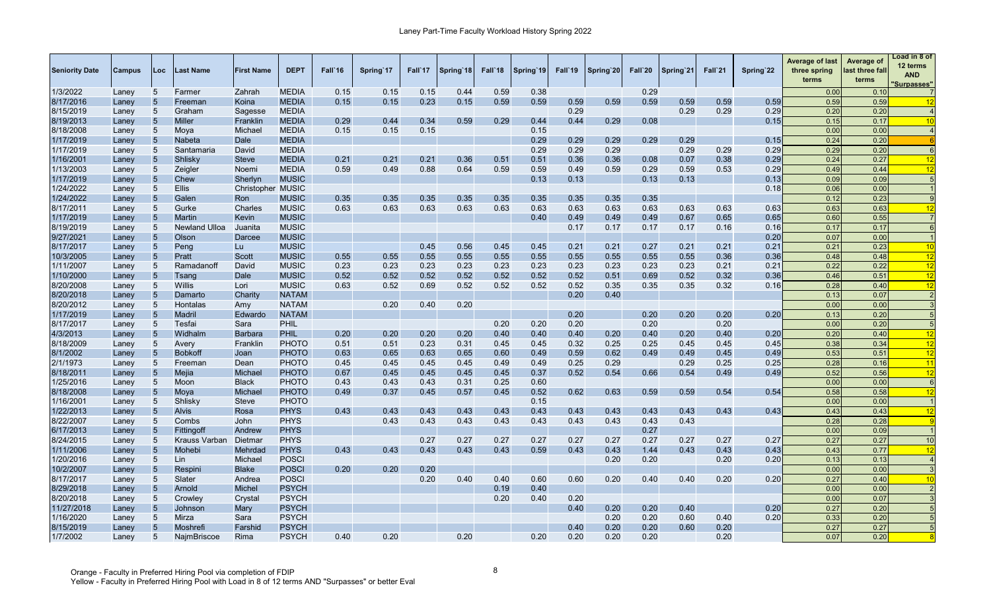| <b>Seniority Date</b> | <b>Campus</b> | Loc             | Last Name            | <b>First Name</b>        | <b>DEPT</b>  | Fall`16 | Spring'17 | Fall`17 | Spring 18 | Fall'18 | Spring 19 | Fall'19 | Spring 20 | Fall`20 | Spring 21 | Fall`21 | Spring'22 | Average of last<br>three spring<br>terms | Average of<br>last three fall<br>terms | Load in 8 of<br>12 terms<br><b>AND</b><br><u>Surpasses"</u> |
|-----------------------|---------------|-----------------|----------------------|--------------------------|--------------|---------|-----------|---------|-----------|---------|-----------|---------|-----------|---------|-----------|---------|-----------|------------------------------------------|----------------------------------------|-------------------------------------------------------------|
| 1/3/2022              | Laney         | 5               | Farmer               | Zahrah                   | <b>MEDIA</b> | 0.15    | 0.15      | 0.15    | 0.44      | 0.59    | 0.38      |         |           | 0.29    |           |         |           | 0.00                                     | 0.10                                   |                                                             |
| 8/17/2016             | Laney         | $5\phantom{.0}$ | Freeman              | Koina                    | <b>MEDIA</b> | 0.15    | 0.15      | 0.23    | 0.15      | 0.59    | 0.59      | 0.59    | 0.59      | 0.59    | 0.59      | 0.59    | 0.59      | 0.59                                     | 0.59                                   | 12                                                          |
| 8/15/2019             | Laney         | 5               | Graham               | Sagesse                  | <b>MEDIA</b> |         |           |         |           |         |           | 0.29    |           |         | 0.29      | 0.29    | 0.29      | 0.20                                     | 0.20                                   |                                                             |
| 8/19/2013             | Laney         | 5               | <b>Miller</b>        | Franklin                 | <b>MEDIA</b> | 0.29    | 0.44      | 0.34    | 0.59      | 0.29    | 0.44      | 0.44    | 0.29      | 0.08    |           |         | 0.15      | 0.15                                     | 0.17                                   | 10                                                          |
| 8/18/2008             | Laney         | 5               | Moya                 | Michael                  | <b>MEDIA</b> | 0.15    | 0.15      | 0.15    |           |         | 0.15      |         |           |         |           |         |           | 0.00                                     | 0.00                                   | $\overline{4}$                                              |
| 1/17/2019             | Laney         | 5               | <b>Nabeta</b>        | Dale                     | <b>MEDIA</b> |         |           |         |           |         | 0.29      | 0.29    | 0.29      | 0.29    | 0.29      |         | 0.15      | 0.24                                     | 0.20                                   | -6                                                          |
| 1/17/2019             | Laney         | 5               | Santamaria           | David                    | <b>MEDIA</b> |         |           |         |           |         | 0.29      | 0.29    | 0.29      |         | 0.29      | 0.29    | 0.29      | 0.29                                     | 0.20                                   | $\epsilon$                                                  |
| 1/16/200              | Laney         | 5               | <b>Shlisky</b>       | <b>Steve</b>             | <b>MEDIA</b> | 0.21    | 0.21      | 0.21    | 0.36      | 0.51    | 0.51      | 0.36    | 0.36      | 0.08    | 0.07      | 0.38    | 0.29      | 0.24                                     | 0.27                                   | 12                                                          |
| 1/13/2003             | Laney         | 5               | Zeigler              | Noemi                    | <b>MEDIA</b> | 0.59    | 0.49      | 0.88    | 0.64      | 0.59    | 0.59      | 0.49    | 0.59      | 0.29    | 0.59      | 0.53    | 0.29      | 0.49                                     | 0.44                                   | 12                                                          |
| 1/17/2019             | Laney         | 5               | Chew                 | Sherlyn                  | <b>MUSIC</b> |         |           |         |           |         | 0.13      | 0.13    |           | 0.13    | 0.13      |         | 0.13      | 0.09                                     | 0.09                                   | F                                                           |
| 1/24/2022             | Laney         | 5               | <b>Ellis</b>         | <b>Christopher MUSIC</b> |              |         |           |         |           |         |           |         |           |         |           |         | 0.18      | 0.06                                     | 0.00                                   |                                                             |
| 1/24/2022             | Laney         | 5               | Galen                | Ron                      | MUSIC        | 0.35    | 0.35      | 0.35    | 0.35      | 0.35    | 0.35      | 0.35    | 0.35      | 0.35    |           |         |           | 0.12                                     | 0.23                                   |                                                             |
| 8/17/2011             | Laney         | 5               | Gurke                | Charles                  | <b>MUSIC</b> | 0.63    | 0.63      | 0.63    | 0.63      | 0.63    | 0.63      | 0.63    | 0.63      | 0.63    | 0.63      | 0.63    | 0.63      | 0.63                                     | 0.63                                   | 12                                                          |
| 1/17/2019             | Laney         | 5               | Martin               | Kevin                    | <b>MUSIC</b> |         |           |         |           |         | 0.40      | 0.49    | 0.49      | 0.49    | 0.67      | 0.65    | 0.65      | 0.60                                     | 0.55                                   |                                                             |
| 8/19/2019             | Laney         | 5               | <b>Newland Ulloa</b> | Juanita                  | <b>MUSIC</b> |         |           |         |           |         |           | 0.17    | 0.17      | 0.17    | 0.17      | 0.16    | 0.16      | 0.17                                     | 0.17                                   | 6                                                           |
| 9/27/2021             | Laney         | 5               | Olson                | Darcee                   | <b>MUSIC</b> |         |           |         |           |         |           |         |           |         |           |         | 0.20      | 0.07                                     | 0.00                                   |                                                             |
| 8/17/2017             | Laney         | $\overline{5}$  | Peng                 | Lu                       | <b>MUSIC</b> |         |           | 0.45    | 0.56      | 0.45    | 0.45      | 0.21    | 0.21      | 0.27    | 0.21      | 0.21    | 0.21      | 0.21                                     | 0.23                                   | 10                                                          |
| 10/3/2005             | Laney         | 5               | Pratt                | <b>Scott</b>             | <b>MUSIC</b> | 0.55    | 0.55      | 0.55    | 0.55      | 0.55    | 0.55      | 0.55    | 0.55      | 0.55    | 0.55      | 0.36    | 0.36      | 0.48                                     | 0.48                                   | 12                                                          |
| 1/11/2007             | Laney         | 5               | Ramadanoff           | David                    | <b>MUSIC</b> | 0.23    | 0.23      | 0.23    | 0.23      | 0.23    | 0.23      | 0.23    | 0.23      | 0.23    | 0.23      | 0.21    | 0.21      | 0.22                                     | 0.22                                   | 12                                                          |
| 1/10/2000             | Laney         | 5               | Tsang                | <b>Dale</b>              | <b>MUSIC</b> | 0.52    | 0.52      | 0.52    | 0.52      | 0.52    | 0.52      | 0.52    | 0.51      | 0.69    | 0.52      | 0.32    | 0.36      | 0.46                                     | 0.51                                   | 12                                                          |
| 8/20/2008             | Laney         | $\overline{5}$  | Willis               | Lori                     | <b>MUSIC</b> | 0.63    | 0.52      | 0.69    | 0.52      | 0.52    | 0.52      | 0.52    | 0.35      | 0.35    | 0.35      | 0.32    | 0.16      | 0.28                                     | 0.40                                   | 12                                                          |
| 8/20/2018             | Laney         | 5               | Damarto              | Charity                  | <b>NATAM</b> |         |           |         |           |         |           | 0.20    | 0.40      |         |           |         |           | 0.13                                     | 0.07                                   | $\overline{2}$                                              |
| 8/20/2012             | Laney         | 5               | Hontalas             | Amy                      | <b>NATAM</b> |         | 0.20      | 0.40    | 0.20      |         |           |         |           |         |           |         |           | 0.00                                     | 0.00                                   |                                                             |
| 1/17/2019             | Laney         | 5               | Madril               | Edwardo                  | <b>NATAM</b> |         |           |         |           |         |           | 0.20    |           | 0.20    | 0.20      | 0.20    | 0.20      | 0.13                                     | 0.20                                   |                                                             |
| 8/17/2017             | Laney         | 5               | Tesfai               | Sara                     | PHIL         |         |           |         |           | 0.20    | 0.20      | 0.20    |           | 0.20    |           | 0.20    |           | 0.00                                     | 0.20                                   | -5                                                          |
| 4/3/2013              | Laney         | 5               | Widhalm              | Barbara                  | PHIL         | 0.20    | 0.20      | 0.20    | 0.20      | 0.40    | 0.40      | 0.40    | 0.20      | 0.40    | 0.20      | 0.40    | 0.20      | 0.20                                     | 0.40                                   | 12                                                          |
| 8/18/2009             | Laney         | 5               | Avery                | Franklin                 | <b>PHOTO</b> | 0.51    | 0.51      | 0.23    | 0.31      | 0.45    | 0.45      | 0.32    | 0.25      | 0.25    | 0.45      | 0.45    | 0.45      | 0.38                                     | 0.34                                   | 12                                                          |
| 8/1/2002              | Laney         | 5               | <b>Bobkoff</b>       | Joan                     | <b>PHOTO</b> | 0.63    | 0.65      | 0.63    | 0.65      | 0.60    | 0.49      | 0.59    | 0.62      | 0.49    | 0.49      | 0.45    | 0.49      | 0.53                                     | 0.5 <sup>′</sup>                       | 12                                                          |
| 2/1/1973              | Laney         | 5               | Freeman              | Dean                     | <b>PHOTO</b> | 0.45    | 0.45      | 0.45    | 0.45      | 0.49    | 0.49      | 0.25    | 0.29      |         | 0.29      | 0.25    | 0.25      | 0.28                                     | 0.16                                   | 11                                                          |
| 8/18/2011             | Laney         | 5               | Mejia                | Michae                   | <b>PHOTO</b> | 0.67    | 0.45      | 0.45    | 0.45      | 0.45    | 0.37      | 0.52    | 0.54      | 0.66    | 0.54      | 0.49    | 0.49      | 0.52                                     | 0.56                                   | 12                                                          |
| 1/25/2016             | Laney         | 5               | Moon                 | <b>Black</b>             | PHOTO        | 0.43    | 0.43      | 0.43    | 0.31      | 0.25    | 0.60      |         |           |         |           |         |           | 0.00                                     | 0.00                                   | 6                                                           |
| 8/18/2008             | Laney         | 5               | Moya                 | Michael                  | <b>PHOTO</b> | 0.49    | 0.37      | 0.45    | 0.57      | 0.45    | 0.52      | 0.62    | 0.63      | 0.59    | 0.59      | 0.54    | 0.54      | 0.58                                     | 0.58                                   | 12                                                          |
| 1/16/200              | Laney         | 5               | Shlisky              | <b>Steve</b>             | PHOTO        |         |           |         |           |         | 0.15      |         |           |         |           |         |           | 0.00                                     | 0.00                                   |                                                             |
| 1/22/2013             | Laney         | $5\phantom{.0}$ | <b>Alvis</b>         | Rosa                     | <b>PHYS</b>  | 0.43    | 0.43      | 0.43    | 0.43      | 0.43    | 0.43      | 0.43    | 0.43      | 0.43    | 0.43      | 0.43    | 0.43      | 0.43                                     | 0.43                                   | 12                                                          |
| 8/22/2007             | Laney         | 5               | Combs                | John                     | <b>PHYS</b>  |         | 0.43      | 0.43    | 0.43      | 0.43    | 0.43      | 0.43    | 0.43      | 0.43    | 0.43      |         |           | 0.28                                     | 0.28                                   | - C                                                         |
| 6/17/2013             | Laney         | $\overline{5}$  | Fittingoff           | Andrew                   | <b>PHYS</b>  |         |           |         |           |         |           |         |           | 0.27    |           |         |           | 0.00                                     | 0.09                                   |                                                             |
| 8/24/2015             | Laney         | 5               | <b>Krauss Varban</b> | Dietma                   | <b>PHYS</b>  |         |           | 0.27    | 0.27      | 0.27    | 0.27      | 0.27    | 0.27      | 0.27    | 0.27      | 0.27    | 0.27      | 0.27                                     | 0.27                                   | 10                                                          |
| 1/11/2006             | Laney         | $\overline{5}$  | Mohebi               | Mehrdad                  | <b>PHYS</b>  | 0.43    | 0.43      | 0.43    | 0.43      | 0.43    | 0.59      | 0.43    | 0.43      | 1.44    | 0.43      | 0.43    | 0.43      | 0.43                                     | 0.77                                   | 12                                                          |
| 1/20/2016             | Laney         | 5               | Lin                  | Michael                  | POSCI        |         |           |         |           |         |           |         | 0.20      | 0.20    |           | 0.20    | 0.20      | 0.13                                     | 0.13                                   |                                                             |
| 10/2/2007             | Laney         | 5               | Respini              | <b>Blake</b>             | <b>POSCI</b> | 0.20    | 0.20      | 0.20    |           |         |           |         |           |         |           |         |           | 0.00                                     | 0.00                                   |                                                             |
| 8/17/2017             | Laney         | 5               | Slater               | Andrea                   | <b>POSCI</b> |         |           | 0.20    | 0.40      | 0.40    | 0.60      | 0.60    | 0.20      | 0.40    | 0.40      | 0.20    | 0.20      | 0.27                                     | 0.40                                   | 10                                                          |
| 8/29/2018             | Laney         | 5               | Arnold               | Michel                   | PSYCH        |         |           |         |           | 0.19    | 0.40      |         |           |         |           |         |           | 0.00                                     | 0.00                                   |                                                             |
| 8/20/2018             | Laney         | 5               | Crowley              | Crystal                  | <b>PSYCH</b> |         |           |         |           | 0.20    | 0.40      | 0.20    |           |         |           |         |           | 0.00                                     | 0.07                                   |                                                             |
| 11/27/2018            | Laney         | 5               | Johnson              | Mary                     | PSYCH        |         |           |         |           |         |           | 0.40    | 0.20      | 0.20    | 0.40      |         | 0.20      | 0.27                                     | 0.20                                   |                                                             |
| 1/16/2020             | Laney         | 5               | Mirza                | Sara                     | PSYCH        |         |           |         |           |         |           |         | 0.20      | 0.20    | 0.60      | 0.40    | 0.20      | 0.33                                     | 0.20                                   |                                                             |
| 8/15/2019             | Laney         | 5               | Moshrefi             | Farshid                  | PSYCH        |         |           |         |           |         |           | 0.40    | 0.20      | 0.20    | 0.60      | 0.20    |           | 0.27                                     | 0.27                                   |                                                             |
| 1/7/2002              | Laney         | 5               | NajmBriscoe          | Rima                     | <b>PSYCH</b> | 0.40    | 0.20      |         | 0.20      |         | 0.20      | 0.20    | 0.20      | 0.20    |           | 0.20    |           | 0.07                                     | 0.20                                   |                                                             |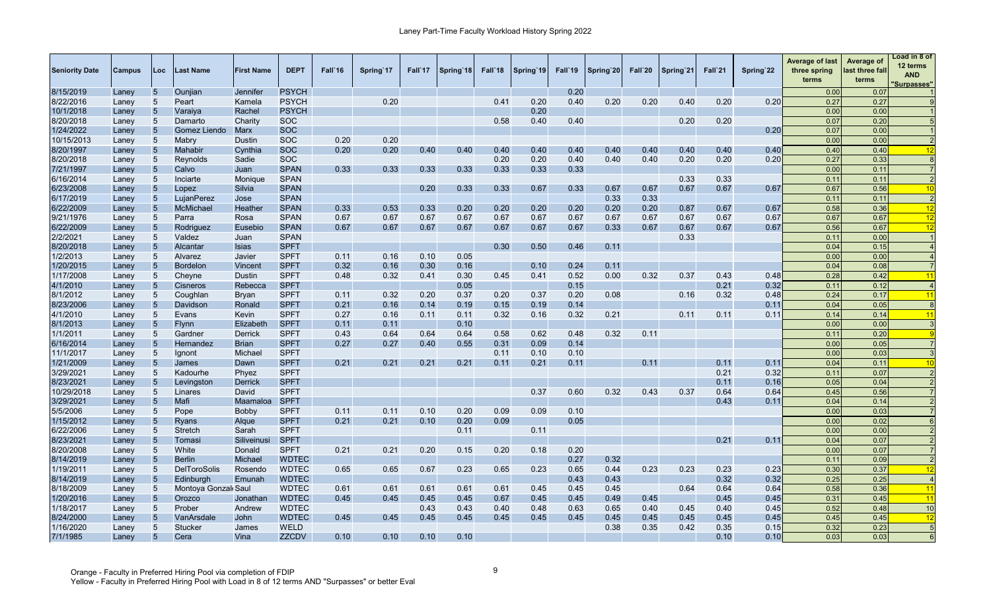| <b>Seniority Date</b> | <b>Campus</b> | Loc             | Last Name           | <b>First Name</b> | <b>DEPT</b>  | Fall'16 | Spring 17 | Fall 17 | Spring 18 | Fall <sup>18</sup> | Spring 19 | Fall'19 | Spring 20 | Fall`20 | Spring'21 | Fall`21 | Spring 22 | <b>Average of last</b><br>three spring<br>terms | Average of<br>last three fall<br>terms | oad in 8 of<br>12 terms<br><b>AND</b><br><b>Surpasses"</b> |
|-----------------------|---------------|-----------------|---------------------|-------------------|--------------|---------|-----------|---------|-----------|--------------------|-----------|---------|-----------|---------|-----------|---------|-----------|-------------------------------------------------|----------------------------------------|------------------------------------------------------------|
| 8/15/2019             | Laney         | 5               | Ounjian             | Jennifer          | <b>PSYCH</b> |         |           |         |           |                    |           | 0.20    |           |         |           |         |           | 0.00                                            | 0.07                                   |                                                            |
| 8/22/2016             | Laney         | 5               | Peart               | Kamela            | <b>PSYCH</b> |         | 0.20      |         |           | 0.41               | 0.20      | 0.40    | 0.20      | 0.20    | 0.40      | 0.20    | 0.20      | 0.27                                            | 0.27                                   |                                                            |
| 10/1/2018             | Laney         | $\overline{5}$  | Varaiya             | Rachel            | <b>PSYCH</b> |         |           |         |           |                    | 0.20      |         |           |         |           |         |           | 0.00                                            | 0.00                                   |                                                            |
| 8/20/2018             | Laney         | 5               | Damarto             | Charity           | <b>SOC</b>   |         |           |         |           | 0.58               | 0.40      | 0.40    |           |         | 0.20      | 0.20    |           | 0.07                                            | 0.20                                   |                                                            |
| 1/24/2022             | Laney         | 5               | Gomez Liendo        | <b>Marx</b>       | <b>SOC</b>   |         |           |         |           |                    |           |         |           |         |           |         | 0.20      | 0.07                                            | 0.00                                   |                                                            |
| 10/15/2013            | Laney         | 5               | Mabry               | Dustin            | <b>SOC</b>   | 0.20    | 0.20      |         |           |                    |           |         |           |         |           |         |           | 0.00                                            | 0.00                                   |                                                            |
| 8/20/1997             | Laney         | $\overline{5}$  | Mahabir             | Cynthia           | <b>SOC</b>   | 0.20    | 0.20      | 0.40    | 0.40      | 0.40               | 0.40      | 0.40    | 0.40      | 0.40    | 0.40      | 0.40    | 0.40      | 0.40                                            | 0.40                                   | 12                                                         |
| 8/20/2018             | Laney         | 5               | Reynolds            | Sadie             | <b>SOC</b>   |         |           |         |           | 0.20               | 0.20      | 0.40    | 0.40      | 0.40    | 0.20      | 0.20    | 0.20      | 0.27                                            | 0.33                                   |                                                            |
| 7/21/1997             | Laney         | 5               | Calvo               | Juan              | <b>SPAN</b>  | 0.33    | 0.33      | 0.33    | 0.33      | 0.33               | 0.33      | 0.33    |           |         |           |         |           | 0.00                                            | 0.11                                   |                                                            |
| 6/16/2014             | Laney         | 5               | Inciarte            | Monique           | <b>SPAN</b>  |         |           |         |           |                    |           |         |           |         | 0.33      | 0.33    |           | 0.11                                            | 0.11                                   |                                                            |
| 6/23/2008             | Laney         | 5               | Lopez               | Silvia            | <b>SPAN</b>  |         |           | 0.20    | 0.33      | 0.33               | 0.67      | 0.33    | 0.67      | 0.67    | 0.67      | 0.67    | 0.67      | 0.67                                            | 0.56                                   | 10                                                         |
| 6/17/2019             | Laney         | 5               | LujanPerez          | Jose              | <b>SPAN</b>  |         |           |         |           |                    |           |         | 0.33      | 0.33    |           |         |           | 0.11                                            | 0.11                                   | $\overline{2}$                                             |
| 6/22/2009             | Laney         | 5               | McMichael           | Heather           | <b>SPAN</b>  | 0.33    | 0.53      | 0.33    | 0.20      | 0.20               | 0.20      | 0.20    | 0.20      | 0.20    | 0.87      | 0.67    | 0.67      | 0.58                                            | 0.36                                   | 12                                                         |
| 9/21/1976             | Laney         | 5               | Parra               | Rosa              | <b>SPAN</b>  | 0.67    | 0.67      | 0.67    | 0.67      | 0.67               | 0.67      | 0.67    | 0.67      | 0.67    | 0.67      | 0.67    | 0.67      | 0.67                                            | 0.67                                   | 12                                                         |
| 6/22/2009             | Laney         | $\overline{5}$  | Rodriguez           | Eusebio           | <b>SPAN</b>  | 0.67    | 0.67      | 0.67    | 0.67      | 0.67               | 0.67      | 0.67    | 0.33      | 0.67    | 0.67      | 0.67    | 0.67      | 0.56                                            | 0.67                                   | 12                                                         |
| 2/2/2021              | Laney         | 5               | Valdez              | Juan              | <b>SPAN</b>  |         |           |         |           |                    |           |         |           |         | 0.33      |         |           | 0.11                                            | 0.00                                   |                                                            |
| 8/20/2018             | Laney         | $5\phantom{.0}$ | Alcantar            | Isias             | <b>SPFT</b>  |         |           |         |           | 0.30               | 0.50      | 0.46    | 0.11      |         |           |         |           | 0.04                                            | 0.15                                   |                                                            |
| 1/2/2013              | Laney         | 5               | Alvarez             | Javier            | <b>SPFT</b>  | 0.11    | 0.16      | 0.10    | 0.05      |                    |           |         |           |         |           |         |           | 0.00                                            | 0.00                                   |                                                            |
| 1/20/2015             | Laney         | 5               | <b>Bordelon</b>     | Vincent           | <b>SPFT</b>  | 0.32    | 0.16      | 0.30    | 0.16      |                    | 0.10      | 0.24    | 0.11      |         |           |         |           | 0.04                                            | 0.08                                   |                                                            |
| 1/17/2008             | Laney         | 5               | Cheyne              | <b>Dustin</b>     | <b>SPFT</b>  | 0.48    | 0.32      | 0.41    | 0.30      | 0.45               | 0.41      | 0.52    | 0.00      | 0.32    | 0.37      | 0.43    | 0.48      | 0.28                                            | 0.42                                   | 11                                                         |
| 4/1/2010              | Laney         | $\overline{5}$  | <b>Cisneros</b>     | Rebecca           | <b>SPFT</b>  |         |           |         | 0.05      |                    |           | 0.15    |           |         |           | 0.21    | 0.32      | 0.11                                            | 0.12                                   |                                                            |
| 8/1/2012              | Laney         | 5               | Coughlan            | <b>Bryan</b>      | <b>SPFT</b>  | 0.11    | 0.32      | 0.20    | 0.37      | 0.20               | 0.37      | 0.20    | 0.08      |         | 0.16      | 0.32    | 0.48      | 0.24                                            | 0.17                                   | $\overline{11}$                                            |
| 8/23/2006             | Laney         | 5               | Davidson            | Ronald            | <b>SPFT</b>  | 0.21    | 0.16      | 0.14    | 0.19      | 0.15               | 0.19      | 0.14    |           |         |           |         | 0.1'      | 0.04                                            | 0.05                                   | 8                                                          |
| 4/1/2010              | Laney         | 5               | Evans               | Kevin             | <b>SPFT</b>  | 0.27    | 0.16      | 0.11    | 0.11      | 0.32               | 0.16      | 0.32    | 0.21      |         | 0.11      | 0.11    | 0.1'      | 0.14                                            | 0.14                                   | 11                                                         |
| 8/1/2013              | Laney         | $5\phantom{.0}$ | <b>Flynn</b>        | Elizabeth         | <b>SPFT</b>  | 0.11    | 0.11      |         | 0.10      |                    |           |         |           |         |           |         |           | 0.00                                            | 0.00                                   |                                                            |
| 1/1/2011              | Laney         | 5               | Gardner             | <b>Derrick</b>    | <b>SPFT</b>  | 0.43    | 0.64      | 0.64    | 0.64      | 0.58               | 0.62      | 0.48    | 0.32      | 0.11    |           |         |           | 0.11                                            | 0.20                                   |                                                            |
| 6/16/2014             | Laney         | 5               | Hernandez           | <b>Brian</b>      | <b>SPFT</b>  | 0.27    | 0.27      | 0.40    | 0.55      | 0.31               | 0.09      | 0.14    |           |         |           |         |           | 0.00                                            | 0.05                                   |                                                            |
| 11/1/2017             | Laney         | 5               | Ignont              | Michael           | <b>SPFT</b>  |         |           |         |           | 0.11               | 0.10      | 0.10    |           |         |           |         |           | 0.00                                            | 0.03                                   |                                                            |
| 1/21/2009             | Laney         | 5               | James               | Dawn              | <b>SPFT</b>  | 0.21    | 0.21      | 0.21    | 0.21      | 0.11               | 0.21      | 0.11    |           | 0.11    |           | 0.11    | 0.11      | 0.04                                            | 0.11                                   | 10                                                         |
| 3/29/2021             | Laney         | 5               | Kadourhe            | Phyez             | <b>SPFT</b>  |         |           |         |           |                    |           |         |           |         |           | 0.21    | 0.32      | 0.11                                            | 0.07                                   |                                                            |
| 8/23/2021             | Laney         | 5               | Levingston          | Derrick           | <b>SPFT</b>  |         |           |         |           |                    |           |         |           |         |           | 0.11    | 0.16      | 0.05                                            | 0.04                                   |                                                            |
| 10/29/2018            | Laney         | 5               | Linares             | David             | <b>SPFT</b>  |         |           |         |           |                    | 0.37      | 0.60    | 0.32      | 0.43    | 0.37      | 0.64    | 0.64      | 0.45                                            | 0.56                                   |                                                            |
| 3/29/2021             | Laney         | 5               | Mafi                | Maamaloa          | <b>SPFT</b>  |         |           |         |           |                    |           |         |           |         |           | 0.43    | 0.1'      | 0.04                                            | 0.14                                   |                                                            |
| 5/5/2006              | Laney         | 5               | Pope                | Bobby             | <b>SPFT</b>  | 0.11    | 0.11      | 0.10    | 0.20      | 0.09               | 0.09      | 0.10    |           |         |           |         |           | 0.00                                            | 0.03                                   |                                                            |
| 1/15/2012             | Laney         | 5               | <b>Ryans</b>        | Algue             | <b>SPFT</b>  | 0.21    | 0.21      | 0.10    | 0.20      | 0.09               |           | 0.05    |           |         |           |         |           | 0.00                                            | 0.02                                   |                                                            |
| 6/22/2006             | Laney         | 5 <sup>5</sup>  | Stretch             | Sarah             | <b>SPFT</b>  |         |           |         | 0.11      |                    | 0.11      |         |           |         |           |         |           | 0.00                                            | 0.00                                   |                                                            |
| 8/23/2021             | Laney         | 5               | Tomasi              | Siliveinusi       | <b>SPFT</b>  |         |           |         |           |                    |           |         |           |         |           | 0.21    | 0.11      | 0.04                                            | 0.07                                   |                                                            |
| 8/20/2008             | Laney         | 5 <sup>5</sup>  | White               | Donald            | <b>SPFT</b>  | 0.21    | 0.21      | 0.20    | 0.15      | 0.20               | 0.18      | 0.20    |           |         |           |         |           | 0.00                                            | 0.07                                   |                                                            |
| 8/14/2019             | Laney         | 5               | <b>Berlin</b>       | Michael           | <b>WDTEC</b> |         |           |         |           |                    |           | 0.27    | 0.32      |         |           |         |           | 0.11                                            | 0.09                                   | $\overline{2}$                                             |
| 1/19/2011             | Laney         | $5\phantom{.0}$ | <b>DelToroSolis</b> | Rosendo           | <b>WDTEC</b> | 0.65    | 0.65      | 0.67    | 0.23      | 0.65               | 0.23      | 0.65    | 0.44      | 0.23    | 0.23      | 0.23    | 0.23      | 0.30                                            | 0.37                                   | 12                                                         |
| 8/14/2019             | Laney         | 5               | Edinburgh           | Emunah            | <b>WDTEC</b> |         |           |         |           |                    |           | 0.43    | 0.43      |         |           | 0.32    | 0.32      | 0.25                                            | 0.25                                   |                                                            |
| 8/18/2009             | Laney         | 5               | Montoya Gonzal Saul |                   | <b>WDTEC</b> | 0.61    | 0.61      | 0.61    | 0.61      | 0.61               | 0.45      | 0.45    | 0.45      |         | 0.64      | 0.64    | 0.64      | 0.58                                            | 0.36                                   | 11                                                         |
| 1/20/2016             | Laney         | 5               | Orozco              | Jonathan          | <b>WDTEC</b> | 0.45    | 0.45      | 0.45    | 0.45      | 0.67               | 0.45      | 0.45    | 0.49      | 0.45    |           | 0.45    | 0.45      | 0.31                                            | 0.45                                   | 11                                                         |
| 1/18/2017             | Laney         | 5               | Prober              | Andrew            | <b>WDTEC</b> |         |           | 0.43    | 0.43      | 0.40               | 0.48      | 0.63    | 0.65      | 0.40    | 0.45      | 0.40    | 0.45      | 0.52                                            | 0.48                                   | 10                                                         |
| 8/24/2000             | Laney         | $5\phantom{.}$  | VanArsdale          | John              | <b>WDTEC</b> | 0.45    | 0.45      | 0.45    | 0.45      | 0.45               | 0.45      | 0.45    | 0.45      | 0.45    | 0.45      | 0.45    | 0.45      | 0.45                                            | 0.45                                   | 12                                                         |
| 1/16/2020             | Lanev         | 5               | Stucker             | James             | <b>WELD</b>  |         |           |         |           |                    |           |         | 0.38      | 0.35    | 0.42      | 0.35    | 0.15      | 0.32                                            | 0.23                                   | $5\overline{5}$                                            |
| 7/1/1985              | Laney         | $5\phantom{.0}$ | Cera                | Vina              | <b>ZZCDV</b> | 0.10    | 0.10      | 0.10    | 0.10      |                    |           |         |           |         |           | 0.10    | 0.10      | 0.03                                            | 0.03                                   | 6                                                          |